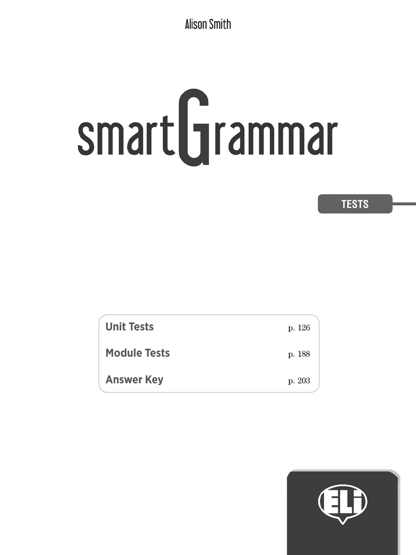**Alison Smith** 

# smart Grammar

# **TESTS**

| <b>Unit Tests</b>   | p. 126 |
|---------------------|--------|
| <b>Module Tests</b> | p. 188 |
| <b>Answer Key</b>   | p. 203 |

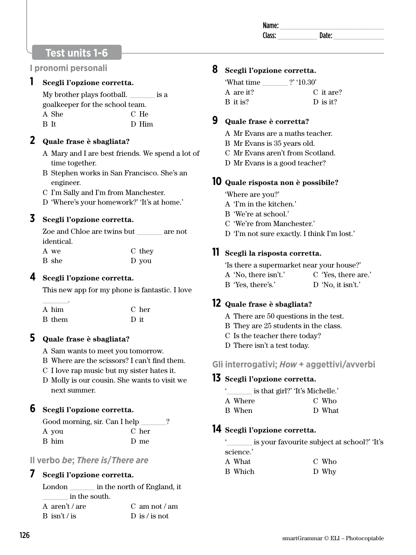# **Test units 1-6**

#### **I pronomi personali**

#### **1 Scegli l'opzione corretta.**

My brother plays football.  $\qquad \qquad$  is a goalkeeper for the school team. A She B It C He D Him

#### **2 Quale frase è sbagliata?**

- A Mary and I are best friends. We spend a lot of time together.
- B Stephen works in San Francisco. She's an engineer.
- C I'm Sally and I'm from Manchester.
- D 'Where's your homework?' 'It's at home.'

# **3 Scegli l'opzione corretta.**

| Zoe and Chloe are twins but | are not |
|-----------------------------|---------|
|                             |         |
| C they                      |         |
| D you                       |         |
|                             |         |

#### **4 Scegli l'opzione corretta.**

This new app for my phone is fantastic. I love

| A him         | C her |
|---------------|-------|
| <b>B</b> them | D it  |

# **5 Quale frase è sbagliata?**

- A Sam wants to meet you tomorrow.
- B Where are the scissors? I can't find them.
- C I love rap music but my sister hates it.
- D Molly is our cousin. She wants to visit we next summer.

#### **6 Scegli l'opzione corretta.**

| Good morning, sir. Can I help |       |
|-------------------------------|-------|
| A you                         | C her |
| B him                         | D me  |

#### **Il verbo** *be***;** *There is***/***There are*

#### **7 Scegli l'opzione corretta.**

| London         | in the north of England, it |                      |
|----------------|-----------------------------|----------------------|
|                | in the south.               |                      |
| A aren't / are |                             | C am not $\theta$ am |
| B isn't / is   |                             | D is / is not        |

# **8 Scegli l'opzione corretta.**

| 'What time | $?$ '10.30'           |
|------------|-----------------------|
| A are it?  | C it are?             |
| B it is?   | $\overline{D}$ is it? |

#### **9 Quale frase è corretta?**

- A Mr Evans are a maths teacher.
- B Mr Evans is 35 years old.
- C Mr Evans aren't from Scotland.
- D Mr Evans is a good teacher?

#### **10 Quale risposta non è possibile?**

'Where are you?'

- A 'I'm in the kitchen.'
- B 'We're at school.'
- C 'We're from Manchester.'
- D 'I'm not sure exactly. I think I'm lost.'

# **11 Scegli la risposta corretta.**

'Is there a supermarket near your house?' A 'No, there isn't.' B 'Yes, there's.' C 'Yes, there are.' D 'No, it isn't.'

#### **12 Quale frase è sbagliata?**

- A There are 50 questions in the test.
- B They are 25 students in the class.
- C Is the teacher there today?
- D There isn't a test today.
- **Gli interrogativi;** *How* **+ aggettivi/avverbi**

#### **13 Scegli l'opzione corretta.**

is that girl?' 'It's Michelle.'

| A Where | C Who  |
|---------|--------|
| B When  | D What |

# **14 Scegli l'opzione corretta.**

|           | is your favourite subject at school?' The |  |
|-----------|-------------------------------------------|--|
| science.' |                                           |  |
| A What    | C Who                                     |  |
| B Which   | D Why                                     |  |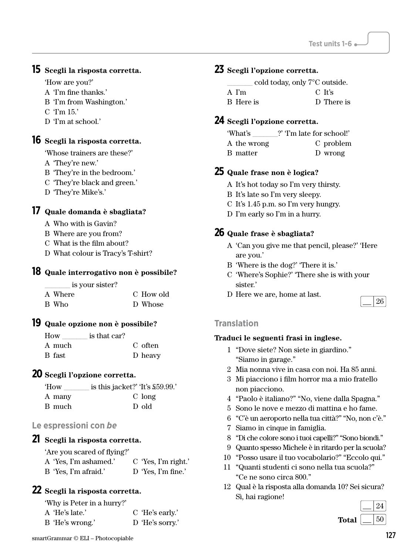#### **15 Scegli la risposta corretta.**

'How are you?'

- A 'I'm fine thanks.'
- B 'I'm from Washington.'
- C 'I'm 15.'
- D 'I'm at school.'

**16 Scegli la risposta corretta.** 

'Whose trainers are these?'

- A 'They're new.'
- B 'They're in the bedroom.'
- C 'They're black and green.'
- D 'They're Mike's.'

#### **17 Quale domanda è sbagliata?**

- A Who with is Gavin?
- B Where are you from?
- C What is the film about?
- D What colour is Tracy's T-shirt?

#### **18 Quale interrogativo non è possibile?**

| is your sister? |           |
|-----------------|-----------|
| A Where         | C How old |
| B Who           | D Whose   |

#### **19 Quale opzione non è possibile?**

| How    | is that car? |         |
|--------|--------------|---------|
| A much |              | C often |
| B fast |              | D heavy |

#### **20 Scegli l'opzione corretta.**

| is this jacket?' 'It's \$59.99.' |
|----------------------------------|
| C long                           |
| D old                            |
|                                  |

#### **Le espressioni con** *be*

#### **21 Scegli la risposta corretta.**

'Are you scared of flying?'

| A 'Yes, I'm ashamed.' | $C$ 'Yes, I'm right.' |
|-----------------------|-----------------------|
| B 'Yes, I'm afraid.'  | D 'Yes, I'm fine.'    |

#### **22 Scegli la risposta corretta.**

'Why is Peter in a hurry?'

| A 'He's late.'  | C 'He's early.' |
|-----------------|-----------------|
| B 'He's wrong.' | D 'He's sorry.' |

#### **23 Scegli l'opzione corretta.**

cold today, only 7°C outside.

| A I'm     | C It's     |
|-----------|------------|
| B Here is | D There is |

#### **24 Scegli l'opzione corretta.**

'What's \_\_\_\_\_\_\_?' 'I'm late for school!' A the wrong B matter C problem D wrong

#### **25 Quale frase non è logica?**

- A It's hot today so I'm very thirsty.
- B It's late so I'm very sleepy.
- C It's 1.45 p.m. so I'm very hungry.
- D I'm early so I'm in a hurry.

#### **26 Quale frase è sbagliata?**

- A 'Can you give me that pencil, please?' 'Here are you.'
- B 'Where is the dog?' 'There it is.'
- C 'Where's Sophie?' 'There she is with your sister.'
- D Here we are, home at last.



#### **Translation**

- 1 "Dove siete? Non siete in giardino." "Siamo in garage."
- 2 Mia nonna vive in casa con noi. Ha 85 anni.
- 3 Mi piacciono i film horror ma a mio fratello non piacciono.
- 4 "Paolo è italiano?" "No, viene dalla Spagna."
- 5 Sono le nove e mezzo di mattina e ho fame.
- 6 "C'è un aeroporto nella tua città?" "No, non c'è."
- 7 Siamo in cinque in famiglia.
- 8 "Di che colore sono i tuoi capelli?" "Sono biondi."
- 9 Quanto spesso Michele è in ritardo per la scuola?
- 10 "Posso usare il tuo vocabolario?" "Eccolo qui."
- 11 "Quanti studenti ci sono nella tua scuola?" "Ce ne sono circa 800."
- 12 Qual è la risposta alla domanda 10? Sei sicura? Sì, hai ragione!

|              | 24 |
|--------------|----|
| <b>Total</b> | 50 |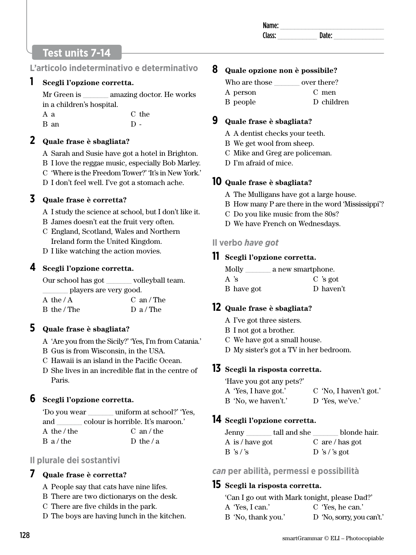# **Test units 7-14**

**L'articolo indeterminativo e determinativo**

#### **1 Scegli l'opzione corretta.**

Mr Green is amazing doctor. He works in a children's hospital. A a C the

 $D -$ 

B an

# **2 Quale frase è sbagliata?**

A Sarah and Susie have got a hotel in Brighton. B I love the reggae music, especially Bob Marley. C 'Where is the Freedom Tower?' 'It's in New York.'

D I don't feel well. I've got a stomach ache.

# **3 Quale frase è corretta?**

- A I study the science at school, but I don't like it.
- B James doesn't eat the fruit very often.
- C England, Scotland, Wales and Northern Ireland form the United Kingdom.
- D I like watching the action movies.

# **4 Scegli l'opzione corretta.**

Our school has got volleyball team. \_\_\_\_\_\_\_ players are very good.

| A the / A   | $C$ an / The |
|-------------|--------------|
| B the / The | D a / The    |

# **5 Quale frase è sbagliata?**

- A 'Are you from the Sicily?' 'Yes, I'm from Catania.'
- B Gus is from Wisconsin, in the USA.
- C Hawaii is an island in the Pacific Ocean.
- D She lives in an incredible flat in the centre of Paris.

# **6 Scegli l'opzione corretta.**

| 'Do you wear | uniform at school?' 'Yes,         |
|--------------|-----------------------------------|
| and          | colour is horrible. It's maroon.' |
| A the / the  | $C \text{ an } t$ the             |
| B a/the      | D the $/a$                        |
|              |                                   |

# **Il plurale dei sostantivi**

# **7 Quale frase è corretta?**

- A People say that cats have nine lifes.
- B There are two dictionarys on the desk.
- C There are five childs in the park.
- D The boys are having lunch in the kitchen.

#### **8 Quale opzione non è possibile?**

| Who are those | over there? |
|---------------|-------------|
| A person      | C men       |
| B people      | D children  |

#### **9 Quale frase è sbagliata?**

- A A dentist checks your teeth.
- B We get wool from sheep.
- C Mike and Greg are policeman.
- D I'm afraid of mice.

# **10 Quale frase è sbagliata?**

- A The Mulligans have got a large house.
- B How many P are there in the word 'Mississippi'?
- C Do you like music from the 80s?
- D We have French on Wednesdays.

# **Il verbo** *have got*

# **11 Scegli l'opzione corretta.**

| Molly      | a new smartphone. |
|------------|-------------------|
| A 's       | $C$ 's got        |
| B have got | D haven't         |

# **12 Quale frase è sbagliata?**

- A I've got three sisters.
- B I not got a brother.
- C We have got a small house.
- D My sister's got a TV in her bedroom.

# **13 Scegli la risposta corretta.**

'Have you got any pets?'

- A 'Yes, I have got.' C 'No, I haven't got.'
- B 'No, we haven't.' D 'Yes, we've.'

# **14 Scegli l'opzione corretta.**

| Jenny           | tall and she | blonde hair.       |
|-----------------|--------------|--------------------|
| A is / have got |              | $C$ are / has got  |
| B's's           |              | $\sum$ 's / 's got |

#### *can* **per abilità, permessi e possibilità**

# **15 Scegli la risposta corretta.**

'Can I go out with Mark tonight, please Dad?'

A 'Yes, I can.' B 'No, thank you.' C 'Yes, he can.' D 'No, sorry, you can't.'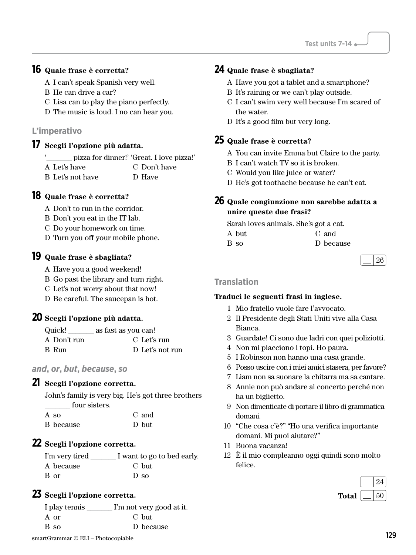# **16 Quale frase è corretta?**

- A I can't speak Spanish very well.
- B He can drive a car?
- C Lisa can to play the piano perfectly.
- D The music is loud. I no can hear you.

#### **L'imperativo**

#### **17 Scegli l'opzione più adatta.**

- pizza for dinner!' 'Great. I love pizza!'
- A Let's have C Don't have
- B Let's not have D Have

#### **18 Quale frase è corretta?**

- A Don't to run in the corridor.
- B Don't you eat in the IT lab.
- C Do your homework on time.
- D Turn you off your mobile phone.

#### **19 Quale frase è sbagliata?**

- A Have you a good weekend!
- B Go past the library and turn right.
- C Let's not worry about that now!
- D Be careful. The saucepan is hot.

#### **20 Scegli l'opzione più adatta.**

| Quick!      | as fast as you can! |  |
|-------------|---------------------|--|
| A Don't run | C Let's run         |  |
| B Run       | D Let's not run     |  |

# *and***,** *or***,** *but***,** *because***,** *so*

#### **21 Scegli l'opzione corretta.**

John's family is very big. He's got three brothers four sisters.  $\mathbf{h}$ 

| A so      | C and |
|-----------|-------|
| B because | D but |

#### **22 Scegli l'opzione corretta.**

| I'm very tired | I want to go to bed early. |
|----------------|----------------------------|
| A because      | C but                      |
| B or           | $\Gamma$ so                |

#### **23 Scegli l'opzione corretta.**

| I play tennis                      | I'm not very good at it. |     |
|------------------------------------|--------------------------|-----|
| A or                               | C but                    |     |
| B so                               | D because                |     |
| smartGrammar © ELI – Photocopiable |                          | 129 |

# **24 Quale frase è sbagliata?**

- A Have you got a tablet and a smartphone?
- B It's raining or we can't play outside.
- C I can't swim very well because I'm scared of the water.
- D It's a good film but very long.

#### **25 Quale frase è corretta?**

- A You can invite Emma but Claire to the party.
- B I can't watch TV so it is broken.
- C Would you like juice or water?
- D He's got toothache because he can't eat.

#### **26 Quale congiunzione non sarebbe adatta a unire queste due frasi?**

Sarah loves animals. She's got a cat.

| A but | C and     |
|-------|-----------|
| B so  | D because |

#### **Translation**

- 1 Mio fratello vuole fare l'avvocato.
- 2 Il Presidente degli Stati Uniti vive alla Casa Bianca.
- 3 Guardate! Ci sono due ladri con quei poliziotti.
- 4 Non mi piacciono i topi. Ho paura.
- 5 I Robinson non hanno una casa grande.
- 6 Posso uscire con i miei amici stasera, per favore?
- 7 Liam non sa suonare la chitarra ma sa cantare.
- 8 Annie non può andare al concerto perché non ha un biglietto.
- 9 Non dimenticate di portare il libro di grammatica domani.
- 10 "Che cosa c'è?" "Ho una verifica importante domani. Mi puoi aiutare?"
- 11 Buona vacanza!
- 12 È il mio compleanno oggi quindi sono molto felice.

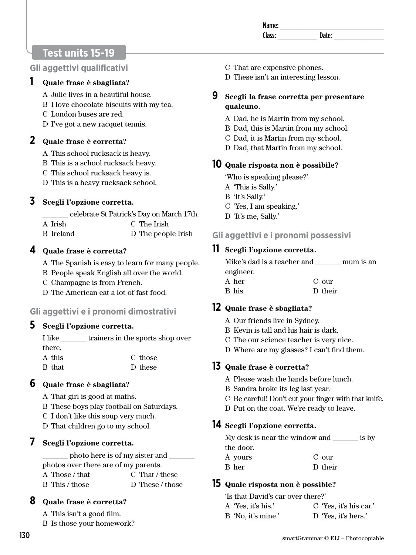| name. |    |  |
|-------|----|--|
| acc.  | ыш |  |

# **Test units 15-19**

#### **Gli aggettivi qualificativi**

#### **1 Quale frase è sbagliata?**

- A Julie lives in a beautiful house.
- B I love chocolate biscuits with my tea.
- C London buses are red.
- D I've got a new racquet tennis.

#### **2 Quale frase è corretta?**

- A This school rucksack is heavy.
- B This is a school rucksack heavy.
- C This school rucksack heavy is.
- D This is a heavy rucksack school.

# **3 Scegli l'opzione corretta.**

- \_\_\_\_\_\_\_ celebrate St Patrick's Day on March 17th.
- A Irish B Ireland C The Irish D The people Irish

#### **4 Quale frase è corretta?**

- A The Spanish is easy to learn for many people.
- B People speak English all over the world.
- C Champagne is from French.
- D The American eat a lot of fast food.

#### **Gli aggettivi e i pronomi dimostrativi**

#### **5 Scegli l'opzione corretta.**

- I like trainers in the sports shop over there. A this C those
- B that D these

#### **6 Quale frase è sbagliata?**

- A That girl is good at maths.
- B These boys play football on Saturdays.
- C I don't like this soup very much.
- D That children go to my school.

#### **7 Scegli l'opzione corretta.**

photo here is of my sister and  $\overline{\phantom{a}}$ photos over there are of my parents.

| A Those / that | C That / these  |
|----------------|-----------------|
| B This / those | D These / those |

# **8 Quale frase è corretta?**

- A This isn't a good film.
- B Is those your homework?
- C That are expensive phones.
- D These isn't an interesting lesson.
- **9 Scegli la frase corretta per presentare qualcuno.** 
	- A Dad, he is Martin from my school.
	- B Dad, this is Martin from my school.
	- C Dad, it is Martin from my school.
	- D Dad, that Martin from my school.

# **10 Quale risposta non è possibile?**

- 'Who is speaking please?'
- A 'This is Sally.'
- B 'It's Sally.'
- C 'Yes, I am speaking.'
- D 'It's me, Sally.'

# **Gli aggettivi e i pronomi possessivi**

# **11 Scegli l'opzione corretta.**

| Mike's dad is a teacher and |         | mum is an |
|-----------------------------|---------|-----------|
| engineer.                   |         |           |
| A her                       | C our   |           |
| B his                       | D their |           |

# **12 Quale frase è sbagliata?**

- A Our friends live in Sydney.
- B Kevin is tall and his hair is dark.
- C The our science teacher is very nice.
- D Where are my glasses? I can't find them.

# **13 Quale frase è corretta?**

- A Please wash the hands before lunch.
- B Sandra broke its leg last year.
- C Be careful! Don't cut your finger with that knife.
- D Put on the coat. We're ready to leave.

# **14 Scegli l'opzione corretta.**

| My desk is near the window and |         | is by |
|--------------------------------|---------|-------|
| the door.                      |         |       |
| A yours                        | $C$ our |       |
| B her                          | D their |       |

# **15 Quale risposta non è possible?**

| 'Is that David's car over there?' |             |
|-----------------------------------|-------------|
| A 'Yes, it's his.'                | $C$ 'Yes. i |

B 'No, it's mine.' C 'Yes, it's his car.' D 'Yes, it's hers.'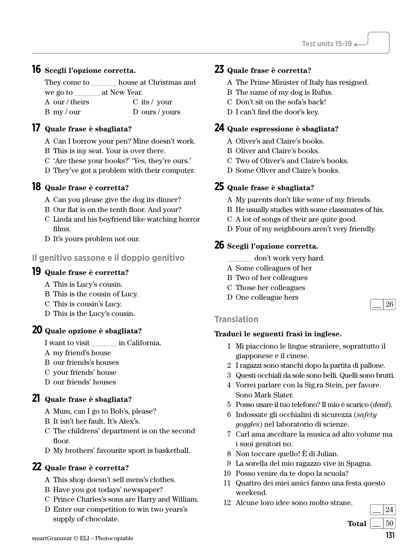#### **16 Scegli l'opzione corretta.**

They come to \_\_\_\_\_\_\_ house at Christmas and we go to  $\qquad \qquad$  at New Year. A our / theirs B my / our C its / your D ours / yours

#### **17 Quale frase è sbagliata?**

- A Can I borrow your pen? Mine doesn't work.
- B This is my seat. Your is over there.
- C 'Are these your books?' 'Yes, they're ours.'
- D They've got a problem with their computer.

#### **18 Quale frase è corretta?**

- A Can you please give the dog its dinner?
- B Our flat is on the tenth floor. And your?
- C Linda and his boyfriend like watching horror films.
- D It's yours problem not our.

#### **Il genitivo sassone e il doppio genitivo**

#### **19 Quale frase è corretta?**

- A This is Lucy's cousin.
- B This is the cousin of Lucy.
- C This is cousin's Lucy.
- D This is the Lucy's cousin.

#### **20 Quale opzione è sbagliata?**

- I want to visit \_\_\_\_\_\_\_ in California.
- A my friend's house
- B our friends's houses
- C your friends' house
- D our friends' houses

#### **21 Quale frase è sbagliata?**

- A Mum, can I go to Bob's, please?
- B It isn't her fault. It's Alex's.
- C The childrens' department is on the second floor.
- D My brothers' favourite sport is basketball.

#### **22 Quale frase è corretta?**

- A This shop doesn't sell mens's clothes.
- B Have you got todays' newspaper?
- C Prince Charles's sons are Harry and William.
- D Enter our competition to win two years's supply of chocolate.

# **23 Quale frase è corretta?**

- A The Prime Minister of Italy has resigned.
- B The name of my dog is Rufus.
- C Don't sit on the sofa's back!
- D I can't find the door's key.

#### **24 Quale espressione è sbagliata?**

- A Oliver's and Claire's books.
- B Oliver and Claire's books.
- C Two of Oliver's and Claire's books.
- D Some Oliver and Claire's books.

#### **25 Quale frase è sbagliata?**

- A My parents don't like some of my friends.
- B He usually studies with some classmates of his.
- C A lot of songs of their are quite good.
- D Four of my neighbours aren't very friendly.

#### **26 Scegli l'opzione corretta.**

- don't work very hard.
- A Some colleagues of her
- B Two of her colleagues
- C Those her colleagues
- D One colleague hers

#### **Translation**

#### **Traduci le seguenti frasi in inglese.**

- 1 Mi piacciono le lingue straniere, soprattutto il giapponese e il cinese.
- 2 I ragazzi sono stanchi dopo la partita di pallone.
- 3 Questi occhiali da sole sono belli. Quelli sono brutti.
- 4 Vorrei parlare con la Sig.ra Stein, per favore. Sono Mark Slater.
- 5 Posso usare il tuo telefono? Il mio è scarico (*dead*).
- 6 Indossate gli occhialini di sicurezza (*safety goggles*) nel laboratorio di scienze.
- 7 Carl ama ascoltare la musica ad alto volume ma i suoi genitori no.
- 8 Non toccare quello! È di Julian.
- 9 La sorella del mio ragazzo vive in Spagna.
- 10 Posso venire da te dopo la scuola?
- 11 Quattro dei miei amici fanno una festa questo weekend.
- 12 Alcune loro idee sono molto strane.

**Total**  $\begin{array}{|c|c|c|} \hline 50 \end{array}$ 

24

26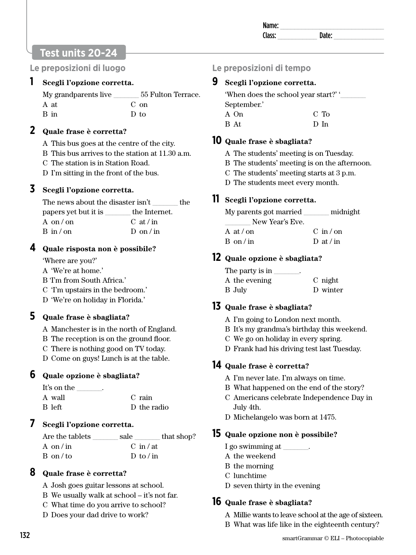# **Test units 20-24**

**Le preposizioni di luogo**

#### **1 Scegli l'opzione corretta.**

| My grandparents live | 55 Fulton Terrace. |
|----------------------|--------------------|
| A at                 | $C$ on             |
| B in                 | D to               |

#### **2 Quale frase è corretta?**

A This bus goes at the centre of the city.

- B This bus arrives to the station at 11.30 a.m.
- C The station is in Station Road.

D I'm sitting in the front of the bus.

#### **3 Scegli l'opzione corretta.**

The news about the disaster isn't \_\_\_\_\_\_\_ the papers yet but it is \_\_\_\_\_\_\_ the Internet. A on / on  $B$  in  $/$  on  $C \text{ at } / \text{ in}$  $D$  on / in

#### **4 Quale risposta non è possibile?**

'Where are you?'

- A 'We're at home.'
- B 'I'm from South Africa.'
- C 'I'm upstairs in the bedroom.'
- D 'We're on holiday in Florida.'

#### **5 Quale frase è sbagliata?**

- A Manchester is in the north of England.
- B The reception is on the ground floor.
- C There is nothing good on TV today.

D Come on guys! Lunch is at the table.

#### **6 Quale opzione è sbagliata?**

| It's on the<br>$\overline{\phantom{a}}$ |             |
|-----------------------------------------|-------------|
| A wall                                  | C rain      |
| B left                                  | D the radio |

#### **7 Scegli l'opzione corretta.**

| Are the tablets   | sale                | that shop? |
|-------------------|---------------------|------------|
| A on/in           | $C \in \mathcal{L}$ |            |
| $B \text{ on } t$ | D to $\sin$         |            |

#### **8 Quale frase è corretta?**

- A Josh goes guitar lessons at school.
- B We usually walk at school it's not far.
- C What time do you arrive to school?
- D Does your dad drive to work?

# **Le preposizioni di tempo**

#### **9 Scegli l'opzione corretta.**

'When does the school year start?' ' September.'

A On B At C To D In

#### **10 Quale frase è sbagliata?**

- A The students' meeting is on Tuesday.
- B The students' meeting is on the afternoon.
- C The students' meeting starts at 3 p.m.
- D The students meet every month.

# **11 Scegli l'opzione corretta.**

| My parents got married<br>New Year's Eve. | midnight                |
|-------------------------------------------|-------------------------|
| A at $\theta$ on                          | $C \in \mathbb{R}^n$ on |
| $B \text{ on } \ln$                       | D at / in               |

# **12 Quale opzione è sbagliata?**

| The party is in<br>٠ |          |
|----------------------|----------|
| A the evening        | C night  |
| B July               | D winter |

#### **13 Quale frase è sbagliata?**

- A I'm going to London next month.
- B It's my grandma's birthday this weekend.
- C We go on holiday in every spring.
- D Frank had his driving test last Tuesday.

# **14 Quale frase è corretta?**

- A I'm never late. I'm always on time.
- B What happened on the end of the story?
- C Americans celebrate Independence Day in July 4th.
- D Michelangelo was born at 1475.

#### **15 Quale opzione non è possibile?**

- I go swimming at  $\overline{\phantom{a}}$
- A the weekend
- B the morning
- C lunchtime
- D seven thirty in the evening

#### **16 Quale frase è sbagliata?**

- A Millie wants to leave school at the age of sixteen.
- B What was life like in the eighteenth century?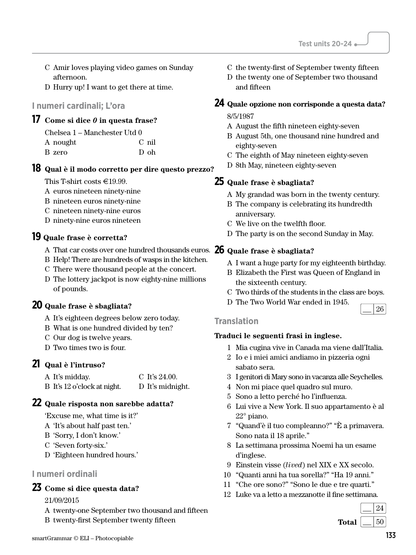- C Amir loves playing video games on Sunday afternoon.
- D Hurry up! I want to get there at time.

#### **I numeri cardinali; L'ora**

# **17 Come si dice** *0* **in questa frase?**

|  | Chelsea 1 – Manchester Utd 0 |  |
|--|------------------------------|--|
|--|------------------------------|--|

| A nought | C nil |
|----------|-------|
| B zero   | D oh  |

#### **18 Qual è il modo corretto per dire questo prezzo?**

This T-shirt costs  $\in$ 19.99.

- A euros nineteen ninety-nine
- B nineteen euros ninety-nine
- C nineteen ninety-nine euros
- D ninety-nine euros nineteen

#### **19 Quale frase è corretta?**

- A That car costs over one hundred thousands euros. **26 Quale frase è sbagliata?**
- B Help! There are hundreds of wasps in the kitchen.
- C There were thousand people at the concert.
- D The lottery jackpot is now eighty-nine millions of pounds.

#### **20 Quale frase è sbagliata?**

- A It's eighteen degrees below zero today.
- B What is one hundred divided by ten?
- C Our dog is twelve years.
- D Two times two is four.

#### **21 Qual è l'intruso?**

| A It's midday.              | C It's $24.00$ . |
|-----------------------------|------------------|
| B It's 12 o'clock at night. | D It's midnight. |

#### **22 Quale risposta non sarebbe adatta?**

'Excuse me, what time is it?'

- A 'It's about half past ten.'
- B 'Sorry, I don't know.'
- C 'Seven forty-six.'
- D 'Eighteen hundred hours.'

#### **I numeri ordinali**

#### **23 Come si dice questa data?**

21/09/2015

- A twenty-one September two thousand and fifteen
- B twenty-first September twenty fifteen
- C the twenty-first of September twenty fifteen
- D the twenty one of September two thousand and fifteen

## **24 Quale opzione non corrisponde a questa data?**

8/5/1987

- A August the fifth nineteen eighty-seven
- B August 5th, one thousand nine hundred and eighty-seven
- C The eighth of May nineteen eighty-seven
- D 8th May, nineteen eighty-seven

#### **25 Quale frase è sbagliata?**

- A My grandad was born in the twenty century.
- B The company is celebrating its hundredth anniversary.
- C We live on the twelfth floor.
- D The party is on the second Sunday in May.

- A I want a huge party for my eighteenth birthday.
- B Elizabeth the First was Queen of England in the sixteenth century.
- C Two thirds of the students in the class are boys.
- D The Two World War ended in 1945.

#### **Translation**

#### **Traduci le seguenti frasi in inglese.**

- 1 Mia cugina vive in Canada ma viene dall'Italia.
- 2 Io e i miei amici andiamo in pizzeria ogni sabato sera.
- 3 I genitori di Mary sono in vacanza alle Seychelles.
- 4 Non mi piace quel quadro sul muro.
- 5 Sono a letto perché ho l'influenza.
- 6 Lui vive a New York. Il suo appartamento è al 22° piano.
- 7 "Quand'è il tuo compleanno?" "È a primavera. Sono nata il 18 aprile."
- 8 La settimana prossima Noemi ha un esame d'inglese.
- 9 Einstein visse (*lived*) nel XIX e XX secolo.
- 10 "Quanti anni ha tua sorella?" "Ha 19 anni."
- 11 "Che ore sono?" "Sono le due e tre quarti."
- 12 Luke va a letto a mezzanotte il fine settimana.



26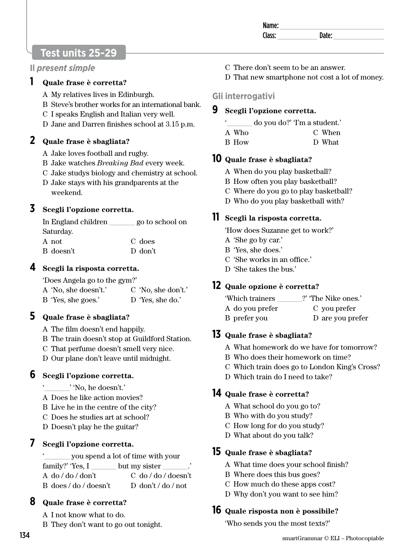| Ndi<br>. . |  |
|------------|--|
|            |  |
|            |  |

# **Test units 25-29**

#### **Il** *present simple*

#### **1 Quale frase è corretta?**

- A My relatives lives in Edinburgh.
- B Steve's brother works for an international bank.
- C I speaks English and Italian very well.
- D Jane and Darren finishes school at 3.15 p.m.

#### **2 Quale frase è sbagliata?**

- A Jake loves football and rugby.
- B Jake watches *Breaking Bad* every week.
- C Jake studys biology and chemistry at school.
- D Jake stays with his grandparents at the weekend.

# **3 Scegli l'opzione corretta.**

| In England children | go to school on |
|---------------------|-----------------|
| Saturday.           |                 |
| A not               | C does          |
| B doesn't           | D don't         |

#### **4 Scegli la risposta corretta.**

'Does Angela go to the gym?'

| A 'No, she doesn't.' | C 'No, she don't.' |
|----------------------|--------------------|
| B 'Yes, she goes.'   | D 'Yes, she do.'   |

#### **5 Quale frase è sbagliata?**

- A The film doesn't end happily.
- B The train doesn't stop at Guildford Station.
- C That perfume doesn't smell very nice.
- D Our plane don't leave until midnight.

#### **6 Scegli l'opzione corretta.**

- ' 'No, he doesn't.'
- A Does he like action movies?
- B Live he in the centre of the city?
- C Does he studies art at school?
- D Doesn't play he the guitar?

# **7 Scegli l'opzione corretta.**

'\_\_\_\_\_\_\_ you spend a lot of time with your family?' 'Yes, I \_\_\_\_\_\_\_\_ but my sister A do / do / don't B does / do / doesn't C do / do / doesn't D don't / do / not

#### **8 Quale frase è corretta?**

A I not know what to do.

B They don't want to go out tonight.

- C There don't seem to be an answer.
- D That new smartphone not cost a lot of money.

#### **Gli interrogativi**

#### **9 Scegli l'opzione corretta.**

- '\_\_\_\_\_\_\_ do you do?' 'I'm a student.'
- A Who C When
- B How D What

#### **10 Quale frase è sbagliata?**

- A When do you play basketball?
- B How often you play basketball?
- C Where do you go to play basketball?
- D Who do you play basketball with?

#### **11 Scegli la risposta corretta.**

'How does Suzanne get to work?'

- A 'She go by car.'
- B 'Yes, she does.'
- C 'She works in an office.'
- D 'She takes the bus.'

# **12 Quale opzione è corretta?**

| 'Which trainers | ?' The Nike ones.' |  |  |
|-----------------|--------------------|--|--|
| A do you prefer | C you prefer       |  |  |
| B prefer you    | D are you prefer   |  |  |

#### **13 Quale frase è sbagliata?**

- A What homework do we have for tomorrow?
- B Who does their homework on time?
- C Which train does go to London King's Cross?
- D Which train do I need to take?

#### **14 Quale frase è corretta?**

- A What school do you go to?
- B Who with do you study?
- C How long for do you study?
- D What about do you talk?

#### **15 Quale frase è sbagliata?**

- A What time does your school finish?
- B Where does this bus goes?
- C How much do these apps cost?
- D Why don't you want to see him?

#### **16 Quale risposta non è possibile?**

'Who sends you the most texts?'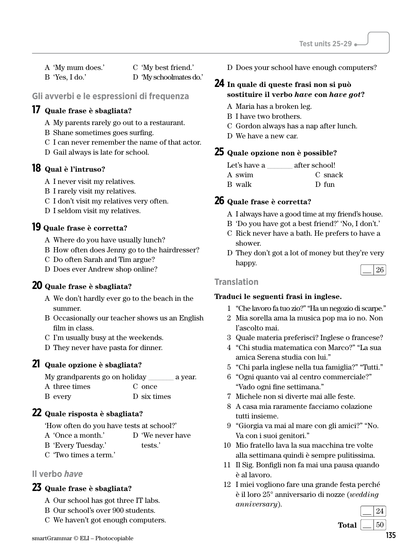A 'My mum does.' B 'Yes, I do.'

C 'My best friend.'

D 'My schoolmates do.'

#### **Gli avverbi e le espressioni di frequenza**

#### **17 Quale frase è sbagliata?**

- A My parents rarely go out to a restaurant.
- B Shane sometimes goes surfing.
- C I can never remember the name of that actor.
- D Gail always is late for school.

#### **18 Qual è l'intruso?**

- A I never visit my relatives.
- B I rarely visit my relatives.
- C I don't visit my relatives very often.
- D I seldom visit my relatives.

#### **19 Quale frase è corretta?**

- A Where do you have usually lunch?
- B How often does Jenny go to the hairdresser?
- C Do often Sarah and Tim argue?
- D Does ever Andrew shop online?

#### **20 Quale frase è sbagliata?**

- A We don't hardly ever go to the beach in the summer.
- B Occasionally our teacher shows us an English film in class.
- C I'm usually busy at the weekends.
- D They never have pasta for dinner.

#### **21 Quale opzione è sbagliata?**

| My grandparents go on holiday |             | a year. |
|-------------------------------|-------------|---------|
| A three times                 | C once      |         |
| B every                       | D six times |         |

#### **22 Quale risposta è sbagliata?**

'How often do you have tests at school?'

- A 'Once a month.' D 'We never have
- B 'Every Tuesday.' tests.'
- C 'Two times a term.'

#### **Il verbo** *have*

#### **23 Quale frase è sbagliata?**

- A Our school has got three IT labs.
- B Our school's over 900 students.
- C We haven't got enough computers.

D Does your school have enough computers?

#### **24 In quale di queste frasi non si può sostituire il verbo** *have* **con** *have got***?**

- A Maria has a broken leg.
- B I have two brothers.
- C Gordon always has a nap after lunch.
- D We have a new car.

#### **25 Quale opzione non è possible?**

| Let's have a | after school! |
|--------------|---------------|
| A swim       | C snack       |
| B walk       | D fun         |

#### **26 Quale frase è corretta?**

- A I always have a good time at my friend's house.
- B 'Do you have got a best friend?' 'No, I don't.'
- C Rick never have a bath. He prefers to have a shower.
- D They don't got a lot of money but they're very happy. 26

#### **Translation**

- 1 "Che lavoro fa tuo zio?" "Ha un negozio di scarpe."
- 2 Mia sorella ama la musica pop ma io no. Non l'ascolto mai.
- 3 Quale materia preferisci? Inglese o francese?
- 4 "Chi studia matematica con Marco?" "La sua amica Serena studia con lui."
- 5 "Chi parla inglese nella tua famiglia?" "Tutti."
- 6 "Ogni quanto vai al centro commerciale?" "Vado ogni fine settimana."
- 7 Michele non si diverte mai alle feste.
- 8 A casa mia raramente facciamo colazione tutti insieme.
- 9 "Giorgia va mai al mare con gli amici?" "No. Va con i suoi genitori."
- 10 Mio fratello lava la sua macchina tre volte alla settimana quindi è sempre pulitissima.
- 11 Il Sig. Bonfigli non fa mai una pausa quando è al lavoro.
- 12 I miei vogliono fare una grande festa perché è il loro 25° anniversario di nozze (*wedding anniversary*).

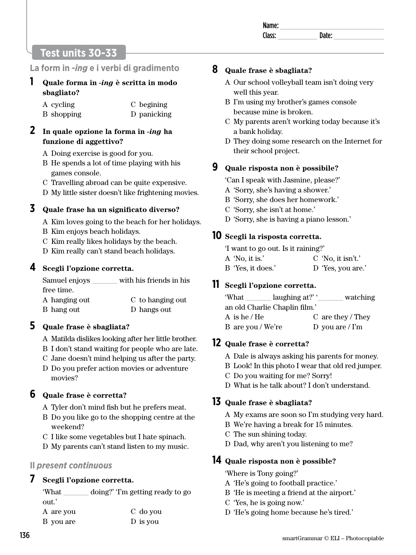# **Test units 30-33**

# **La form in** *-ing* **e i verbi di gradimento**

**1 Quale forma in** *-ing* **è scritta in modo sbagliato?** 

| A cycling  | C begining  |
|------------|-------------|
| B shopping | D panicking |

#### **2 In quale opzione la forma in** *-ing* **ha funzione di aggettivo?**

- A Doing exercise is good for you.
- B He spends a lot of time playing with his games console.
- C Travelling abroad can be quite expensive.
- D My little sister doesn't like frightening movies.

**3 Quale frase ha un significato diverso?**

- A Kim loves going to the beach for her holidays.
- B Kim enjoys beach holidays.
- C Kim really likes holidays by the beach.
- D Kim really can't stand beach holidays.

#### **4 Scegli l'opzione corretta.**

Samuel enjoys \_\_\_\_\_\_\_ with his friends in his free time. A hanging out C to hanging out

B hang out D hangs out

#### **5 Quale frase è sbagliata?**

A Matilda dislikes looking after her little brother.

- B I don't stand waiting for people who are late.
- C Jane doesn't mind helping us after the party. D Do you prefer action movies or adventure movies?

#### **6 Quale frase è corretta?**

- A Tyler don't mind fish but he prefers meat.
- B Do you like go to the shopping centre at the weekend?
- C I like some vegetables but I hate spinach.
- D My parents can't stand listen to my music.

#### **Il** *present continuous*

#### **7 Scegli l'opzione corretta.**

'What \_\_\_\_\_\_\_ doing?' 'I'm getting ready to go out.'

| A are you | C do you |
|-----------|----------|
| B you are | D is you |

#### **8 Quale frase è sbagliata?**

- A Our school volleyball team isn't doing very well this year.
- B I'm using my brother's games console because mine is broken.
- C My parents aren't working today because it's a bank holiday.
- D They doing some research on the Internet for their school project.

# **9 Quale risposta non è possibile?**

'Can I speak with Jasmine, please?'

- A 'Sorry, she's having a shower.'
- B 'Sorry, she does her homework.'
- C 'Sorry, she isn't at home.'
- D 'Sorry, she is having a piano lesson.'

#### **10 Scegli la risposta corretta.**

'I want to go out. Is it raining?'

| A 'No, it is.'    | $C'$ No, it isn't.' |
|-------------------|---------------------|
| B 'Yes, it does.' | D 'Yes, you are.'   |

#### **11 Scegli l'opzione corretta.**

| 'What                         | laughing at?' $\cdot$ | watching             |
|-------------------------------|-----------------------|----------------------|
| an old Charlie Chaplin film.' |                       |                      |
| A is he / $He$                |                       | C are they / They    |
| B are you / We're             |                       | D you are $\Gamma$ m |

# **12 Quale frase è corretta?**

- A Dale is always asking his parents for money.
- B Look! In this photo I wear that old red jumper.
- C Do you waiting for me? Sorry!
- D What is he talk about? I don't understand.

#### **13 Quale frase è sbagliata?**

- A My exams are soon so I'm studying very hard.
- B We're having a break for 15 minutes.
- C The sun shining today.
- D Dad, why aren't you listening to me?

#### **14 Quale risposta non è possible?**

'Where is Tony going?'

- A 'He's going to football practice.'
- B 'He is meeting a friend at the airport.'
- C 'Yes, he is going now.'
- D 'He's going home because he's tired.'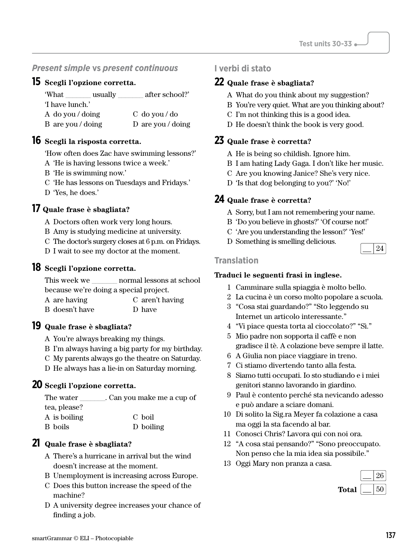#### *Present simple* **vs** *present continuous*

#### **15 Scegli l'opzione corretta.**

| 'What             | usually | after school?'    |
|-------------------|---------|-------------------|
| 'I have lunch.'   |         |                   |
| A do you / doing  |         | $C$ do you / do   |
| B are you / doing |         | D are you / doing |

#### **16 Scegli la risposta corretta.**

'How often does Zac have swimming lessons?'

- A 'He is having lessons twice a week.'
- B 'He is swimming now.'
- C 'He has lessons on Tuesdays and Fridays.'
- D 'Yes, he does.'

#### **17 Quale frase è sbagliata?**

A Doctors often work very long hours.

B Amy is studying medicine at university.

- C The doctor's surgery closes at 6 p.m. on Fridays.
- D I wait to see my doctor at the moment.

#### **18 Scegli l'opzione corretta.**

This week we \_\_\_\_\_\_\_\_ normal lessons at school because we're doing a special project.

| A are having   | C aren't having |
|----------------|-----------------|
| B doesn't have | D have          |

#### **19 Quale frase è sbagliata?**

A You're always breaking my things.

- B I'm always having a big party for my birthday.
- C My parents always go the theatre on Saturday.
- D He always has a lie-in on Saturday morning.

#### **20 Scegli l'opzione corretta.**

| The water    | . Can you make me a cup of |
|--------------|----------------------------|
| tea, please? |                            |
| A is boiling | C boil                     |
| B boils      | D boiling                  |

#### **21 Quale frase è sbagliata?**

- A There's a hurricane in arrival but the wind doesn't increase at the moment.
- B Unemployment is increasing across Europe.
- C Does this button increase the speed of the machine?
- D A university degree increases your chance of finding a job.

#### **I verbi di stato**

#### **22 Quale frase è sbagliata?**

- A What do you think about my suggestion?
- B You're very quiet. What are you thinking about?
- C I'm not thinking this is a good idea.
- D He doesn't think the book is very good.

#### **23 Quale frase è corretta?**

- A He is being so childish. Ignore him.
- B I am hating Lady Gaga. I don't like her music.
- C Are you knowing Janice? She's very nice.
- D 'Is that dog belonging to you?' 'No!'

#### **24 Quale frase è corretta?**

- A Sorry, but I am not remembering your name.
- B 'Do you believe in ghosts?' 'Of course not!'
- C 'Are you understanding the lesson?' 'Yes!'
- D Something is smelling delicious.

#### **Translation**

#### **Traduci le seguenti frasi in inglese.**

- 1 Camminare sulla spiaggia è molto bello.
- 2 La cucina è un corso molto popolare a scuola.
- 3 "Cosa stai guardando?" "Sto leggendo su Internet un articolo interessante."
- 4 "Vi piace questa torta al cioccolato?" "Sì."
- 5 Mio padre non sopporta il caffè e non gradisce il tè. A colazione beve sempre il latte.
- 6 A Giulia non piace viaggiare in treno.
- 7 Ci stiamo divertendo tanto alla festa.
- 8 Siamo tutti occupati. Io sto studiando e i miei genitori stanno lavorando in giardino.
- 9 Paul è contento perché sta nevicando adesso e può andare a sciare domani.
- 10 Di solito la Sig.ra Meyer fa colazione a casa ma oggi la sta facendo al bar.
- 11 Conosci Chris? Lavora qui con noi ora.
- 12 "A cosa stai pensando?" "Sono preoccupato. Non penso che la mia idea sia possibile."
- 13 Oggi Mary non pranza a casa.

|       | 26  |
|-------|-----|
| Total | 5() |

24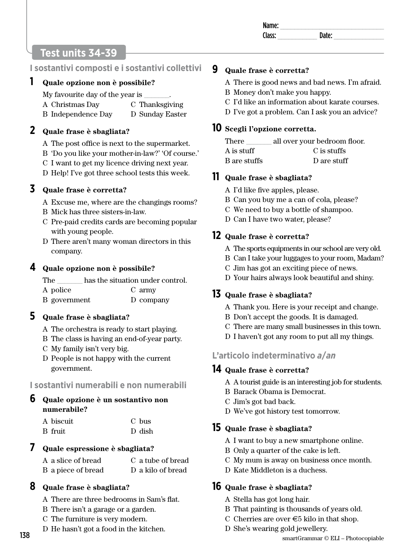# **Test units 34-39**

# **I sostantivi composti e i sostantivi collettivi**

#### **1 Quale opzione non è possibile?**

My favourite day of the year is

- A Christmas Day C Thanksgiving
- B Independence Day D Sunday Easter

#### **2 Quale frase è sbagliata?**

- A The post office is next to the supermarket.
- B 'Do you like your mother-in-law?' 'Of course.'
- C I want to get my licence driving next year.
- D Help! I've got three school tests this week.

# **3 Quale frase è corretta?**

- A Excuse me, where are the changings rooms?
- B Mick has three sisters-in-law.
- C Pre-paid credits cards are becoming popular with young people.
- D There aren't many woman directors in this company.

# **4 Quale opzione non è possibile?**

| The          | has the situation under control. |
|--------------|----------------------------------|
| A police     | C army                           |
| B government | D company                        |

# **5 Quale frase è sbagliata?**

- A The orchestra is ready to start playing.
- B The class is having an end-of-year party.
- C My family isn't very big.
- D People is not happy with the current government.

# **I sostantivi numerabili e non numerabili**

# **6 Quale opzione è un sostantivo non numerabile?**

| A biscuit | C bus  |
|-----------|--------|
| B fruit   | D dish |

# **7 Quale espressione è sbagliata?**

A a slice of bread B a piece of bread C a tube of bread D a kilo of bread

# **8 Quale frase è sbagliata?**

- A There are three bedrooms in Sam's flat.
- B There isn't a garage or a garden.
- C The furniture is very modern.
- D He hasn't got a food in the kitchen.

# **9 Quale frase è corretta?**

- A There is good news and bad news. I'm afraid.
- B Money don't make you happy.
- C I'd like an information about karate courses.
- D I've got a problem. Can I ask you an advice?

## **10 Scegli l'opzione corretta.**

There all over your bedroom floor. A is stuff B are stuffs C is stuffs D are stuff

# **11 Quale frase è sbagliata?**

- A I'd like five apples, please.
- B Can you buy me a can of cola, please?
- C We need to buy a bottle of shampoo.
- D Can I have two water, please?

# **12 Quale frase è corretta?**

- A The sports equipments in our school are very old.
- B Can I take your luggages to your room, Madam?
- C Jim has got an exciting piece of news.
- D Your hairs always look beautiful and shiny.

# **13 Quale frase è sbagliata?**

- A Thank you. Here is your receipt and change.
- B Don't accept the goods. It is damaged.
- C There are many small businesses in this town.
- D I haven't got any room to put all my things.

# **L'articolo indeterminativo** *a***/***an*

# **14 Quale frase è corretta?**

- A A tourist guide is an interesting job for students.
- B Barack Obama is Democrat.
- C Jim's got bad back.
- D We've got history test tomorrow.

# **15 Quale frase è sbagliata?**

- A I want to buy a new smartphone online.
- B Only a quarter of the cake is left.
- C My mum is away on business once month.
- D Kate Middleton is a duchess.

# **16 Quale frase è sbagliata?**

- A Stella has got long hair.
- B That painting is thousands of years old.
- C Cherries are over  $\epsilon$ 5 kilo in that shop.
- D She's wearing gold jewellery.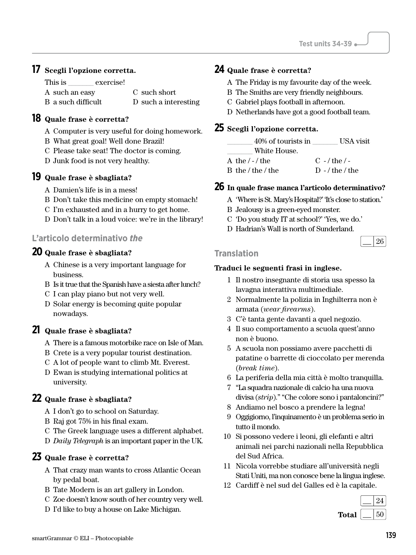# **17 Scegli l'opzione corretta.**

| This is            | exercise! |                      |
|--------------------|-----------|----------------------|
| A such an easy     |           | C such short         |
| B a such difficult |           | D such a interesting |

# **18 Quale frase è corretta?**

- A Computer is very useful for doing homework.
- B What great goal! Well done Brazil!
- C Please take seat! The doctor is coming.
- D Junk food is not very healthy.

# **19 Quale frase è sbagliata?**

- A Damien's life is in a mess!
- B Don't take this medicine on empty stomach!
- C I'm exhausted and in a hurry to get home.
- D Don't talk in a loud voice: we're in the library!

# **L'articolo determinativo** *the*

# **20 Quale frase è sbagliata?**

- A Chinese is a very important language for business.
- B Is it true that the Spanish have a siesta after lunch?
- C I can play piano but not very well.
- D Solar energy is becoming quite popular nowadays.

# **21 Quale frase è sbagliata?**

- A There is a famous motorbike race on Isle of Man.
- B Crete is a very popular tourist destination.
- C A lot of people want to climb Mt. Everest.
- D Ewan is studying international politics at university.

# **22 Quale frase è sbagliata?**

- A I don't go to school on Saturday.
- B Raj got 75% in his final exam.
- C The Greek language uses a different alphabet.
- D *Daily Telegraph* is an important paper in the UK.

# **23 Quale frase è corretta?**

- A That crazy man wants to cross Atlantic Ocean by pedal boat.
- B Tate Modern is an art gallery in London.
- C Zoe doesn't know south of her country very well.
- D I'd like to buy a house on Lake Michigan.

# **24 Quale frase è corretta?**

- A The Friday is my favourite day of the week.
- B The Smiths are very friendly neighbours.
- C Gabriel plays football in afternoon.
- D Netherlands have got a good football team.

# **25 Scegli l'opzione corretta.**

| 40% of tourists in<br>White House. | USA visit         |
|------------------------------------|-------------------|
| A the $/$ - $/$ the                | $C - /$ the $/ -$ |
| B the / the / the                  | $D - /$ the / the |

# **26 In quale frase manca l'articolo determinativo?**

- A 'Where is St. Mary's Hospital?' 'It's close to station.'
- B Jealousy is a green-eyed monster.
- C 'Do you study IT at school?' 'Yes, we do.'
- D Hadrian's Wall is north of Sunderland.

|--|

#### **Translation**

- 1 Il nostro insegnante di storia usa spesso la lavagna interattiva multimediale.
- 2 Normalmente la polizia in Inghilterra non è armata (*wear firearms*).
- 3 C'è tanta gente davanti a quel negozio.
- 4 Il suo comportamento a scuola quest'anno non è buono.
- 5 A scuola non possiamo avere pacchetti di patatine o barrette di cioccolato per merenda (*break time*).
- 6 La periferia della mia città è molto tranquilla.
- 7 "La squadra nazionale di calcio ha una nuova divisa (*strip*)." "Che colore sono i pantaloncini?"
- 8 Andiamo nel bosco a prendere la legna!
- 9 Oggigiorno, l'inquinamento è un problema serio in tutto il mondo.
- 10 Si possono vedere i leoni, gli elefanti e altri animali nei parchi nazionali nella Repubblica del Sud Africa.
- 11 Nicola vorrebbe studiare all'università negli Stati Uniti, ma non conosce bene la lingua inglese.
- 12 Cardiff è nel sud del Galles ed è la capitale.

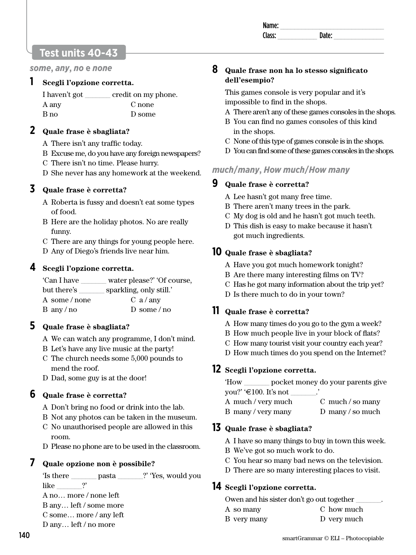| $-1$<br>anie.<br> |    |  |
|-------------------|----|--|
| occ.              | ыш |  |
|                   |    |  |

# **Test units 40-43**

*some***,** *any***,** *no* **e** *none*

#### **1 Scegli l'opzione corretta.**

| I haven't got | credit on my phone. |
|---------------|---------------------|
| A any         | C none              |
| B no          | D some              |

#### **2 Quale frase è sbagliata?**

- A There isn't any traffic today.
- B Excuse me, do you have any foreign newspapers?
- C There isn't no time. Please hurry.
- D She never has any homework at the weekend.

# **3 Quale frase è corretta?**

- A Roberta is fussy and doesn't eat some types of food.
- B Here are the holiday photos. No are really funny.
- C There are any things for young people here.
- D Any of Diego's friends live near him.

# **4 Scegli l'opzione corretta.**

| 'Can I have                      | water please?' Of course, |
|----------------------------------|---------------------------|
| but there's                      | sparkling, only still.    |
| A some/none                      | $C \ a / \ anv$           |
| $B \, \text{any} / \, \text{no}$ | D some/no                 |

# **5 Quale frase è sbagliata?**

- A We can watch any programme, I don't mind.
- B Let's have any live music at the party!
- C The church needs some 5,000 pounds to mend the roof.
- D Dad, some guy is at the door!

# **6 Quale frase è corretta?**

- A Don't bring no food or drink into the lab.
- B Not any photos can be taken in the museum.
- C No unauthorised people are allowed in this room.
- D Please no phone are to be used in the classroom.

# **7 Quale opzione non è possibile?**

'Is there \_\_\_\_\_\_\_ pasta \_\_\_\_\_\_\_?' 'Yes, would you like  $\qquad$  ?'

- A no… more / none left
- B any… left / some more
- C some… more / any left D any… left / no more

# **9 Quale frase è corretta?**

in the shops.

**dell'esempio?** 

A Lee hasn't got many free time.

*much***/***many***,** *How much***/***How many*

B There aren't many trees in the park.

**8 Quale frase non ha lo stesso significato** 

impossible to find in the shops.

This games console is very popular and it's

A There aren't any of these games consoles in the shops. B You can find no games consoles of this kind

C None of this type of games console is in the shops. D You can find some of these games consoles in the shops.

- C My dog is old and he hasn't got much teeth.
- D This dish is easy to make because it hasn't got much ingredients.

# **10 Quale frase è sbagliata?**

- A Have you got much homework tonight?
- B Are there many interesting films on TV?
- C Has he got many information about the trip yet?
- D Is there much to do in your town?

# **11 Quale frase è corretta?**

- A How many times do you go to the gym a week?
- B How much people live in your block of flats?
- C How many tourist visit your country each year?
- D How much times do you spend on the Internet?

# **12 Scegli l'opzione corretta.**

'How \_\_\_\_\_\_\_ pocket money do your parents give you?'  $\textcircled{\texttt{f}}$  = 100. It's not \_\_\_\_\_\_\_.'

| A much / very much | C much / so many |
|--------------------|------------------|
| B many/very many   | D many / so much |

#### **13 Quale frase è sbagliata?**

- A I have so many things to buy in town this week.
- B We've got so much work to do.
- C You hear so many bad news on the television.
- D There are so many interesting places to visit.

#### **14 Scegli l'opzione corretta.**

Owen and his sister don't go out together \_\_\_\_\_\_\_.

A so many B very many C how much D very much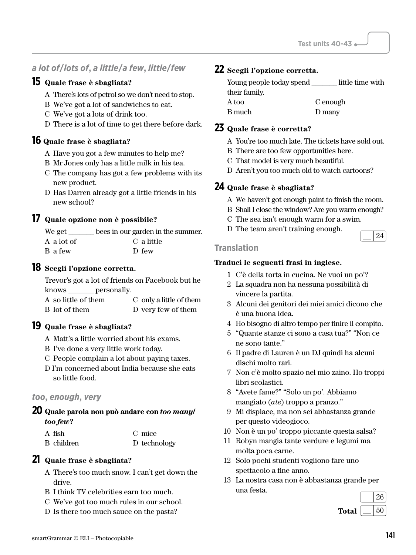# *a lot of***/***lots of***,** *a little***/***a few***,** *little***/***few*

#### **15 Quale frase è sbagliata?**

- A There's lots of petrol so we don't need to stop.
- B We've got a lot of sandwiches to eat.
- C We've got a lots of drink too.
- D There is a lot of time to get there before dark.

#### **16 Quale frase è sbagliata?**

- A Have you got a few minutes to help me?
- B Mr Jones only has a little milk in his tea.
- C The company has got a few problems with its new product.
- D Has Darren already got a little friends in his new school?

#### **17 Quale opzione non è possibile?**

| We get     | bees in our garden in the summer. |
|------------|-----------------------------------|
| A a lot of | C a little                        |
| B a few    | D few                             |

#### **18 Scegli l'opzione corretta.**

Trevor's got a lot of friends on Facebook but he knows \_\_\_\_\_\_\_ personally.

| A so little of them | C only a little of them |
|---------------------|-------------------------|
| B lot of them       | D very few of them      |

#### **19 Quale frase è sbagliata?**

- A Matt's a little worried about his exams.
- B I've done a very little work today.
- C People complain a lot about paying taxes.
- D I'm concerned about India because she eats so little food.

#### *too***,** *enough***,** *very*

#### **20 Quale parola non può andare con** *too many***/** *too few***?**

| A fish     | C mice       |
|------------|--------------|
| B children | D technology |

#### **21 Quale frase è sbagliata?**

- A There's too much snow. I can't get down the drive.
- B I think TV celebrities earn too much.
- C We've got too much rules in our school.
- D Is there too much sauce on the pasta?

#### **22 Scegli l'opzione corretta.**

| Young people today spend | little time with |
|--------------------------|------------------|
| their family.            |                  |
| A too                    | C enough         |
| B much                   | D many           |

#### **23 Quale frase è corretta?**

- A You're too much late. The tickets have sold out.
- B There are too few opportunities here.
- C That model is very much beautiful.
- D Aren't you too much old to watch cartoons?

#### **24 Quale frase è sbagliata?**

- A We haven't got enough paint to finish the room.
- B Shall I close the window? Are you warm enough?
- C The sea isn't enough warm for a swim.
- D The team aren't training enough.

#### **Translation**

#### **Traduci le seguenti frasi in inglese.**

- 1 C'è della torta in cucina. Ne vuoi un po'?
- 2 La squadra non ha nessuna possibilità di vincere la partita.
- 3 Alcuni dei genitori dei miei amici dicono che è una buona idea.
- 4 Ho bisogno di altro tempo per finire il compito.
- 5 "Quante stanze ci sono a casa tua?" "Non ce ne sono tante."
- 6 Il padre di Lauren è un DJ quindi ha alcuni dischi molto rari.
- 7 Non c'è molto spazio nel mio zaino. Ho troppi libri scolastici.
- 8 "Avete fame?" "Solo un po'. Abbiamo mangiato (*ate*) troppo a pranzo."
- 9 Mi dispiace, ma non sei abbastanza grande per questo videogioco.
- 10 Non è un po' troppo piccante questa salsa?
- 11 Robyn mangia tante verdure e legumi ma molta poca carne.
- 12 Solo pochi studenti vogliono fare uno spettacolo a fine anno.
- 13 La nostra casa non è abbastanza grande per una festa.



24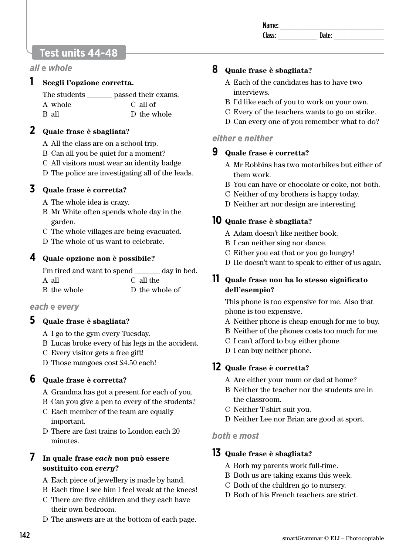# **Test units 44-48**

#### *all* **e** *whole*

#### **1 Scegli l'opzione corretta.**

| The students | passed their exams. |
|--------------|---------------------|
| A whole      | C all of            |
| B all        | D the whole         |

#### **2 Quale frase è sbagliata?**

- A All the class are on a school trip.
- B Can all you be quiet for a moment?
- C All visitors must wear an identity badge.
- D The police are investigating all of the leads.

# **3 Quale frase è corretta?**

- A The whole idea is crazy.
- B Mr White often spends whole day in the garden.
- C The whole villages are being evacuated.
- D The whole of us want to celebrate.

#### **4 Quale opzione non è possibile?**

| I'm tired and want to spend | day in bed.    |
|-----------------------------|----------------|
| A all                       | C all the      |
| B the whole                 | D the whole of |

#### *each* **e** *every*

#### **5 Quale frase è sbagliata?**

- A I go to the gym every Tuesday.
- B Lucas broke every of his legs in the accident.
- C Every visitor gets a free gift!
- D Those mangoes cost £4.50 each!

# **6 Quale frase è corretta?**

- A Grandma has got a present for each of you.
- B Can you give a pen to every of the students?
- C Each member of the team are equally important.
- D There are fast trains to London each 20 minutes.

#### **7 In quale frase** *each* **non può essere sostituito con** *every***?**

- A Each piece of jewellery is made by hand.
- B Each time I see him I feel weak at the knees!
- C There are five children and they each have their own bedroom.
- D The answers are at the bottom of each page.

# **8 Quale frase è sbagliata?**

- A Each of the candidates has to have two interviews.
- B I'd like each of you to work on your own.
- C Every of the teachers wants to go on strike.
- D Can every one of you remember what to do?

#### *either* **e** *neither*

#### **9 Quale frase è corretta?**

- A Mr Robbins has two motorbikes but either of them work.
- B You can have or chocolate or coke, not both.
- C Neither of my brothers is happy today.
- D Neither art nor design are interesting.

#### **10 Quale frase è sbagliata?**

- A Adam doesn't like neither book.
- B I can neither sing nor dance.
- C Either you eat that or you go hungry!
- D He doesn't want to speak to either of us again.

#### **11 Quale frase non ha lo stesso significato dell'esempio?**

This phone is too expensive for me. Also that phone is too expensive.

- A Neither phone is cheap enough for me to buy.
- B Neither of the phones costs too much for me.
- C I can't afford to buy either phone.
- D I can buy neither phone.

# **12 Quale frase è corretta?**

- A Are either your mum or dad at home?
- B Neither the teacher nor the students are in the classroom.
- C Neither T-shirt suit you.
- D Neither Lee nor Brian are good at sport.

#### *both* **e** *most*

#### **13 Quale frase è sbagliata?**

- A Both my parents work full-time.
- B Both us are taking exams this week.
- C Both of the children go to nursery.
- D Both of his French teachers are strict.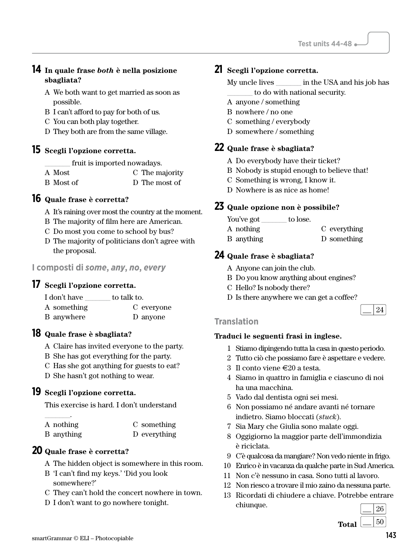# **14 In quale frase** *both* **è nella posizione sbagliata?**

- A We both want to get married as soon as possible.
- B I can't afford to pay for both of us.
- C You can both play together.
- D They both are from the same village.

#### **15 Scegli l'opzione corretta.**

fruit is imported nowadays.

- A Most C The majority
- B Most of D The most of

#### **16 Quale frase è corretta?**

- A It's raining over most the country at the moment.
- B The majority of film here are American.
- C Do most you come to school by bus?
- D The majority of politicians don't agree with the proposal.

# **I composti di** *some***,** *any***,** *no***,** *every*

#### **17 Scegli l'opzione corretta.**

| I don't have | to talk to. |
|--------------|-------------|
| A something  | C everyone  |
| B anywhere   | D anyone    |

#### **18 Quale frase è sbagliata?**

A Claire has invited everyone to the party.

B She has got everything for the party.

- C Has she got anything for guests to eat?
- D She hasn't got nothing to wear.

#### **19 Scegli l'opzione corretta.**

This exercise is hard. I don't understand

| A nothing  | C something  |
|------------|--------------|
| B anything | D everything |

#### **20 Quale frase è corretta?**

 $\overline{\phantom{a}}$  .

- A The hidden object is somewhere in this room.
- B 'I can't find my keys.' 'Did you look somewhere?'
- C They can't hold the concert nowhere in town.
- D I don't want to go nowhere tonight.

#### **21 Scegli l'opzione corretta.**

My uncle lives \_\_\_\_\_\_\_ in the USA and his job has \_\_\_\_\_\_\_ to do with national security.

- A anyone / something
- B nowhere / no one
- C something / everybody
- D somewhere / something

#### **22 Quale frase è sbagliata?**

- A Do everybody have their ticket?
- B Nobody is stupid enough to believe that!
- C Something is wrong, I know it.
- D Nowhere is as nice as home!

#### **23 Quale opzione non è possibile?**

You've got to lose. A nothing B anything C everything D something

#### **24 Quale frase è sbagliata?**

- A Anyone can join the club.
- B Do you know anything about engines?
- C Hello? Is nobody there?
- D Is there anywhere we can get a coffee?



#### **Translation**

- 1 Stiamo dipingendo tutta la casa in questo periodo.
- 2 Tutto ciò che possiamo fare è aspettare e vedere.
- 3 Il conto viene E20 a testa.
- 4 Siamo in quattro in famiglia e ciascuno di noi ha una macchina.
- 5 Vado dal dentista ogni sei mesi.
- 6 Non possiamo né andare avanti né tornare indietro. Siamo bloccati (*stuck*).
- 7 Sia Mary che Giulia sono malate oggi.
- 8 Oggigiorno la maggior parte dell'immondizia è riciclata.
- 9 C'è qualcosa da mangiare? Non vedo niente in frigo.
- 10 Enrico è in vacanza da qualche parte in Sud America.
- 11 Non c'è nessuno in casa. Sono tutti al lavoro.
- 12 Non riesco a trovare il mio zaino da nessuna parte.
- 13 Ricordati di chiudere a chiave. Potrebbe entrare chiunque.  $\begin{array}{c|c}\n\hline\n\end{array}$  26

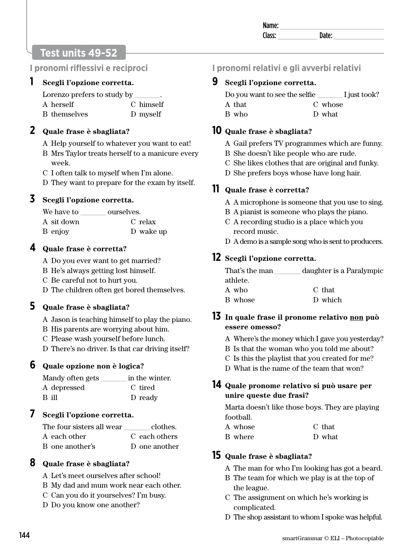| Name:              |  |
|--------------------|--|
| Clacc <sup>.</sup> |  |

# **Test units 49-52**

#### **I pronomi riflessivi e reciproci**

#### **1 Scegli l'opzione corretta.**

| Lorenzo prefers to study by |           |
|-----------------------------|-----------|
| A herself                   | C himself |
| B themselves                | D myself  |

#### **2 Quale frase è sbagliata?**

- A Help yourself to whatever you want to eat!
- B Mrs Taylor treats herself to a manicure every week.
- C I often talk to myself when I'm alone.
- D They want to prepare for the exam by itself.

#### **3 Scegli l'opzione corretta.**

| We have to | ourselves. |
|------------|------------|
| A sit down | C relax    |
| B enjoy    | D wake up  |

#### **4 Quale frase è corretta?**

A Do you ever want to get married?

- B He's always getting lost himself.
- C Be careful not to hurt you.
- D The children often get bored themselves.

#### **5 Quale frase è sbagliata?**

- A Jason is teaching himself to play the piano.
- B His parents are worrying about him.
- C Please wash yourself before lunch.
- D There's no driver. Is that car driving itself?

#### **6 Quale opzione non è logica?**

| Mandy often gets | in the winter. |
|------------------|----------------|
| A depressed      | C tired        |
| B ill            | D ready        |

#### **7 Scegli l'opzione corretta.**

| The four sisters all wear | clothes.      |
|---------------------------|---------------|
| A each other              | C each others |
| B one another's           | D one another |

#### **8 Quale frase è sbagliata?**

- A Let's meet ourselves after school!
- B My dad and mum work near each other.
- C Can you do it yourselves? I'm busy.
- D Do you know one another?

# **I pronomi relativi e gli avverbi relativi**

#### **9 Scegli l'opzione corretta.**

| Do you want to see the selfie | I just took? |
|-------------------------------|--------------|
| A that                        | C whose      |

- C whose
	- D what

#### **10 Quale frase è sbagliata?**

B who

- A Gail prefers TV programmes which are funny.
- B She doesn't like people who are rude.
- C She likes clothes that are original and funky.
- D She prefers boys whose have long hair.

#### **11 Quale frase è corretta?**

- A A microphone is someone that you use to sing.
- B A pianist is someone who plays the piano.
- C A recording studio is a place which you record music.
- D A demo is a sample song who is sent to producers.

# **12 Scegli l'opzione corretta.**

That's the man \_\_\_\_\_\_\_ daughter is a Paralympic athlete.

| A who   | C that  |
|---------|---------|
| B whose | D which |

#### **13 In quale frase il pronome relativo non può essere omesso?**

- A Where's the money which I gave you yesterday?
- B Is that the woman who you told me about?
- C Is this the playlist that you created for me?
- D What is the name of the team that won?

#### **14 Quale pronome relativo si può usare per unire queste due frasi?**

Marta doesn't like those boys. They are playing football.

| A whose | C that |
|---------|--------|
| B where | D what |

#### **15 Quale frase è sbagliata?**

- A The man for who I'm looking has got a beard.
- B The team for which we play is at the top of the league.
- C The assignment on which he's working is complicated.
- D The shop assistant to whom I spoke was helpful.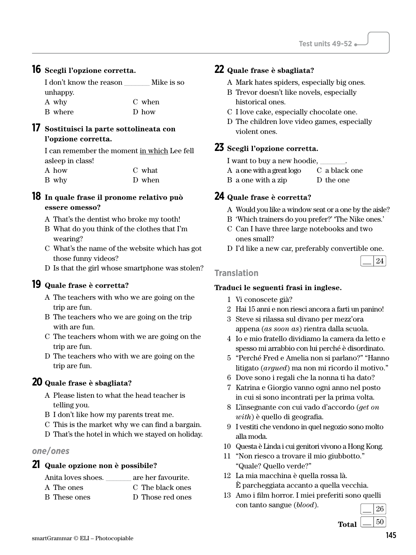#### **16 Scegli l'opzione corretta.**

| I don't know the reason | Mike is so |
|-------------------------|------------|
| unhappy.                |            |
| A why                   | C when     |
| B where                 | D how      |

#### **17 Sostituisci la parte sottolineata con l'opzione corretta.**

I can remember the moment in which Lee fell asleep in class! A how B why C what D when

#### **18 In quale frase il pronome relativo può essere omesso?**

- A That's the dentist who broke my tooth!
- B What do you think of the clothes that I'm wearing?
- C What's the name of the website which has got those funny videos?
- D Is that the girl whose smartphone was stolen?

#### **19 Quale frase è corretta?**

- A The teachers with who we are going on the trip are fun.
- B The teachers who we are going on the trip with are fun.
- C The teachers whom with we are going on the trip are fun.
- D The teachers who with we are going on the trip are fun.

#### **20 Quale frase è sbagliata?**

- A Please listen to what the head teacher is telling you.
- B I don't like how my parents treat me.
- C This is the market why we can find a bargain.
- D That's the hotel in which we stayed on holiday.

#### *one***/***ones*

#### **21 Quale opzione non è possibile?**

| Anita loves shoes. | are her favourite. |
|--------------------|--------------------|
| A The ones         | C. The black ones  |
| B These ones       | D Those red ones   |

# **22 Quale frase è sbagliata?**

- A Mark hates spiders, especially big ones.
- B Trevor doesn't like novels, especially historical ones.
- C I love cake, especially chocolate one.
- D The children love video games, especially violent ones.

#### **23 Scegli l'opzione corretta.**

- I want to buy a new hoodie.
- A a one with a great logo C a black one
- B a one with a zip D the one

#### **24 Quale frase è corretta?**

- A Would you like a window seat or a one by the aisle?
- B 'Which trainers do you prefer?' 'The Nike ones.'
- C Can I have three large notebooks and two ones small?
- D I'd like a new car, preferably convertible one.

#### **Translation**

- 1 Vi conoscete già?
- 2 Hai 15 anni e non riesci ancora a farti un panino!
- 3 Steve si rilassa sul divano per mezz'ora appena (*as soon as*) rientra dalla scuola.
- 4 Io e mio fratello dividiamo la camera da letto e spesso mi arrabbio con lui perché è disordinato.
- 5 "Perché Fred e Amelia non si parlano?" "Hanno litigato (*argued*) ma non mi ricordo il motivo."
- 6 Dove sono i regali che la nonna ti ha dato?
- 7 Katrina e Giorgio vanno ogni anno nel posto in cui si sono incontrati per la prima volta.
- 8 L'insegnante con cui vado d'accordo (*get on with*) è quello di geografia.
- 9 I vestiti che vendono in quel negozio sono molto alla moda.
- 10 Questa è Linda i cui genitori vivono a Hong Kong.
- 11 "Non riesco a trovare il mio giubbotto." "Quale? Quello verde?"
- 12 La mia macchina è quella rossa là. È parcheggiata accanto a quella vecchia.
- 13 Amo i film horror. I miei preferiti sono quelli con tanto sangue (*blood*).

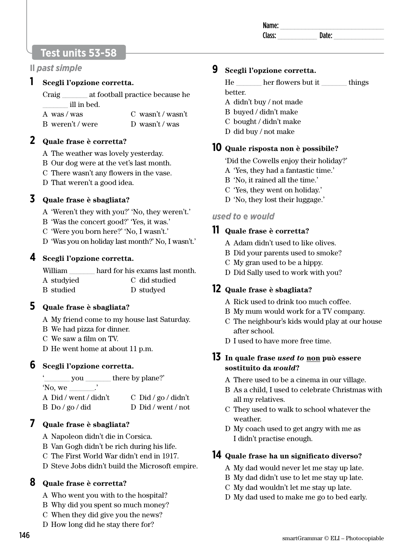# **Test units 53-58**

#### **Il** *past simple*

#### **1 Scegli l'opzione corretta.**

Craig at football practice because he \_\_\_\_\_\_\_ ill in bed.

- A was / was B weren't / were
	- C wasn't / wasn't D wasn't / was

#### **2 Quale frase è corretta?**

A The weather was lovely yesterday.

- B Our dog were at the vet's last month.
- C There wasn't any flowers in the vase.
- D That weren't a good idea.

#### **3 Quale frase è sbagliata?**

- A 'Weren't they with you?' 'No, they weren't.'
- B 'Was the concert good?' 'Yes, it was.'
- C 'Were you born here?' 'No, I wasn't.'
- D 'Was you on holiday last month?' No, I wasn't.'

#### **4 Scegli l'opzione corretta.**

| William    | hard for his exams last month. |
|------------|--------------------------------|
| A studyied | C did studied                  |
| B studied  | D studyed                      |

# **5 Quale frase è sbagliata?**

- A My friend come to my house last Saturday.
- B We had pizza for dinner.
- C We saw a film on TV.
- D He went home at about 11 p.m.

#### **6 Scegli l'opzione corretta.**

you there by plane?' 'No, we \_\_\_\_\_\_\_.' A Did / went / didn't C Did / go / didn't

| B Do / go / did | D Did / went / not |
|-----------------|--------------------|

#### **7 Quale frase è sbagliata?**

- A Napoleon didn't die in Corsica.
- B Van Gogh didn't be rich during his life.
- C The First World War didn't end in 1917.
- D Steve Jobs didn't build the Microsoft empire.

#### **8 Quale frase è corretta?**

- A Who went you with to the hospital?
- B Why did you spent so much money?
- C When they did give you the news?
- D How long did he stay there for?

# **9 Scegli l'opzione corretta.**

| He      | her flowers but it | things |
|---------|--------------------|--------|
| better. |                    |        |

- 
- A didn't buy / not made B buyed / didn't make
- C bought / didn't make
- D did buy / not make

# **10 Quale risposta non è possibile?**

- 'Did the Cowells enjoy their holiday?'
- A 'Yes, they had a fantastic time.'
- B 'No, it rained all the time.'
- C 'Yes, they went on holiday.'
- D 'No, they lost their luggage.'

#### *used to* **e** *would*

#### **11 Quale frase è corretta?**

- A Adam didn't used to like olives.
- B Did your parents used to smoke?
- C My gran used to be a hippy.
- D Did Sally used to work with you?

#### **12 Quale frase è sbagliata?**

- A Rick used to drink too much coffee.
- B My mum would work for a TV company.
- C The neighbour's kids would play at our house after school.
- D I used to have more free time.

#### **13 In quale frase** *used to* **non può essere sostituito da** *would***?**

- A There used to be a cinema in our village.
- B As a child, I used to celebrate Christmas with all my relatives.
- C They used to walk to school whatever the weather.
- D My coach used to get angry with me as I didn't practise enough.

#### **14 Quale frase ha un significato diverso?**

- A My dad would never let me stay up late.
- B My dad didn't use to let me stay up late.
- C My dad wouldn't let me stay up late.
- D My dad used to make me go to bed early.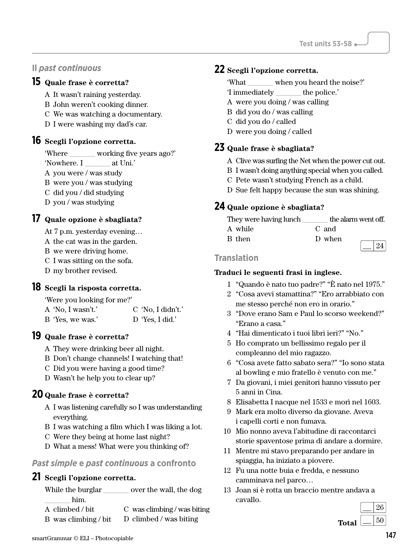#### **Il** *past continuous*

#### **15 Quale frase è corretta?**

- A It wasn't raining yesterday.
- B John weren't cooking dinner.
- C We was watching a documentary.
- D I were washing my dad's car.

#### **16 Scegli l'opzione corretta.**

'Where \_\_\_\_\_\_\_ working five years ago?'

'Nowhere. I \_\_\_\_\_\_\_ at Uni.'

- A you were / was study
- B were you / was studying
- C did you / did studying
- D you / was studying

#### **17 Quale opzione è sbagliata?**

At 7 p.m. yesterday evening…

- A the cat was in the garden.
- B we were driving home.
- C I was sitting on the sofa.
- D my brother revised.

#### **18 Scegli la risposta corretta.**

'Were you looking for me?'

| A 'No, I wasn't.' | $C'$ No, I didn't.' |
|-------------------|---------------------|
| B 'Yes, we was.'  | D 'Yes, I did.'     |

#### **19 Quale frase è corretta?**

A They were drinking beer all night.

- B Don't change channels! I watching that!
- C Did you were having a good time?
- D Wasn't he help you to clear up?

#### **20 Quale frase è corretta?**

- A I was listening carefully so I was understanding everything.
- B I was watching a film which I was liking a lot.
- C Were they being at home last night?
- D What a mess! What were you thinking of?

#### *Past simple* **e** *past continuous* **a confronto**

#### **21 Scegli l'opzione corretta.**

While the burglar over the wall, the dog \_\_\_\_\_\_\_ him.

B was climbing / bit D climbed / was biting

#### **22 Scegli l'opzione corretta.**

- 'What \_\_\_\_\_\_\_ when you heard the noise?'
- 'I immediately \_\_\_\_\_\_\_ the police.'
- A were you doing / was calling
- B did you do / was calling
- C did you do / called
- D were you doing / called

#### **23 Quale frase è sbagliata?**

- A Clive was surfing the Net when the power cut out.
- B I wasn't doing anything special when you called.
- C Pete wasn't studying French as a child.
- D Sue felt happy because the sun was shining.

#### **24 Quale opzione è sbagliata?**

| They were having lunch | the alarm went off. |
|------------------------|---------------------|
| A while                | C and               |
| B then                 | D when              |

#### **Translation**

- 1 "Quando è nato tuo padre?" "È nato nel 1975."
- 2 "Cosa avevi stamattina?" "Ero arrabbiato con me stesso perché non ero in orario."
- 3 "Dove erano Sam e Paul lo scorso weekend?" "Erano a casa."
- 4 "Hai dimenticato i tuoi libri ieri?" "No."
- 5 Ho comprato un bellissimo regalo per il compleanno del mio ragazzo.
- 6 "Cosa avete fatto sabato sera?" "Io sono stata al bowling e mio fratello è venuto con me."
- 7 Da giovani, i miei genitori hanno vissuto per 5 anni in Cina.
- 8 Elisabetta I nacque nel 1533 e morì nel 1603.
- 9 Mark era molto diverso da giovane. Aveva i capelli corti e non fumava.
- 10 Mio nonno aveva l'abitudine di raccontarci storie spaventose prima di andare a dormire.
- 11 Mentre mi stavo preparando per andare in spiaggia, ha iniziato a piovere.
- 12 Fu una notte buia e fredda, e nessuno camminava nel parco…
- 13 Joan si è rotta un braccio mentre andava a cavallo.

| Canaus. |              |   | $\epsilon$ |
|---------|--------------|---|------------|
|         | <b>Total</b> | ⊭ | v          |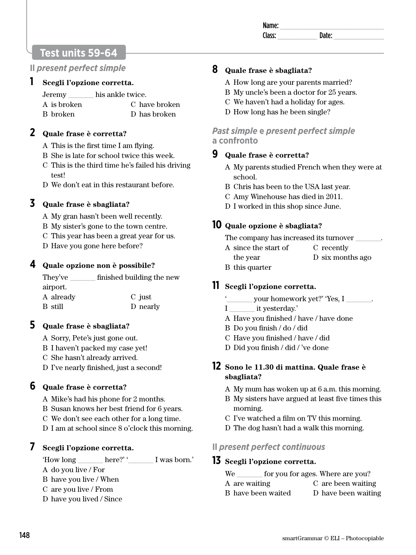| Na<br>ше:  |  |
|------------|--|
| rı<br>-226 |  |
|            |  |

# **Test units 59-64**

#### **Il** *present perfect simple*

#### **1 Scegli l'opzione corretta.**

| Jeremy      | his ankle twice. |  |  |
|-------------|------------------|--|--|
| A is broken | C have broken    |  |  |
| B broken    | D has broken     |  |  |

#### **2 Quale frase è corretta?**

- A This is the first time I am flying.
- B She is late for school twice this week.
- C This is the third time he's failed his driving test!
- D We don't eat in this restaurant before.

# **3 Quale frase è sbagliata?**

- A My gran hasn't been well recently.
- B My sister's gone to the town centre.
- C This year has been a great year for us.
- D Have you gone here before?

# **4 Quale opzione non è possibile?**

They've \_\_\_\_\_\_\_ finished building the new airport. A already B still C just D nearly

# **5 Quale frase è sbagliata?**

- A Sorry, Pete's just gone out.
- B I haven't packed my case yet!
- C She hasn't already arrived.
- D I've nearly finished, just a second!

# **6 Quale frase è corretta?**

- A Mike's had his phone for 2 months.
- B Susan knows her best friend for 6 years.
- C We don't see each other for a long time.
- D I am at school since 8 o'clock this morning.

#### **7 Scegli l'opzione corretta.**

| 'How long | here?' | I was born.' |
|-----------|--------|--------------|
|-----------|--------|--------------|

- A do you live / For
- B have you live / When
- C are you live / From
- D have you lived / Since

# **8 Quale frase è sbagliata?**

- A How long are your parents married?
- B My uncle's been a doctor for 25 years.
- C We haven't had a holiday for ages.
- D How long has he been single?

# *Past simple* **e** *present perfect simple* **a confronto**

- **9 Quale frase è corretta?** 
	- A My parents studied French when they were at school.
	- B Chris has been to the USA last year.
	- C Amy Winehouse has died in 2011.
	- D I worked in this shop since June.

# **10 Quale opzione è sbagliata?**

The company has increased its turnover

- A since the start of C recently
	- the year D six months ago
- B this quarter

# **11 Scegli l'opzione corretta.**

- your homework yet?' 'Yes, I \_\_\_\_\_\_.
- I it yesterday.'
- A Have you finished / have / have done
- B Do you finish / do / did
- C Have you finished / have / did
- D Did you finish / did / 've done

#### **12 Sono le 11.30 di mattina. Quale frase è sbagliata?**

- A My mum has woken up at 6 a.m. this morning.
- B My sisters have argued at least five times this morning.
- C I've watched a film on TV this morning.
- D The dog hasn't had a walk this morning.

# **Il** *present perfect continuous*

# **13 Scegli l'opzione corretta.**

We for you for ages. Where are you?

- A are waiting B have been waited C are been waiting D have been waiting
	-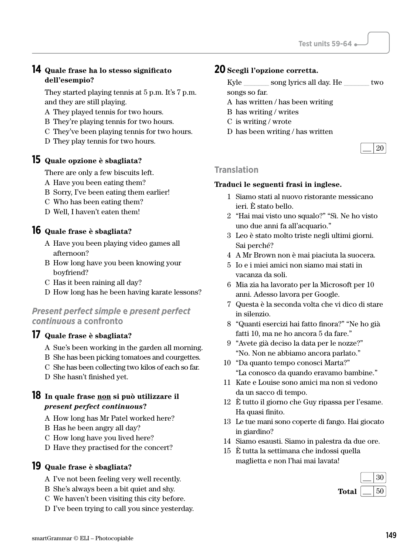#### **14 Quale frase ha lo stesso significato dell'esempio?**

They started playing tennis at 5 p.m. It's 7 p.m. and they are still playing.

- A They played tennis for two hours.
- B They're playing tennis for two hours.
- C They've been playing tennis for two hours.
- D They play tennis for two hours.

#### **15 Quale opzione è sbagliata?**

There are only a few biscuits left.

- A Have you been eating them?
- B Sorry, I've been eating them earlier!
- C Who has been eating them?
- D Well, I haven't eaten them!

#### **16 Quale frase è sbagliata?**

- A Have you been playing video games all afternoon?
- B How long have you been knowing your boyfriend?
- C Has it been raining all day?
- D How long has he been having karate lessons?

#### *Present perfect simple* **e** *present perfect continuous* **a confronto**

#### **17 Quale frase è sbagliata?**

- A Sue's been working in the garden all morning.
- B She has been picking tomatoes and courgettes.
- C She has been collecting two kilos of each so far.
- D She hasn't finished yet.

#### **18 In quale frase non si può utilizzare il**  *present perfect continuous***?**

- A How long has Mr Patel worked here?
- B Has he been angry all day?
- C How long have you lived here?
- D Have they practised for the concert?

#### **19 Quale frase è sbagliata?**

- A I've not been feeling very well recently.
- B She's always been a bit quiet and shy.
- C We haven't been visiting this city before.
- D I've been trying to call you since yesterday.

# **20 Scegli l'opzione corretta.**

| Kyle | song lyrics all day. He | two |
|------|-------------------------|-----|
|------|-------------------------|-----|

- songs so far.
- A has written / has been writing
- B has writing / writes
- C is writing / wrote
- D has been writing / has written

#### **Translation**

- 1 Siamo stati al nuovo ristorante messicano ieri. È stato bello.
- 2 "Hai mai visto uno squalo?" "Sì. Ne ho visto uno due anni fa all'acquario."
- 3 Leo è stato molto triste negli ultimi giorni. Sai perché?
- 4 A Mr Brown non è mai piaciuta la suocera.
- 5 Io e i miei amici non siamo mai stati in vacanza da soli.
- 6 Mia zia ha lavorato per la Microsoft per 10 anni. Adesso lavora per Google.
- 7 Questa è la seconda volta che vi dico di stare in silenzio.
- 8 "Quanti esercizi hai fatto finora?" "Ne ho già fatti 10, ma ne ho ancora 5 da fare."
- 9 "Avete già deciso la data per le nozze?" "No. Non ne abbiamo ancora parlato."
- 10 "Da quanto tempo conosci Marta?" "La conosco da quando eravamo bambine."
- 11 Kate e Louise sono amici ma non si vedono da un sacco di tempo.
- 12 È tutto il giorno che Guy ripassa per l'esame. Ha quasi finito.
- 13 Le tue mani sono coperte di fango. Hai giocato in giardino?
- 14 Siamo esausti. Siamo in palestra da due ore.
- 15 È tutta la settimana che indossi quella maglietta e non l'hai mai lavata!

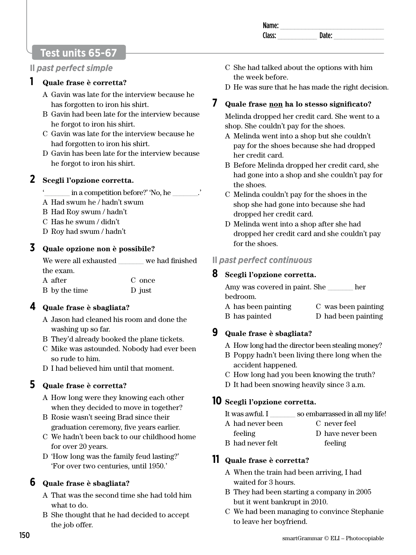| Na<br>ше:  |  |
|------------|--|
| rı<br>-226 |  |
|            |  |

# **Test units 65-67**

#### **Il** *past perfect simple*

#### **1 Quale frase è corretta?**

- A Gavin was late for the interview because he has forgotten to iron his shirt.
- B Gavin had been late for the interview because he forgot to iron his shirt.
- C Gavin was late for the interview because he had forgotten to iron his shirt.
- D Gavin has been late for the interview because he forgot to iron his shirt.

#### **2 Scegli l'opzione corretta.**

- in a competition before?' 'No, he  $\qquad$ .'
- A Had swum he / hadn't swum
- B Had Roy swum / hadn't
- C Has he swum / didn't
- D Roy had swum / hadn't

#### **3 Quale opzione non è possibile?**

We were all exhausted we had finished the exam.

| A after       | C once |
|---------------|--------|
| B by the time | D just |

#### **4 Quale frase è sbagliata?**

- A Jason had cleaned his room and done the washing up so far.
- B They'd already booked the plane tickets.
- C Mike was astounded. Nobody had ever been so rude to him.
- D I had believed him until that moment.

# **5 Quale frase è corretta?**

- A How long were they knowing each other when they decided to move in together?
- B Rosie wasn't seeing Brad since their graduation ceremony, five years earlier.
- C We hadn't been back to our childhood home for over 20 years.
- D 'How long was the family feud lasting?' 'For over two centuries, until 1950.'

# **6 Quale frase è sbagliata?**

- A That was the second time she had told him what to do.
- B She thought that he had decided to accept the job offer.
- C She had talked about the options with him the week before.
- D He was sure that he has made the right decision.

# **7 Quale frase non ha lo stesso significato?**

Melinda dropped her credit card. She went to a shop. She couldn't pay for the shoes.

- A Melinda went into a shop but she couldn't pay for the shoes because she had dropped her credit card.
- B Before Melinda dropped her credit card, she had gone into a shop and she couldn't pay for the shoes.
- C Melinda couldn't pay for the shoes in the shop she had gone into because she had dropped her credit card.
- D Melinda went into a shop after she had dropped her credit card and she couldn't pay for the shoes.

# **Il** *past perfect continuous*

# **8 Scegli l'opzione corretta.**

Amy was covered in paint. She \_\_\_\_\_\_\_ her bedroom.

A has been painting B has painted C was been painting D had been painting

# **9 Quale frase è sbagliata?**

- A How long had the director been stealing money?
- B Poppy hadn't been living there long when the accident happened.
- C How long had you been knowing the truth?
- D It had been snowing heavily since 3 a.m.

# **10 Scegli l'opzione corretta.**

- It was awful. I \_\_\_\_\_\_\_\_ so embarrassed in all my life!
- A had never been

feeling B had never felt

- C never feel D have never been
- - feeling

# **11 Quale frase è corretta?**

- A When the train had been arriving, I had waited for 3 hours.
- B They had been starting a company in 2005 but it went bankrupt in 2010.
- C We had been managing to convince Stephanie to leave her boyfriend.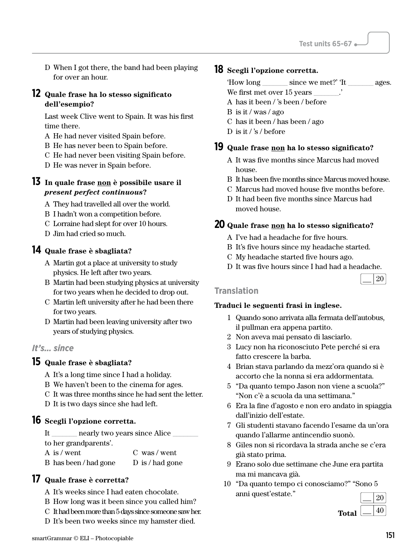D When I got there, the band had been playing for over an hour.

#### **12 Quale frase ha lo stesso significato dell'esempio?**

Last week Clive went to Spain. It was his first time there.

- A He had never visited Spain before.
- B He has never been to Spain before.
- C He had never been visiting Spain before.
- D He was never in Spain before.

#### **13 In quale frase non è possibile usare il**  *present perfect continuous***?**

- A They had travelled all over the world.
- B I hadn't won a competition before.
- C Lorraine had slept for over 10 hours.
- D Jim had cried so much.

#### **14 Quale frase è sbagliata?**

- A Martin got a place at university to study physics. He left after two years.
- B Martin had been studying physics at university for two years when he decided to drop out.
- C Martin left university after he had been there for two years.
- D Martin had been leaving university after two years of studying physics.

#### *It's… since*

#### **15 Quale frase è sbagliata?**

- A It's a long time since I had a holiday.
- B We haven't been to the cinema for ages.
- C It was three months since he had sent the letter.
- D It is two days since she had left.

#### **16 Scegli l'opzione corretta.**

It \_\_\_\_\_\_\_ nearly two years since Alice \_\_\_\_\_\_\_ to her grandparents'.

A is / went B has been / had gone C was / went D is / had gone

#### **17 Quale frase è corretta?**

- A It's weeks since I had eaten chocolate.
- B How long was it been since you called him?
- C It had been more than 5 days since someone saw her.
- D It's been two weeks since my hamster died.

#### **18 Scegli l'opzione corretta.**

| How long                   | since we met?' The | ages. |
|----------------------------|--------------------|-------|
| We first met over 15 years |                    |       |

- A has it been / 's been / before
- B is it / was / ago
- C has it been / has been / ago
- D is it / 's / before

#### **19 Quale frase non ha lo stesso significato?**

- A It was five months since Marcus had moved house.
- B It has been five months since Marcus moved house.
- C Marcus had moved house five months before.
- D It had been five months since Marcus had moved house.

#### **20 Quale frase non ha lo stesso significato?**

- A I've had a headache for five hours.
- B It's five hours since my headache started.
- C My headache started five hours ago.
- D It was five hours since I had had a headache.

| $\vert$ 20 | and the control of the con- |
|------------|-----------------------------|
|            |                             |

#### **Translation**

- 1 Quando sono arrivata alla fermata dell'autobus, il pullman era appena partito.
- 2 Non aveva mai pensato di lasciarlo.
- 3 Lucy non ha riconosciuto Pete perché si era fatto crescere la barba.
- 4 Brian stava parlando da mezz'ora quando si è accorto che la nonna si era addormentata.
- 5 "Da quanto tempo Jason non viene a scuola?" "Non c'è a scuola da una settimana."
- 6 Era la fine d'agosto e non ero andato in spiaggia dall'inizio dell'estate.
- 7 Gli studenti stavano facendo l'esame da un'ora quando l'allarme antincendio suonò.
- 8 Giles non si ricordava la strada anche se c'era già stato prima.
- 9 Erano solo due settimane che June era partita ma mi mancava già.
- 10 "Da quanto tempo ci conosciamo?" "Sono 5 anni quest'estate."  $\frac{20}{\sqrt{2}}$

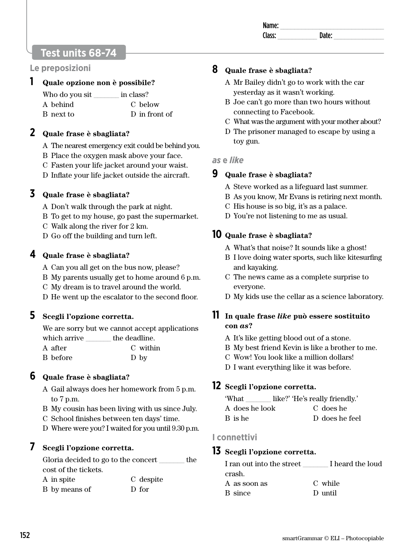| N<br>. не |  |
|-----------|--|
|           |  |
|           |  |

# **Test units 68-74**

#### **Le preposizioni**

#### **1 Quale opzione non è possibile?**

| Who do you sit | in class?     |
|----------------|---------------|
| A behind       | C below       |
| B next to      | D in front of |

#### **2 Quale frase è sbagliata?**

- A The nearest emergency exit could be behind you.
- B Place the oxygen mask above your face.
- C Fasten your life jacket around your waist.
- D Inflate your life jacket outside the aircraft.

#### **3 Quale frase è sbagliata?**

- A Don't walk through the park at night.
- B To get to my house, go past the supermarket.
- C Walk along the river for 2 km.
- D Go off the building and turn left.

#### **4 Quale frase è sbagliata?**

- A Can you all get on the bus now, please?
- B My parents usually get to home around 6 p.m.
- C My dream is to travel around the world.
- D He went up the escalator to the second floor.

#### **5 Scegli l'opzione corretta.**

We are sorry but we cannot accept applications which arrive the deadline.

| A after  | C within |
|----------|----------|
| B before | D by     |

#### **6 Quale frase è sbagliata?**

- A Gail always does her homework from 5 p.m. to 7 p.m.
- B My cousin has been living with us since July.
- C School finishes between ten days' time.
- D Where were you? I waited for you until 9.30 p.m.

# **7 Scegli l'opzione corretta.**

|          | Gloria decided to go to the concert |  | the |
|----------|-------------------------------------|--|-----|
|          | cost of the tickets.                |  |     |
| $\cdots$ |                                     |  |     |

| A in spite    | C despite |
|---------------|-----------|
| B by means of | D for     |

#### **8 Quale frase è sbagliata?**

- A Mr Bailey didn't go to work with the car yesterday as it wasn't working.
- B Joe can't go more than two hours without connecting to Facebook.
- C What was the argument with your mother about?
- D The prisoner managed to escape by using a toy gun.

#### *as* **e** *like*

#### **9 Quale frase è sbagliata?**

- A Steve worked as a lifeguard last summer.
- B As you know, Mr Evans is retiring next month.
- C His house is so big, it's as a palace.
- D You're not listening to me as usual.

#### **10 Quale frase è sbagliata?**

- A What's that noise? It sounds like a ghost!
- B I love doing water sports, such like kitesurfing and kayaking.
- C The news came as a complete surprise to everyone.
- D My kids use the cellar as a science laboratory.

#### **11 In quale frase** *like* **può essere sostituito con** *as***?**

- A It's like getting blood out of a stone.
- B My best friend Kevin is like a brother to me.
- C Wow! You look like a million dollars!
- D I want everything like it was before.

#### **12 Scegli l'opzione corretta.**

| 'What |  | like?' 'He's really friendly.' |  |
|-------|--|--------------------------------|--|
|       |  |                                |  |

| A does he look | C does he      |
|----------------|----------------|
| B is he        | D does he feel |

#### **I connettivi**

#### **13 Scegli l'opzione corretta.**

| I ran out into the street | I heard the loud |
|---------------------------|------------------|
| crash.                    |                  |
| A as soon as              | C while          |
| B since                   | D until          |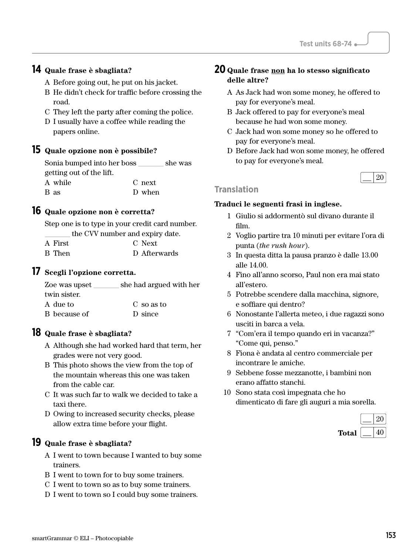# **14 Quale frase è sbagliata?**

- A Before going out, he put on his jacket.
- B He didn't check for traffic before crossing the road.
- C They left the party after coming the police.
- D I usually have a coffee while reading the papers online.

#### **15 Quale opzione non è possibile?**

| Sonia bumped into her boss |        | she was |
|----------------------------|--------|---------|
| getting out of the lift.   |        |         |
| A while                    | C next |         |
| B as                       | D when |         |

#### **16 Quale opzione non è corretta?**

Step one is to type in your credit card number. the CVV number and expiry date.

| A First | C Next       |
|---------|--------------|
| B Then  | D Afterwards |

#### **17 Scegli l'opzione corretta.**

| Zoe was upset | she had argued with her |
|---------------|-------------------------|
| twin sister.  |                         |
| A due to      | C so as to              |
| B because of  | D since                 |

#### **18 Quale frase è sbagliata?**

- A Although she had worked hard that term, her grades were not very good.
- B This photo shows the view from the top of the mountain whereas this one was taken from the cable car.
- C It was such far to walk we decided to take a taxi there.
- D Owing to increased security checks, please allow extra time before your flight.

#### **19 Quale frase è sbagliata?**

- A I went to town because I wanted to buy some trainers.
- B I went to town for to buy some trainers.
- C I went to town so as to buy some trainers.
- D I went to town so I could buy some trainers.

#### **20 Quale frase non ha lo stesso significato delle altre?**

- A As Jack had won some money, he offered to pay for everyone's meal.
- B Jack offered to pay for everyone's meal because he had won some money.
- C Jack had won some money so he offered to pay for everyone's meal.
- D Before Jack had won some money, he offered to pay for everyone's meal.



#### **Translation**

- 1 Giulio si addormentò sul divano durante il film.
- 2 Voglio partire tra 10 minuti per evitare l'ora di punta (*the rush hour*).
- 3 In questa ditta la pausa pranzo è dalle 13.00 alle 14.00.
- 4 Fino all'anno scorso, Paul non era mai stato all'estero.
- 5 Potrebbe scendere dalla macchina, signore, e soffiare qui dentro?
- 6 Nonostante l'allerta meteo, i due ragazzi sono usciti in barca a vela.
- 7 "Com'era il tempo quando eri in vacanza?" "Come qui, penso."
- 8 Fiona è andata al centro commerciale per incontrare le amiche.
- 9 Sebbene fosse mezzanotte, i bambini non erano affatto stanchi.
- 10 Sono stata così impegnata che ho dimenticato di fare gli auguri a mia sorella.

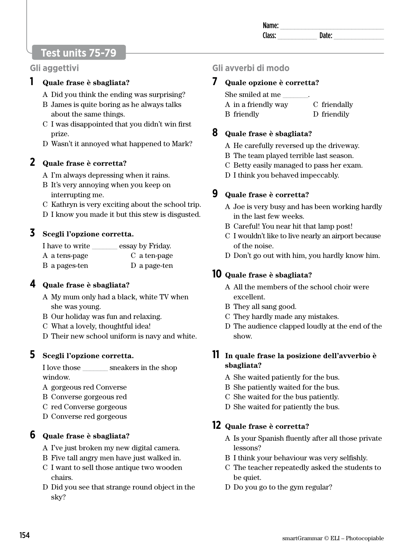# **Test units 75-79**

#### **Gli aggettivi**

#### **1 Quale frase è sbagliata?**

- A Did you think the ending was surprising?
- B James is quite boring as he always talks about the same things.
- C I was disappointed that you didn't win first prize.
- D Wasn't it annoyed what happened to Mark?

# **2 Quale frase è corretta?**

- A I'm always depressing when it rains.
- B It's very annoying when you keep on interrupting me.
- C Kathryn is very exciting about the school trip.
- D I know you made it but this stew is disgusted.

# **3 Scegli l'opzione corretta.**

| I have to write | essay by Friday. |
|-----------------|------------------|
| A a tens-page   | C a ten-page     |
| B a pages-ten   | D a page-ten     |

#### **4 Quale frase è sbagliata?**

- A My mum only had a black, white TV when she was young.
- B Our holiday was fun and relaxing.
- C What a lovely, thoughtful idea!
- D Their new school uniform is navy and white.

#### **5 Scegli l'opzione corretta.**

I love those \_\_\_\_\_\_\_ sneakers in the shop window.

- A gorgeous red Converse
- B Converse gorgeous red
- C red Converse gorgeous
- D Converse red gorgeous

#### **6 Quale frase è sbagliata?**

- A I've just broken my new digital camera.
- B Five tall angry men have just walked in.
- C I want to sell those antique two wooden chairs.
- D Did you see that strange round object in the sky?

# **Gli avverbi di modo**

#### **7 Quale opzione è corretta?**

She smiled at me

| A in a friendly way | C friendally |
|---------------------|--------------|
| <b>B</b> friendly   | D friendily  |

#### **8 Quale frase è sbagliata?**

- A He carefully reversed up the driveway.
- B The team played terrible last season.
- C Betty easily managed to pass her exam.
- D I think you behaved impeccably.

#### **9 Quale frase è corretta?**

- A Joe is very busy and has been working hardly in the last few weeks.
- B Careful! You near hit that lamp post!
- C I wouldn't like to live nearly an airport because of the noise.
- D Don't go out with him, you hardly know him.

# **10 Quale frase è sbagliata?**

- A All the members of the school choir were excellent.
- B They all sang good.
- C They hardly made any mistakes.
- D The audience clapped loudly at the end of the show.

#### **11 In quale frase la posizione dell'avverbio è sbagliata?**

- A She waited patiently for the bus.
- B She patiently waited for the bus.
- C She waited for the bus patiently.
- D She waited for patiently the bus.

#### **12 Quale frase è corretta?**

- A Is your Spanish fluently after all those private lessons?
- B I think your behaviour was very selfishly.
- C The teacher repeatedly asked the students to be quiet.
- D Do you go to the gym regular?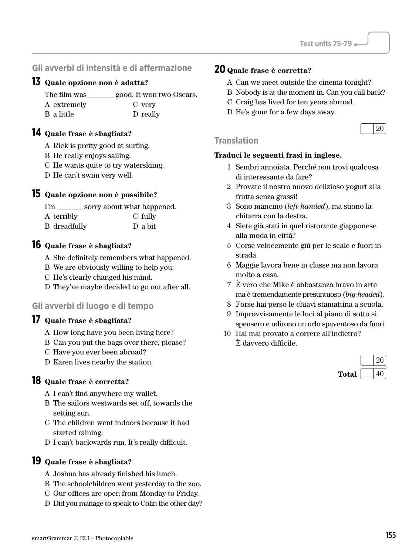#### **Gli avverbi di intensità e di affermazione**

#### **13 Quale opzione non è adatta?**

| The film was | good. It won two Oscars. |
|--------------|--------------------------|
| A extremely  | C very                   |
| B a little   | D really                 |

#### **14 Quale frase è sbagliata?**

A Rick is pretty good at surfing.

- B He really enjoys sailing.
- C He wants quite to try waterskiing.
- D He can't swim very well.

#### **15 Quale opzione non è possibile?**

I'm \_\_\_\_\_\_\_\_ sorry about what happened.

| A terribly   | C fully |
|--------------|---------|
| B dreadfully | D a bit |

#### **16 Quale frase è sbagliata?**

A She definitely remembers what happened.

- B We are obviously willing to help you.
- C He's clearly changed his mind.
- D They've maybe decided to go out after all.

#### **Gli avverbi di luogo e di tempo**

#### **17 Quale frase è sbagliata?**

- A How long have you been living here?
- B Can you put the bags over there, please?
- C Have you ever been abroad?
- D Karen lives nearby the station.

#### **18 Quale frase è corretta?**

- A I can't find anywhere my wallet.
- B The sailors westwards set off, towards the setting sun.
- C The children went indoors because it had started raining.
- D I can't backwards run. It's really difficult.

#### **19 Quale frase è sbagliata?**

- A Joshua has already finished his lunch.
- B The schoolchildren went yesterday to the zoo.
- C Our offices are open from Monday to Friday.
- D Did you manage to speak to Colin the other day?

#### **20 Quale frase è corretta?**

- A Can we meet outside the cinema tonight?
- B Nobody is at the moment in. Can you call back?
- C Craig has lived for ten years abroad.
- D He's gone for a few days away.



#### **Translation**

- 1 Sembri annoiata. Perché non trovi qualcosa di interessante da fare?
- 2 Provate il nostro nuovo delizioso yogurt alla frutta senza grassi!
- 3 Sono mancino (*left-handed*), ma suono la chitarra con la destra.
- 4 Siete già stati in quel ristorante giapponese alla moda in città?
- 5 Corse velocemente giù per le scale e fuori in strada.
- 6 Maggie lavora bene in classe ma non lavora molto a casa.
- 7 È vero che Mike è abbastanza bravo in arte ma è tremendamente presuntuoso (*big-headed*).
- 8 Forse hai perso le chiavi stamattina a scuola.
- 9 Improvvisamente le luci al piano di sotto si spensero e udirono un urlo spaventoso da fuori.
- 10 Hai mai provato a correre all'indietro? È davvero difficile.

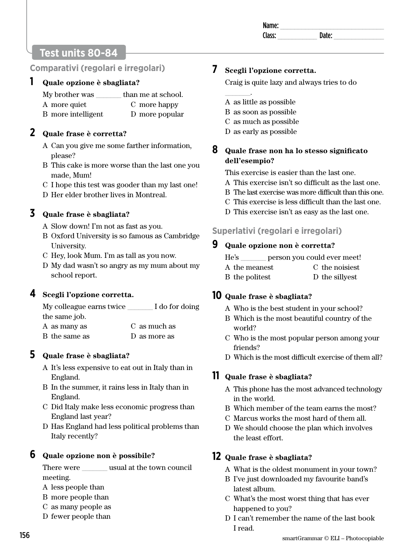# **Test units 80-84**

# **Comparativi (regolari e irregolari)**

#### **1 Quale opzione è sbagliata?**

| My brother was     | than me at school. |
|--------------------|--------------------|
| A more quiet       | C more happy       |
| B more intelligent | D more popular     |

#### **2 Quale frase è corretta?**

- A Can you give me some farther information, please?
- B This cake is more worse than the last one you made, Mum!
- C I hope this test was gooder than my last one!
- D Her elder brother lives in Montreal.

# **3 Quale frase è sbagliata?**

- A Slow down! I'm not as fast as you.
- B Oxford University is so famous as Cambridge University.
- C Hey, look Mum. I'm as tall as you now.
- D My dad wasn't so angry as my mum about my school report.

#### **4 Scegli l'opzione corretta.**

| My colleague earns twice | I do for doing |
|--------------------------|----------------|
| the same job.            |                |
| A as many as             | C as much as   |
| B the same as            | D as more as   |

# **5 Quale frase è sbagliata?**

- A It's less expensive to eat out in Italy than in England.
- B In the summer, it rains less in Italy than in England.
- C Did Italy make less economic progress than England last year?
- D Has England had less political problems than Italy recently?

# **6 Quale opzione non è possibile?**

There were **usual at the town council** meeting.

- A less people than
- B more people than
- C as many people as
- D fewer people than

# **7 Scegli l'opzione corretta.**

Craig is quite lazy and always tries to do

A as little as possible

 $\overline{\phantom{a}}$ 

- B as soon as possible
- C as much as possible
- D as early as possible

#### **8 Quale frase non ha lo stesso significato dell'esempio?**

This exercise is easier than the last one.

- A This exercise isn't so difficult as the last one.
- B The last exercise was more difficult than this one.
- C This exercise is less difficult than the last one.
- D This exercise isn't as easy as the last one.

# **Superlativi (regolari e irregolari)**

#### **9 Quale opzione non è corretta?**

| He's<br>person you could ever meet! |
|-------------------------------------|
|-------------------------------------|

- A the meanest C the noisiest
- B the politest D the sillyest

# **10 Quale frase è sbagliata?**

- A Who is the best student in your school?
- B Which is the most beautiful country of the world?
- C Who is the most popular person among your friends?
- D Which is the most difficult exercise of them all?

# **11 Quale frase è sbagliata?**

- A This phone has the most advanced technology in the world.
- B Which member of the team earns the most?
- C Marcus works the most hard of them all.
- D We should choose the plan which involves the least effort.

# **12 Quale frase è sbagliata?**

- A What is the oldest monument in your town?
- B I've just downloaded my favourite band's latest album.
- C What's the most worst thing that has ever happened to you?
- D I can't remember the name of the last book I read.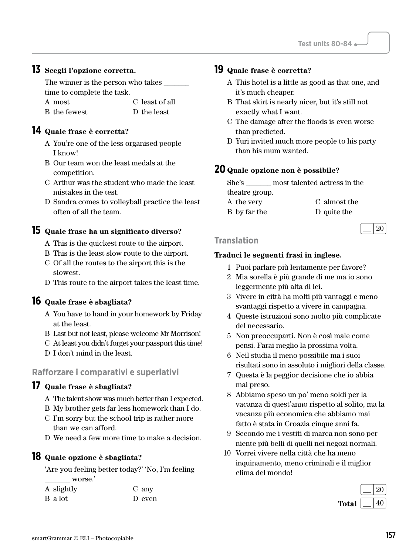#### **13 Scegli l'opzione corretta.**

The winner is the person who takes time to complete the task.

A most B the fewest C least of all D the least

#### **14 Quale frase è corretta?**

- A You're one of the less organised people I know!
- B Our team won the least medals at the competition.
- C Arthur was the student who made the least mistakes in the test.
- D Sandra comes to volleyball practice the least often of all the team.

#### **15 Quale frase ha un significato diverso?**

- A This is the quickest route to the airport.
- B This is the least slow route to the airport. C Of all the routes to the airport this is the
- slowest. D This route to the airport takes the least time.

#### **16 Quale frase è sbagliata?**

- A You have to hand in your homework by Friday at the least.
- B Last but not least, please welcome Mr Morrison!
- C At least you didn't forget your passport this time!
- D I don't mind in the least.

#### **Rafforzare i comparativi e superlativi**

#### **17 Quale frase è sbagliata?**

- A The talent show was much better than I expected.
- B My brother gets far less homework than I do.
- C I'm sorry but the school trip is rather more than we can afford.
- D We need a few more time to make a decision.

#### **18 Quale opzione è sbagliata?**

'Are you feeling better today?' 'No, I'm feeling \_\_\_\_\_\_\_ worse.'

| A slightly | C any  |
|------------|--------|
| B a lot    | D even |

#### **19 Quale frase è corretta?**

- A This hotel is a little as good as that one, and it's much cheaper.
- B That skirt is nearly nicer, but it's still not exactly what I want.
- C The damage after the floods is even worse than predicted.
- D Yuri invited much more people to his party than his mum wanted.

#### **20 Quale opzione non è possibile?**

She's \_\_\_\_\_\_\_ most talented actress in the theatre group. A the very C almost the

B by far the D quite the



#### **Translation**

- 1 Puoi parlare più lentamente per favore?
- 2 Mia sorella è più grande di me ma io sono leggermente più alta di lei.
- 3 Vivere in città ha molti più vantaggi e meno svantaggi rispetto a vivere in campagna.
- 4 Queste istruzioni sono molto più complicate del necessario.
- 5 Non preoccuparti. Non è così male come pensi. Farai meglio la prossima volta.
- 6 Neil studia il meno possibile ma i suoi risultati sono in assoluto i migliori della classe.
- 7 Questa è la peggior decisione che io abbia mai preso.
- 8 Abbiamo speso un po' meno soldi per la vacanza di quest'anno rispetto al solito, ma la vacanza più economica che abbiamo mai fatto è stata in Croazia cinque anni fa.
- 9 Secondo me i vestiti di marca non sono per niente più belli di quelli nei negozi normali.
- 10 Vorrei vivere nella città che ha meno inquinamento, meno criminali e il miglior clima del mondo!

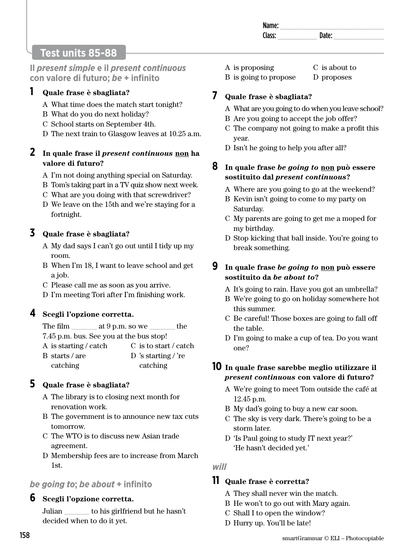| аιр |  |
|-----|--|
|     |  |

# **Test units 85-88**

**Il** *present simple* **e il** *present continuous* **con valore di futuro;** *be* **+ infinito** 

#### **1 Quale frase è sbagliata?**

- A What time does the match start tonight?
- B What do you do next holiday?
- C School starts on September 4th.
- D The next train to Glasgow leaves at 10.25 a.m.

#### **2 In quale frase il** *present continuous* **non ha valore di futuro?**

- A I'm not doing anything special on Saturday.
- B Tom's taking part in a TV quiz show next week.
- C What are you doing with that screwdriver?
- D We leave on the 15th and we're staying for a fortnight.

# **3 Quale frase è sbagliata?**

- A My dad says I can't go out until I tidy up my room.
- B When I'm 18, I want to leave school and get a job.
- C Please call me as soon as you arrive.
- D I'm meeting Tori after I'm finishing work.

# **4 Scegli l'opzione corretta.**

| The film-                               | at $9 p.m.$ so we |                       | the |
|-----------------------------------------|-------------------|-----------------------|-----|
| 7.45 p.m. bus. See you at the bus stop! |                   |                       |     |
| A is starting / catch                   |                   | C is to start / catch |     |
| B starts/are                            |                   | D 's starting / 're   |     |
| catching                                |                   | catching              |     |

# **5 Quale frase è sbagliata?**

- A The library is to closing next month for renovation work.
- B The government is to announce new tax cuts tomorrow.
- C The WTO is to discuss new Asian trade agreement.
- D Membership fees are to increase from March 1st.

# *be going to***;** *be about* **+ infinito**

#### **6 Scegli l'opzione corretta.**

Julian \_\_\_\_\_\_\_ to his girlfriend but he hasn't decided when to do it yet.

- A is proposing C is about to
- B is going to propose D proposes

# **7 Quale frase è sbagliata?**

- A What are you going to do when you leave school?
- B Are you going to accept the job offer?
- C The company not going to make a profit this year.
- D Isn't he going to help you after all?

#### **8 In quale frase** *be going to* **non può essere sostituito dal** *present continuous***?**

- A Where are you going to go at the weekend?
- B Kevin isn't going to come to my party on Saturday.
- C My parents are going to get me a moped for my birthday.
- D Stop kicking that ball inside. You're going to break something.

#### **9 In quale frase** *be going to* **non può essere sostituito da** *be about to***?**

- A It's going to rain. Have you got an umbrella?
- B We're going to go on holiday somewhere hot this summer.
- C Be careful! Those boxes are going to fall off the table.
- D I'm going to make a cup of tea. Do you want one?

# **10 In quale frase sarebbe meglio utilizzare il**  *present continuous* **con valore di futuro?**

- A We're going to meet Tom outside the café at 12.45 p.m.
- B My dad's going to buy a new car soon.
- C The sky is very dark. There's going to be a storm later.
- D 'Is Paul going to study IT next year?' 'He hasn't decided yet.'

*will* 

#### **11 Quale frase è corretta?**

- A They shall never win the match.
- B He won't to go out with Mary again.
- C Shall I to open the window?
- D Hurry up. You'll be late!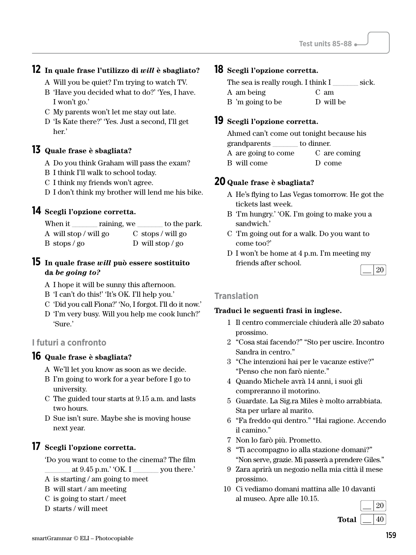# **12 In quale frase l'utilizzo di** *will* **è sbagliato?**

- A Will you be quiet? I'm trying to watch TV.
- B 'Have you decided what to do?' 'Yes, I have. I won't go.'
- C My parents won't let me stay out late.
- D 'Is Kate there?' 'Yes. Just a second, I'll get her.'

# **13 Quale frase è sbagliata?**

- A Do you think Graham will pass the exam?
- B I think I'll walk to school today.
- C I think my friends won't agree.
- D I don't think my brother will lend me his bike.

# **14 Scegli l'opzione corretta.**

| When it               | raining, we | to the park.                    |
|-----------------------|-------------|---------------------------------|
| A will stop / will go |             | $C$ stops / will go             |
| $B$ stops / go        |             | D will stop $\frac{\log 2}{10}$ |

# **15 In quale frase** *will* **può essere sostituito da** *be going to?*

A I hope it will be sunny this afternoon.

- B 'I can't do this!' 'It's OK. I'll help you.'
- C 'Did you call Fiona?' 'No, I forgot. I'll do it now.'
- D 'I'm very busy. Will you help me cook lunch?' 'Sure.'

# **I futuri a confronto**

# **16 Quale frase è sbagliata?**

- A We'll let you know as soon as we decide.
- B I'm going to work for a year before I go to university.
- C The guided tour starts at 9.15 a.m. and lasts two hours.
- D Sue isn't sure. Maybe she is moving house next year.

# **17 Scegli l'opzione corretta.**

'Do you want to come to the cinema? The film at  $9.45$  p.m.' 'OK. I wou there.'

- A is starting / am going to meet
- B will start / am meeting
- C is going to start / meet
- D starts / will meet

# **18 Scegli l'opzione corretta.**

The sea is really rough. I think  $I$  \_\_\_\_\_\_\_\_ sick. A am being B 'm going to be C am D will be

# **19 Scegli l'opzione corretta.**

Ahmed can't come out tonight because his grandparents \_\_\_\_\_\_\_ to dinner. A are going to come B will come C are coming D come

# **20 Quale frase è sbagliata?**

- A He's flying to Las Vegas tomorrow. He got the tickets last week.
- B 'I'm hungry.' 'OK. I'm going to make you a sandwich.'
- C 'I'm going out for a walk. Do you want to come too?'
- D I won't be home at 4 p.m. I'm meeting my friends after school.  $\lfloor$  20

#### **Translation**

- 1 Il centro commerciale chiuderà alle 20 sabato prossimo.
- 2 "Cosa stai facendo?" "Sto per uscire. Incontro Sandra in centro."
- 3 "Che intenzioni hai per le vacanze estive?" "Penso che non farò niente."
- 4 Quando Michele avrà 14 anni, i suoi gli compreranno il motorino.
- 5 Guardate. La Sig.ra Miles è molto arrabbiata. Sta per urlare al marito.
- 6 "Fa freddo qui dentro." "Hai ragione. Accendo il camino."
- 7 Non lo farò più. Prometto.
- 8 "Ti accompagno io alla stazione domani?" "Non serve, grazie. Mi passerà a prendere Giles."
- 9 Zara aprirà un negozio nella mia città il mese prossimo.
- 10 Ci vediamo domani mattina alle 10 davanti al museo. Apre alle 10.15.

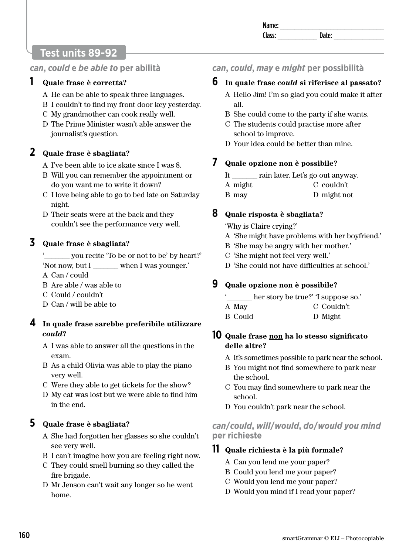| name. |    |  |
|-------|----|--|
| י אב  | ыш |  |
|       |    |  |

# **Test units 89-92**

# *can***,** *could* **e** *be able to* **per abilità**

# **1 Quale frase è corretta?**

- A He can be able to speak three languages.
- B I couldn't to find my front door key yesterday.
- C My grandmother can cook really well.
- D The Prime Minister wasn't able answer the journalist's question.

# **2 Quale frase è sbagliata?**

- A I've been able to ice skate since I was 8.
- B Will you can remember the appointment or do you want me to write it down?
- C I love being able to go to bed late on Saturday night.
- D Their seats were at the back and they couldn't see the performance very well.

# **3 Quale frase è sbagliata?**

you recite 'To be or not to be' by heart?' 'Not now, but I \_\_\_\_\_\_\_ when I was younger.'

A Can / could

- B Are able / was able to
- C Could / couldn't
- D Can / will be able to

# **4 In quale frase sarebbe preferibile utilizzare**  *could***?**

- A I was able to answer all the questions in the exam.
- B As a child Olivia was able to play the piano very well.
- C Were they able to get tickets for the show?
- D My cat was lost but we were able to find him in the end.

# **5 Quale frase è sbagliata?**

- A She had forgotten her glasses so she couldn't see very well.
- B I can't imagine how you are feeling right now.
- C They could smell burning so they called the fire brigade.
- D Mr Jenson can't wait any longer so he went home.

# *can***,** *could***,** *may* **e** *might* **per possibilità**

# **6 In quale frase** *could* **si riferisce al passato?**

- A Hello Jim! I'm so glad you could make it after all.
- B She could come to the party if she wants.
- C The students could practise more after school to improve.
- D Your idea could be better than mine.

# **7 Quale opzione non è possibile?**

- It \_\_\_\_\_\_\_ rain later. Let's go out anyway.
- A might C couldn't
- B may D might not

# **8 Quale risposta è sbagliata?**

'Why is Claire crying?'

- A 'She might have problems with her boyfriend.'
- B 'She may be angry with her mother.'
- C 'She might not feel very well.'
- D 'She could not have difficulties at school.'

# **9 Quale opzione non è possibile?**

- her story be true?' 'I suppose so.'
- A May C Couldn't
- B Could D Might

# **10 Quale frase non ha lo stesso significato delle altre?**

- A It's sometimes possible to park near the school.
- B You might not find somewhere to park near the school.
- C You may find somewhere to park near the school.
- D You couldn't park near the school.

# *can***/***could***,** *will***/***would***,** *do***/***would you mind* **per richieste**

# **11 Quale richiesta è la più formale?**

- A Can you lend me your paper?
- B Could you lend me your paper?
- C Would you lend me your paper?
- D Would you mind if I read your paper?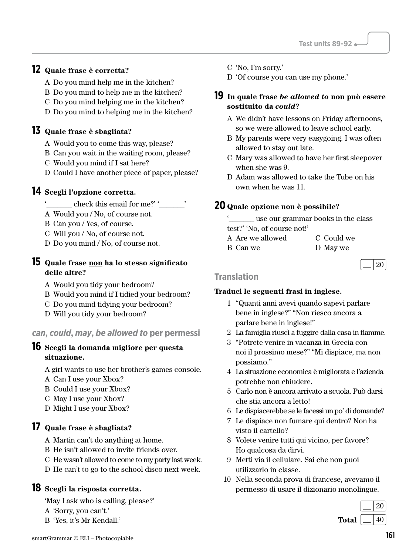### **12 Quale frase è corretta?**

- A Do you mind help me in the kitchen?
- B Do you mind to help me in the kitchen?
- C Do you mind helping me in the kitchen?
- D Do you mind to helping me in the kitchen?

### **13 Quale frase è sbagliata?**

- A Would you to come this way, please?
- B Can you wait in the waiting room, please?
- C Would you mind if I sat here?
- D Could I have another piece of paper, please?

#### **14 Scegli l'opzione corretta.**

- check this email for me?' '
- A Would you / No, of course not.
- B Can you / Yes, of course.
- C Will you / No, of course not.
- D Do you mind / No, of course not.

#### **15 Quale frase non ha lo stesso significato delle altre?**

- A Would you tidy your bedroom?
- B Would you mind if I tidied your bedroom?
- C Do you mind tidying your bedroom?
- D Will you tidy your bedroom?

#### *can***,** *could***,** *may***,** *be allowed to* **per permessi**

#### **16 Scegli la domanda migliore per questa situazione.**

- A girl wants to use her brother's games console.
- A Can I use your Xbox?
- B Could I use your Xbox?
- C May I use your Xbox?
- D Might I use your Xbox?

#### **17 Quale frase è sbagliata?**

- A Martin can't do anything at home.
- B He isn't allowed to invite friends over.
- C He wasn't allowed to come to my party last week.
- D He can't to go to the school disco next week.

#### **18 Scegli la risposta corretta.**

'May I ask who is calling, please?'

- A 'Sorry, you can't.'
- B 'Yes, it's Mr Kendall.'

C 'No, I'm sorry.'

D 'Of course you can use my phone.'

- **19 In quale frase** *be allowed to* **non può essere sostituito da** *could***?** 
	- A We didn't have lessons on Friday afternoons, so we were allowed to leave school early.
	- B My parents were very easygoing. I was often allowed to stay out late.
	- C Mary was allowed to have her first sleepover when she was 9.
	- D Adam was allowed to take the Tube on his own when he was 11.

### **20 Quale opzione non è possibile?**

use our grammar books in the class

- test?' 'No, of course not!' A Are we allowed B Can we C Could we
	- D May we

|--|

#### **Translation**

- 1 "Quanti anni avevi quando sapevi parlare bene in inglese?" "Non riesco ancora a parlare bene in inglese!"
- 2 La famiglia riuscì a fuggire dalla casa in fiamme.
- 3 "Potrete venire in vacanza in Grecia con noi il prossimo mese?" "Mi dispiace, ma non possiamo."
- 4 La situazione economica è migliorata e l'azienda potrebbe non chiudere.
- 5 Carlo non è ancora arrivato a scuola. Può darsi che stia ancora a letto!
- 6 Le dispiacerebbe se le facessi un po' di domande?
- 7 Le dispiace non fumare qui dentro? Non ha visto il cartello?
- 8 Volete venire tutti qui vicino, per favore? Ho qualcosa da dirvi.
- 9 Metti via il cellulare. Sai che non puoi utilizzarlo in classe.
- 10 Nella seconda prova di francese, avevamo il permesso di usare il dizionario monolingue.

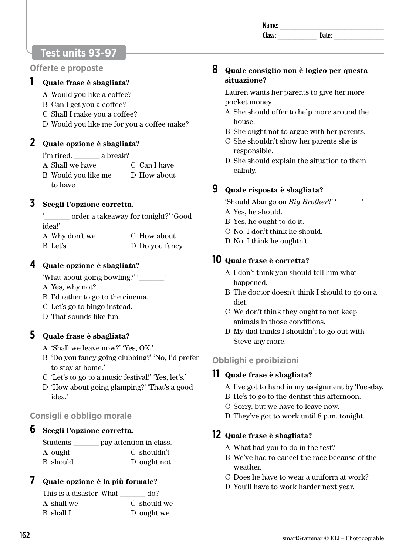| Na<br>ше:<br> |  |
|---------------|--|
| rı<br>-226    |  |
|               |  |

# **Test units 93-97**

**Offerte e proposte** 

### **1 Quale frase è sbagliata?**

- A Would you like a coffee?
- B Can I get you a coffee?
- C Shall I make you a coffee?
- D Would you like me for you a coffee make?

## **2 Quale opzione è sbagliata?**

I'm tired. **a** break?

- A Shall we have C Can I have
- B Would you like me to have D How about

## **3 Scegli l'opzione corretta.**

'\_\_\_\_\_\_\_ order a takeaway for tonight?' 'Good idea!'

| A Why don't we | C How about    |
|----------------|----------------|
| B Let's        | D Do you fancy |

### **4 Quale opzione è sbagliata?**

'What about going bowling?' '\_\_\_\_\_\_\_'

- A Yes, why not?
- B I'd rather to go to the cinema.
- C Let's go to bingo instead.
- D That sounds like fun.

### **5 Quale frase è sbagliata?**

- A 'Shall we leave now?' 'Yes, OK.'
- B 'Do you fancy going clubbing?' 'No, I'd prefer to stay at home.'
- C 'Let's to go to a music festival!' 'Yes, let's.'
- D 'How about going glamping?' 'That's a good idea.'

# **Consigli e obbligo morale**

### **6 Scegli l'opzione corretta.**

| Students | pay attention in class. |
|----------|-------------------------|
| A ought  | C shouldn't             |
| B should | D ought not             |

# **7 Quale opzione è la più formale?**

| This is a disaster. What | do?         |
|--------------------------|-------------|
| A shall we               | C should we |
| B shall I                | D ought we  |

### **8 Quale consiglio non è logico per questa situazione?**

Lauren wants her parents to give her more pocket money.

- A She should offer to help more around the house.
- B She ought not to argue with her parents.
- C She shouldn't show her parents she is responsible.
- D She should explain the situation to them calmly.

## **9 Quale risposta è sbagliata?**

'Should Alan go on *Big Brother*?' '\_\_\_\_\_\_\_'

- A Yes, he should.
- B Yes, he ought to do it.
- C No, I don't think he should.
- D No, I think he oughtn't.

## **10 Quale frase è corretta?**

- A I don't think you should tell him what happened.
- B The doctor doesn't think I should to go on a diet.
- C We don't think they ought to not keep animals in those conditions.
- D My dad thinks I shouldn't to go out with Steve any more.

# **Obblighi e proibizioni**

### **11 Quale frase è sbagliata?**

- A I've got to hand in my assignment by Tuesday.
- B He's to go to the dentist this afternoon.
- C Sorry, but we have to leave now.
- D They've got to work until 8 p.m. tonight.

### **12 Quale frase è sbagliata?**

- A What had you to do in the test?
- B We've had to cancel the race because of the weather.
- C Does he have to wear a uniform at work?
- D You'll have to work harder next year.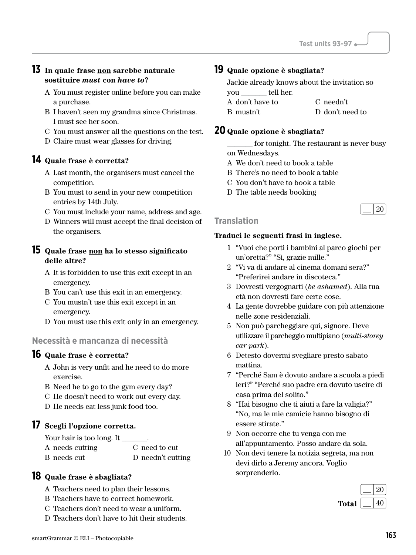### **13 In quale frase non sarebbe naturale sostituire** *must* **con** *have to***?**

- A You must register online before you can make a purchase.
- B I haven't seen my grandma since Christmas. I must see her soon.
- C You must answer all the questions on the test.
- D Claire must wear glasses for driving.

### **14 Quale frase è corretta?**

- A Last month, the organisers must cancel the competition.
- B You must to send in your new competition entries by 14th July.
- C You must include your name, address and age.
- D Winners will must accept the final decision of the organisers.

#### **15 Quale frase non ha lo stesso significato delle altre?**

- A It is forbidden to use this exit except in an emergency.
- B You can't use this exit in an emergency.
- C You mustn't use this exit except in an emergency.
- D You must use this exit only in an emergency.

### **Necessità e mancanza di necessità**

### **16 Quale frase è corretta?**

- A John is very unfit and he need to do more exercise.
- B Need he to go to the gym every day?
- C He doesn't need to work out every day.
- D He needs eat less junk food too.

#### **17 Scegli l'opzione corretta.**

Your hair is too long. It A needs cutting B needs cut C need to cut D needn't cutting

#### **18 Quale frase è sbagliata?**

- A Teachers need to plan their lessons.
- B Teachers have to correct homework.
- C Teachers don't need to wear a uniform.
- D Teachers don't have to hit their students.

#### **19 Quale opzione è sbagliata?**

Jackie already knows about the invitation so you \_\_\_\_\_\_\_ tell her.

- 
- A don't have to B mustn't C needn't
	- D don't need to

#### **20 Quale opzione è sbagliata?**

for tonight. The restaurant is never busy on Wednesdays.

- A We don't need to book a table
- B There's no need to book a table
- C You don't have to book a table
- D The table needs booking



#### **Translation**

- 1 "Vuoi che porti i bambini al parco giochi per un'oretta?" "Sì, grazie mille."
- 2 "Vi va di andare al cinema domani sera?" "Preferirei andare in discoteca."
- 3 Dovresti vergognarti (*be ashamed*). Alla tua età non dovresti fare certe cose.
- 4 La gente dovrebbe guidare con più attenzione nelle zone residenziali.
- 5 Non può parcheggiare qui, signore. Deve utilizzare il parcheggio multipiano (*multi-storey car park*).
- 6 Detesto dovermi svegliare presto sabato mattina.
- 7 "Perché Sam è dovuto andare a scuola a piedi ieri?" "Perché suo padre era dovuto uscire di casa prima del solito."
- 8 "Hai bisogno che ti aiuti a fare la valigia?" "No, ma le mie camicie hanno bisogno di essere stirate."
- 9 Non occorre che tu venga con me all'appuntamento. Posso andare da sola.
- 10 Non devi tenere la notizia segreta, ma non devi dirlo a Jeremy ancora. Voglio sorprenderlo.

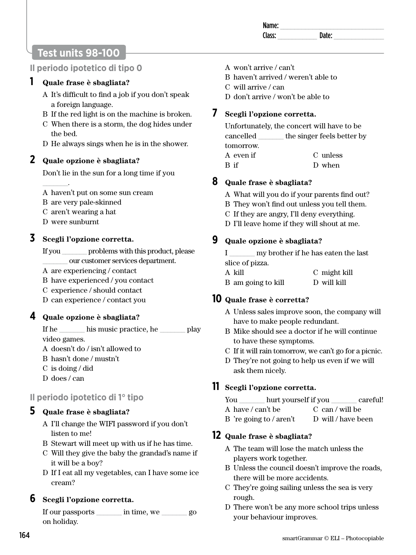Name: \_\_\_\_\_\_\_\_\_\_\_\_\_\_\_\_\_\_\_\_\_\_\_\_\_\_\_\_\_

Class: **Date:** Date:

# **Test units 98-100**

### **Il periodo ipotetico di tipo 0**

### **1 Quale frase è sbagliata?**

- A It's difficult to find a job if you don't speak a foreign language.
- B If the red light is on the machine is broken.
- C When there is a storm, the dog hides under the bed.
- D He always sings when he is in the shower.

### **2 Quale opzione è sbagliata?**

Don't lie in the sun for a long time if you

A haven't put on some sun cream

- B are very pale-skinned
- C aren't wearing a hat
- D were sunburnt

 $\overline{\phantom{a}}$ 

### **3 Scegli l'opzione corretta.**

- If you \_\_\_\_\_\_\_ problems with this product, please \_\_\_\_\_\_\_ our customer services department.
- A are experiencing / contact
- B have experienced / you contact
- C experience / should contact
- D can experience / contact you

### **4 Quale opzione è sbagliata?**

If he \_\_\_\_\_\_\_\_ his music practice, he \_\_\_\_\_\_\_ play video games.

- A doesn't do / isn't allowed to
- B hasn't done / mustn't
- C is doing / did
- D does / can

### **Il periodo ipotetico di 1° tipo**

### **5 Quale frase è sbagliata?**

- A I'll change the WIFI password if you don't listen to me!
- B Stewart will meet up with us if he has time.
- C Will they give the baby the grandad's name if it will be a boy?
- D If I eat all my vegetables, can I have some ice cream?

### **6 Scegli l'opzione corretta.**

If our passports \_\_\_\_\_\_\_ in time, we \_\_\_\_\_\_\_ go on holiday.

- A won't arrive / can't
- B haven't arrived / weren't able to
- C will arrive / can
- D don't arrive / won't be able to

### **7 Scegli l'opzione corretta.**

Unfortunately, the concert will have to be cancelled \_\_\_\_\_\_\_ the singer feels better by tomorrow.

A even if B if C unless D when

### **8 Quale frase è sbagliata?**

- A What will you do if your parents find out?
- B They won't find out unless you tell them.
- C If they are angry, I'll deny everything.
- D I'll leave home if they will shout at me.

### **9 Quale opzione è sbagliata?**

I \_\_\_\_\_\_\_ my brother if he has eaten the last slice of pizza.

| A kill             | C might kill |
|--------------------|--------------|
| B am going to kill | D will kill  |

### **10 Quale frase è corretta?**

- A Unless sales improve soon, the company will have to make people redundant.
- B Mike should see a doctor if he will continue to have these symptoms.
- C If it will rain tomorrow, we can't go for a picnic.
- D They're not going to help us even if we will ask them nicely.

### **11 Scegli l'opzione corretta.**

| You | hurt yourself if you | careful! |
|-----|----------------------|----------|
|     |                      |          |

- A have / can't be C can / will be
- B 're going to / aren't D will / have been

### **12 Quale frase è sbagliata?**

- A The team will lose the match unless the players work together.
- B Unless the council doesn't improve the roads, there will be more accidents.
- C They're going sailing unless the sea is very rough.
- D There won't be any more school trips unless your behaviour improves.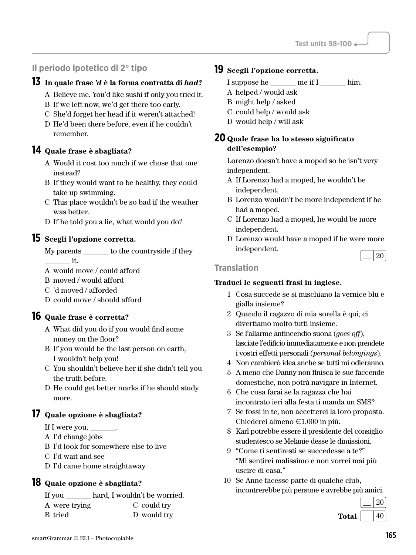### **Il periodo ipotetico di 2° tipo**

### **13 In quale frase** *'d* **è la forma contratta di** *had***?**

- A Believe me. You'd like sushi if only you tried it.
- B If we left now, we'd get there too early.
- C She'd forget her head if it weren't attached!
- D He'd been there before, even if he couldn't remember.

#### **14 Quale frase è sbagliata?**

- A Would it cost too much if we chose that one instead?
- B If they would want to be healthy, they could take up swimming.
- C This place wouldn't be so bad if the weather was better.
- D If he told you a lie, what would you do?

#### **15 Scegli l'opzione corretta.**

My parents to the countryside if they  $it.$ 

- A would move / could afford
- B moved / would afford
- C 'd moved / afforded
- D could move / should afford

### **16 Quale frase è corretta?**

- A What did you do if you would find some money on the floor?
- B If you would be the last person on earth, I wouldn't help you!
- C You shouldn't believe her if she didn't tell you the truth before.
- D He could get better marks if he should study more.

#### **17 Quale opzione è sbagliata?**

- If I were you,
- A I'd change jobs
- B I'd look for somewhere else to live
- C I'd wait and see
- D I'd came home straightaway

#### **18 Quale opzione è sbagliata?**

| If you        | hard, I wouldn't be worried. |
|---------------|------------------------------|
| A were trying | C could try                  |
| B tried       | D would try                  |

### **19 Scegli l'opzione corretta.**

I suppose he \_\_\_\_\_\_\_ me if I \_\_\_\_\_\_\_ him.

- A helped / would ask
- B might help / asked
- C could help / would ask
- D would help / will ask

#### **20 Quale frase ha lo stesso significato dell'esempio?**

Lorenzo doesn't have a moped so he isn't very independent.

- A If Lorenzo had a moped, he wouldn't be independent.
- B Lorenzo wouldn't be more independent if he had a moped.
- C If Lorenzo had a moped, he would be more independent.
- D Lorenzo would have a moped if he were more independent.

#### **Translation**

- 1 Cosa succede se si mischiano la vernice blu e gialla insieme?
- 2 Quando il ragazzo di mia sorella è qui, ci divertiamo molto tutti insieme.
- 3 Se l'allarme antincendio suona (*goes off*), lasciate l'edificio immediatamente e non prendete i vostri effetti personali (*personal belongings*).
- 4 Non cambierò idea anche se tutti mi odieranno.
- 5 A meno che Danny non finisca le sue faccende domestiche, non potrà navigare in Internet.
- 6 Che cosa farai se la ragazza che hai incontrato ieri alla festa ti manda un SMS?
- 7 Se fossi in te, non accetterei la loro proposta. Chiederei almeno E1.000 in più.
- 8 Karl potrebbe essere il presidente del consiglio studentesco se Melanie desse le dimissioni.
- 9 "Come ti sentiresti se succedesse a te?" "Mi sentirei malissimo e non vorrei mai più uscire di casa."
- 10 Se Anne facesse parte di qualche club, incontrerebbe più persone e avrebbe più amici.

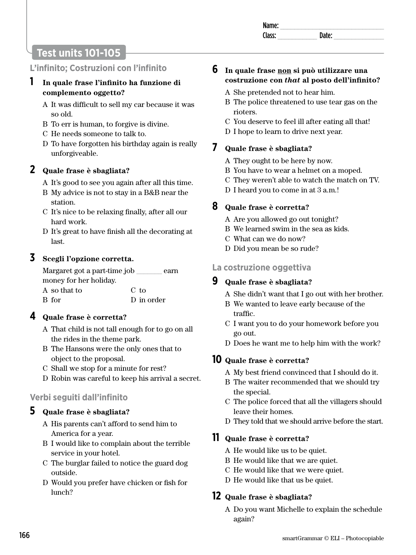| <b>IVALLE</b> |  |
|---------------|--|
|               |  |
|               |  |

# **Test units 101-105**

### **L'infinito; Costruzioni con l'infinito**

### **1 In quale frase l'infinito ha funzione di complemento oggetto?**

- A It was difficult to sell my car because it was so old.
- B To err is human, to forgive is divine.
- C He needs someone to talk to.
- D To have forgotten his birthday again is really unforgiveable.

### **2 Quale frase è sbagliata?**

- A It's good to see you again after all this time.
- B My advice is not to stay in a B&B near the station.
- C It's nice to be relaxing finally, after all our hard work.
- D It's great to have finish all the decorating at last.

### **3 Scegli l'opzione corretta.**

Margaret got a part-time job earn money for her holiday. A so that to B for C to D in order

### **4 Quale frase è corretta?**

- A That child is not tall enough for to go on all the rides in the theme park.
- B The Hansons were the only ones that to object to the proposal.
- C Shall we stop for a minute for rest?
- D Robin was careful to keep his arrival a secret.

### **Verbi seguiti dall'infinito**

### **5 Quale frase è sbagliata?**

- A His parents can't afford to send him to America for a year.
- B I would like to complain about the terrible service in your hotel.
- C The burglar failed to notice the guard dog outside.
- D Would you prefer have chicken or fish for lunch?

## **6 In quale frase non si può utilizzare una costruzione con** *that* **al posto dell'infinito?**

- A She pretended not to hear him.
- B The police threatened to use tear gas on the rioters.
- C You deserve to feel ill after eating all that!
- D I hope to learn to drive next year.

### **7 Quale frase è sbagliata?**

- A They ought to be here by now.
- B You have to wear a helmet on a moped.
- C They weren't able to watch the match on TV.
- D I heard you to come in at 3 a.m.!

### **8 Quale frase è corretta?**

- A Are you allowed go out tonight?
- B We learned swim in the sea as kids.
- C What can we do now?
- D Did you mean be so rude?

### **La costruzione oggettiva**

### **9 Quale frase è sbagliata?**

- A She didn't want that I go out with her brother.
- B We wanted to leave early because of the traffic.
- C I want you to do your homework before you go out.
- D Does he want me to help him with the work?

### **10 Quale frase è corretta?**

- A My best friend convinced that I should do it.
- B The waiter recommended that we should try the special.
- C The police forced that all the villagers should leave their homes.
- D They told that we should arrive before the start.

### **11 Quale frase è corretta?**

- A He would like us to be quiet.
- B He would like that we are quiet.
- C He would like that we were quiet.
- D He would like that us be quiet.

### **12 Quale frase è sbagliata?**

A Do you want Michelle to explain the schedule again?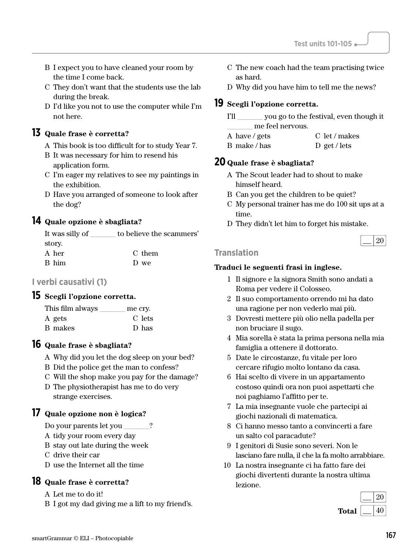- B I expect you to have cleaned your room by the time I come back.
- C They don't want that the students use the lab during the break.
- D I'd like you not to use the computer while I'm not here.

### **13 Quale frase è corretta?**

- A This book is too difficult for to study Year 7.
- B It was necessary for him to resend his application form.
- C I'm eager my relatives to see my paintings in the exhibition.
- D Have you arranged of someone to look after the dog?

### **14 Quale opzione è sbagliata?**

| It was silly of | to believe the scammers' |
|-----------------|--------------------------|
| story.          |                          |
| A her           | C them                   |
| B him           | D we                     |

### **I verbi causativi (1)**

### **15 Scegli l'opzione corretta.**

| This film always | me cry. |
|------------------|---------|
| A gets           | C lets  |
| B makes          | D has   |

### **16 Quale frase è sbagliata?**

- A Why did you let the dog sleep on your bed?
- B Did the police get the man to confess?
- C Will the shop make you pay for the damage?
- D The physiotherapist has me to do very strange exercises.

### **17 Quale opzione non è logica?**

Do your parents let you \_\_\_\_\_\_\_?

- A tidy your room every day
- B stay out late during the week
- C drive their car
- D use the Internet all the time

### **18 Quale frase è corretta?**

A Let me to do it!

B I got my dad giving me a lift to my friend's.

- C The new coach had the team practising twice as hard.
- D Why did you have him to tell me the news?

### **19 Scegli l'opzione corretta.**

- I'll \_\_\_\_\_\_\_ you go to the festival, even though it \_\_\_\_\_\_\_ me feel nervous.
- A have / gets B make / has C let / makes D get / lets

### **20 Quale frase è sbagliata?**

- A The Scout leader had to shout to make himself heard.
- B Can you get the children to be quiet?
- C My personal trainer has me do 100 sit ups at a time.
- D They didn't let him to forget his mistake.

|--|

#### **Translation**

- 1 Il signore e la signora Smith sono andati a Roma per vedere il Colosseo.
- 2 Il suo comportamento orrendo mi ha dato una ragione per non vederlo mai più.
- 3 Dovresti mettere più olio nella padella per non bruciare il sugo.
- 4 Mia sorella è stata la prima persona nella mia famiglia a ottenere il dottorato.
- 5 Date le circostanze, fu vitale per loro cercare rifugio molto lontano da casa.
- 6 Hai scelto di vivere in un appartamento costoso quindi ora non puoi aspettarti che noi paghiamo l'affitto per te.
- 7 La mia insegnante vuole che partecipi ai giochi nazionali di matematica.
- 8 Ci hanno messo tanto a convincerti a fare un salto col paracadute?
- 9 I genitori di Susie sono severi. Non le lasciano fare nulla, il che la fa molto arrabbiare.
- 10 La nostra insegnante ci ha fatto fare dei giochi divertenti durante la nostra ultima lezione.

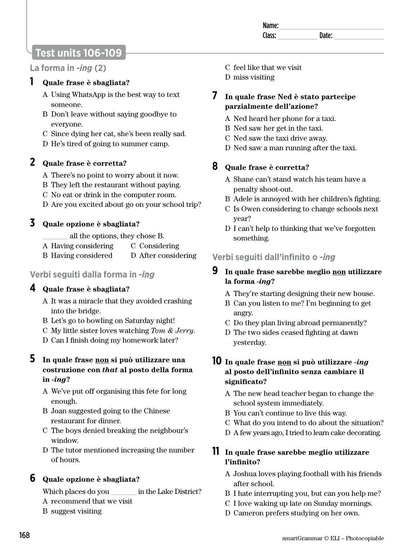| -<br> |  |
|-------|--|
|       |  |
|       |  |

# **Test units 106-109**

### **La forma in** *-ing* **(2)**

### **1 Quale frase è sbagliata?**

- A Using WhatsApp is the best way to text someone.
- B Don't leave without saying goodbye to everyone.
- C Since dying her cat, she's been really sad.
- D He's tired of going to summer camp.

### **2 Quale frase è corretta?**

- A There's no point to worry about it now.
- B They left the restaurant without paying.
- C No eat or drink in the computer room.
- D Are you excited about go on your school trip?

### **3 Quale opzione è sbagliata?**

\_\_\_\_\_\_\_ all the options, they chose B.

- A Having considering C Considering
- B Having considered D After considering

### **Verbi seguiti dalla forma in** *-ing*

### **4 Quale frase è sbagliata?**

- A It was a miracle that they avoided crashing into the bridge.
- B Let's go to bowling on Saturday night!
- C My little sister loves watching *Tom & Jerry*.
- D Can I finish doing my homework later?

#### **5 In quale frase non si può utilizzare una costruzione con** *that* **al posto della forma in** *-ing***?**

- A We've put off organising this fete for long enough.
- B Joan suggested going to the Chinese restaurant for dinner.
- C The boys denied breaking the neighbour's window.
- D The tutor mentioned increasing the number of hours.

### **6 Quale opzione è sbagliata?**

Which places do you in the Lake District? A recommend that we visit

B suggest visiting

- C feel like that we visit
- D miss visiting
- **7 In quale frase Ned è stato partecipe parzialmente dell'azione?** 
	- A Ned heard her phone for a taxi.
	- B Ned saw her get in the taxi.
	- C Ned saw the taxi drive away.
	- D Ned saw a man running after the taxi.

### **8 Quale frase è corretta?**

- A Shane can't stand watch his team have a penalty shoot-out.
- B Adele is annoyed with her children's fighting.
- C Is Owen considering to change schools next year?
- D I can't help to thinking that we've forgotten something.

### **Verbi seguiti dall'infinito o** *-ing*

### **9 In quale frase sarebbe meglio non utilizzare la forma** *-ing***?**

- A They're starting designing their new house.
- B Can you listen to me? I'm beginning to get angry.
- C Do they plan living abroad permanently?
- D The two sides ceased fighting at dawn yesterday.

#### **10 In quale frase non si può utilizzare** *-ing* **al posto dell'infinito senza cambiare il significato?**

- A The new head teacher began to change the school system immediately.
- B You can't continue to live this way.
- C What do you intend to do about the situation?
- D A few years ago, I tried to learn cake decorating.

### **11 In quale frase sarebbe meglio utilizzare l'infinito?**

- A Joshua loves playing football with his friends after school.
- B I hate interrupting you, but can you help me?
- C I love waking up late on Sunday mornings.
- D Cameron prefers studying on her own.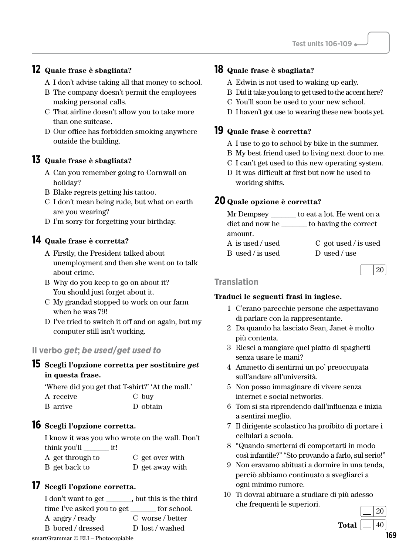### **12 Quale frase è sbagliata?**

- A I don't advise taking all that money to school.
- B The company doesn't permit the employees making personal calls.
- C That airline doesn't allow you to take more than one suitcase.
- D Our office has forbidden smoking anywhere outside the building.

### **13 Quale frase è sbagliata?**

- A Can you remember going to Cornwall on holiday?
- B Blake regrets getting his tattoo.
- C I don't mean being rude, but what on earth are you wearing?
- D I'm sorry for forgetting your birthday.

### **14 Quale frase è corretta?**

- A Firstly, the President talked about unemployment and then she went on to talk about crime.
- B Why do you keep to go on about it? You should just forget about it.
- C My grandad stopped to work on our farm when he was 79!
- D I've tried to switch it off and on again, but my computer still isn't working.

### **Il verbo** *get***;** *be used***/***get used to*

#### **15 Scegli l'opzione corretta per sostituire** *get* **in questa frase.**

'Where did you get that T-shirt?' 'At the mall.' A receive B arrive C buy D obtain

### **16 Scegli l'opzione corretta.**

I know it was you who wrote on the wall. Don't think you'll \_\_\_\_\_\_\_ it!

A get through to B get back to C get over with D get away with

### **17 Scegli l'opzione corretta.**

smartGrammar © ELI – Photocopiable 169 I don't want to get , but this is the third time I've asked you to get for school. A angry / ready B bored / dressed C worse / better D lost / washed

### **18 Quale frase è sbagliata?**

- A Edwin is not used to waking up early.
- B Did it take you long to get used to the accent here?
- C You'll soon be used to your new school.
- D I haven't got use to wearing these new boots yet.

#### **19 Quale frase è corretta?**

- A I use to go to school by bike in the summer.
- B My best friend used to living next door to me.
- C I can't get used to this new operating system.
- D It was difficult at first but now he used to working shifts.

### **20 Quale opzione è corretta?**

| Mr Dempsey       | to eat a lot. He went on a |
|------------------|----------------------------|
| diet and now he  | to having the correct      |
| amount.          |                            |
| A is used / used | $C$ got used / is used     |
| B used / is used | D used / use               |

|  | 20 |
|--|----|
|  |    |

#### **Translation**

- 1 C'erano parecchie persone che aspettavano di parlare con la rappresentante.
- 2 Da quando ha lasciato Sean, Janet è molto più contenta.
- 3 Riesci a mangiare quel piatto di spaghetti senza usare le mani?
- 4 Ammetto di sentirmi un po' preoccupata sull'andare all'università.
- 5 Non posso immaginare di vivere senza internet e social networks.
- 6 Tom si sta riprendendo dall'influenza e inizia a sentirsi meglio.
- 7 Il dirigente scolastico ha proibito di portare i cellulari a scuola.
- 8 "Quando smetterai di comportarti in modo così infantile?" "Sto provando a farlo, sul serio!"
- 9 Non eravamo abituati a dormire in una tenda, perciò abbiamo continuato a svegliarci a ogni minimo rumore.
- 10 Ti dovrai abituare a studiare di più adesso che frequenti le superiori.

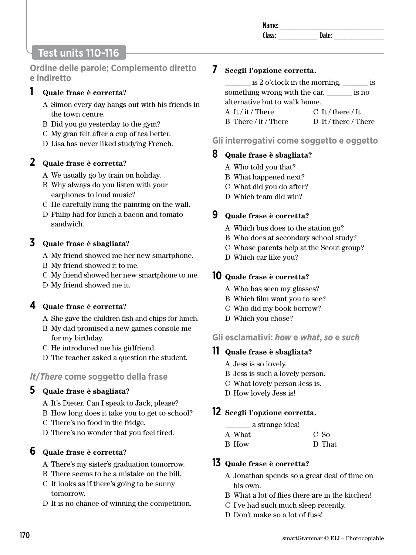| $\sim$ $\sim$<br>чΗ.<br> |  |
|--------------------------|--|
| $- -$                    |  |
|                          |  |

# **Test units 110-116**

**Ordine delle parole; Complemento diretto e indiretto** 

### **1 Quale frase è corretta?**

- A Simon every day hangs out with his friends in the town centre.
- B Did you go yesterday to the gym?
- C My gran felt after a cup of tea better.
- D Lisa has never liked studying French.

### **2 Quale frase è corretta?**

- A We usually go by train on holiday.
- B Why always do you listen with your earphones to loud music?
- C He carefully hung the painting on the wall.
- D Philip had for lunch a bacon and tomato sandwich.

### **3 Quale frase è sbagliata?**

- A My friend showed me her new smartphone.
- B My friend showed it to me.
- C My friend showed her new smartphone to me.
- D My friend showed me it.

### **4 Quale frase è corretta?**

- A She gave the children fish and chips for lunch.
- B My dad promised a new games console me for my birthday.
- C He introduced me his girlfriend.
- D The teacher asked a question the student.

### *It***/***There* **come soggetto della frase**

### **5 Quale frase è sbagliata?**

- A It's Dieter. Can I speak to Jack, please?
- B How long does it take you to get to school?
- C There's no food in the fridge.
- D There's no wonder that you feel tired.

### **6 Quale frase è corretta?**

- A There's my sister's graduation tomorrow.
- B There seems to be a mistake on the bill.
- C It looks as if there's going to be sunny tomorrow.
- D It is no chance of winning the competition.

### **7 Scegli l'opzione corretta.**

| is 2 o'clock in the morning,  |                      | 1S    |
|-------------------------------|----------------------|-------|
| something wrong with the car. |                      | is no |
| alternative but to walk home. |                      |       |
| A It / it / There             | $C$ It / there / It  |       |
| B There / it / There          | D It / there / There |       |

### **Gli interrogativi come soggetto e oggetto**

### **8 Quale frase è sbagliata?**

- A Who told you that?
- B What happened next?
- C What did you do after?
- D Which team did win?

### **9 Quale frase è corretta?**

- A Which bus does to the station go?
- B Who does at secondary school study?
- C Whose parents help at the Scout group?
- D Which car like you?

### **10 Quale frase è corretta?**

- A Who has seen my glasses?
- B Which film want you to see?
- C Who did my book borrow?
- D Which you chose?

### **Gli esclamativi:** *how* **e** *what***,** *so* **e** *such*

### **11 Quale frase è sbagliata?**

- A Jess is so lovely.
- B Jess is such a lovely person.
- C What lovely person Jess is.
- D How lovely Jess is!

### **12 Scegli l'opzione corretta.**

|  | a strange idea! |
|--|-----------------|
|  |                 |

- A What C So
- B How D That

#### **13 Quale frase è corretta?**

- A Jonathan spends so a great deal of time on his own.
- B What a lot of flies there are in the kitchen!
- C I've had such much sleep recently.
- D Don't make so a lot of fuss!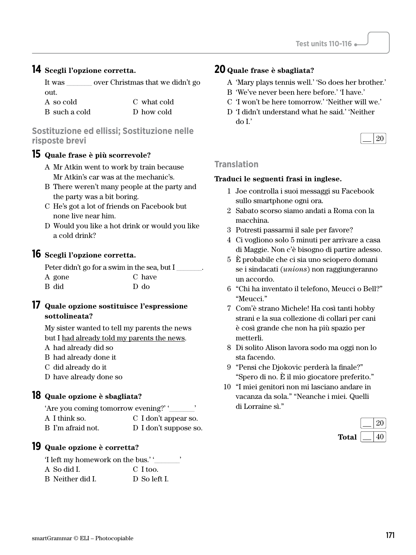#### **14 Scegli l'opzione corretta.**

It was \_\_\_\_\_\_\_ over Christmas that we didn't go out.  $A$  so cold

| A so cold     | C what cold |
|---------------|-------------|
| B such a cold | D how cold  |

#### **Sostituzione ed ellissi; Sostituzione nelle risposte brevi**

#### **15 Quale frase è più scorrevole?**

- A Mr Atkin went to work by train because Mr Atkin's car was at the mechanic's.
- B There weren't many people at the party and the party was a bit boring.
- C He's got a lot of friends on Facebook but none live near him.
- D Would you like a hot drink or would you like a cold drink?

### **16 Scegli l'opzione corretta.**

| Peter didn't go for a swim in the sea, but I |        |
|----------------------------------------------|--------|
| A gone                                       | C have |
| B did                                        | D do   |

#### **17 Quale opzione sostituisce l'espressione sottolineata?**

My sister wanted to tell my parents the news but I had already told my parents the news.

- A had already did so
- B had already done it
- C did already do it

D have already done so

#### **18 Quale opzione è sbagliata?**

| 'Are you coming tomorrow evening?' |                       |
|------------------------------------|-----------------------|
| A I think so.                      | C I don't appear so.  |
| B I'm afraid not.                  | D I don't suppose so. |

### **19 Quale opzione è corretta?**

| 'I left my homework on the bus.'' |              |
|-----------------------------------|--------------|
| A So did L                        | C I too.     |
| B Neither did I.                  | D So left I. |

### **20 Quale frase è sbagliata?**

- A 'Mary plays tennis well.' 'So does her brother.'
- B 'We've never been here before.' 'I have.'
- C 'I won't be here tomorrow.' 'Neither will we.'
- D 'I didn't understand what he said.' 'Neither do I.'

| $\sqrt{20}$<br>$\sim$ |  |
|-----------------------|--|
|-----------------------|--|

#### **Translation**

- 1 Joe controlla i suoi messaggi su Facebook sullo smartphone ogni ora.
- 2 Sabato scorso siamo andati a Roma con la macchina.
- 3 Potresti passarmi il sale per favore?
- 4 Ci vogliono solo 5 minuti per arrivare a casa di Maggie. Non c'è bisogno di partire adesso.
- 5 È probabile che ci sia uno sciopero domani se i sindacati (*unions*) non raggiungeranno un accordo.
- 6 "Chi ha inventato il telefono, Meucci o Bell?" "Meucci."
- 7 Com'è strano Michele! Ha così tanti hobby strani e la sua collezione di collari per cani è così grande che non ha più spazio per metterli.
- 8 Di solito Alison lavora sodo ma oggi non lo sta facendo.
- 9 "Pensi che Djokovic perderà la finale?" "Spero di no. È il mio giocatore preferito."
- 10 "I miei genitori non mi lasciano andare in vacanza da sola." "Neanche i miei. Quelli di Lorraine sì."

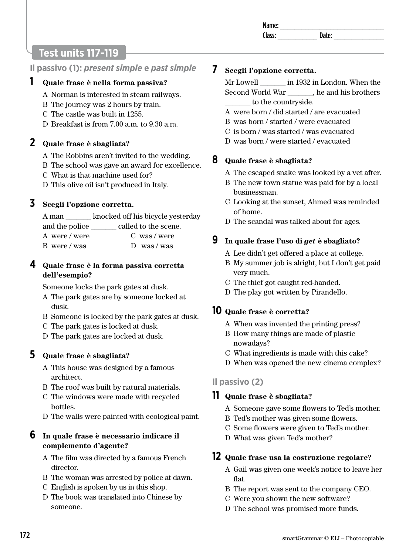# **Test units 117-119**

### **Il passivo (1):** *present simple* **e** *past simple*

### **1 Quale frase è nella forma passiva?**

- A Norman is interested in steam railways.
- B The journey was 2 hours by train.
- C The castle was built in 1255.
- D Breakfast is from 7.00 a.m. to 9.30 a.m.

## **2 Quale frase è sbagliata?**

- A The Robbins aren't invited to the wedding.
- B The school was gave an award for excellence.
- C What is that machine used for?
- D This olive oil isn't produced in Italy.

### **3 Scegli l'opzione corretta.**

A man \_\_\_\_\_\_\_ knocked off his bicycle yesterday and the police called to the scene.

| A were / were | C was/were  |
|---------------|-------------|
| B were / was  | $D$ was/was |

### **4 Quale frase è la forma passiva corretta dell'esempio?**

Someone locks the park gates at dusk.

- A The park gates are by someone locked at dusk.
- B Someone is locked by the park gates at dusk.
- C The park gates is locked at dusk.
- D The park gates are locked at dusk.

### **5 Quale frase è sbagliata?**

- A This house was designed by a famous architect.
- B The roof was built by natural materials.
- C The windows were made with recycled bottles.
- D The walls were painted with ecological paint.

### **6 In quale frase è necessario indicare il complemento d'agente?**

- A The film was directed by a famous French director.
- B The woman was arrested by police at dawn.
- C English is spoken by us in this shop.
- D The book was translated into Chinese by someone.

### **7 Scegli l'opzione corretta.**

Mr Lowell \_\_\_\_\_\_\_ in 1932 in London. When the Second World War . he and his brothers to the countryside.

- A were born / did started / are evacuated
- B was born / started / were evacuated
- C is born / was started / was evacuated
- D was born / were started / evacuated

### **8 Quale frase è sbagliata?**

- A The escaped snake was looked by a vet after.
- B The new town statue was paid for by a local businessman.
- C Looking at the sunset, Ahmed was reminded of home.
- D The scandal was talked about for ages.

### **9 In quale frase l'uso di** *get* **è sbagliato?**

- A Lee didn't get offered a place at college.
- B My summer job is alright, but I don't get paid very much.
- C The thief got caught red-handed.
- D The play got written by Pirandello.

### **10 Quale frase è corretta?**

- A When was invented the printing press?
- B How many things are made of plastic nowadays?
- C What ingredients is made with this cake?
- D When was opened the new cinema complex?

### **Il passivo (2)**

### **11 Quale frase è sbagliata?**

- A Someone gave some flowers to Ted's mother.
- B Ted's mother was given some flowers.
- C Some flowers were given to Ted's mother.
- D What was given Ted's mother?

# **12 Quale frase usa la costruzione regolare?**

- A Gail was given one week's notice to leave her flat.
- B The report was sent to the company CEO.
- C Were you shown the new software?
- D The school was promised more funds.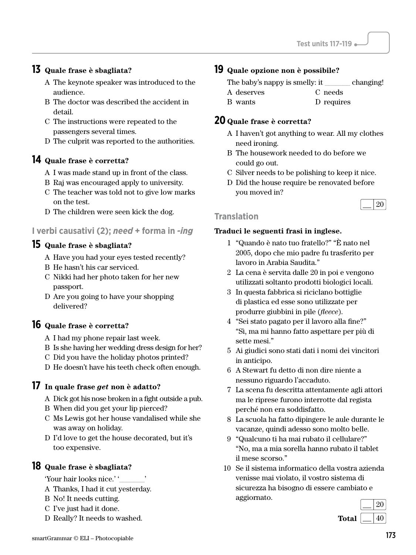### **13 Quale frase è sbagliata?**

- A The keynote speaker was introduced to the audience.
- B The doctor was described the accident in detail.
- C The instructions were repeated to the passengers several times.
- D The culprit was reported to the authorities.

### **14 Quale frase è corretta?**

- A I was made stand up in front of the class.
- B Raj was encouraged apply to university.
- C The teacher was told not to give low marks on the test.
- D The children were seen kick the dog.

### **I verbi causativi (2);** *need* **+ forma in** *-ing*

### **15 Quale frase è sbagliata?**

- A Have you had your eyes tested recently?
- B He hasn't his car serviced.
- C Nikki had her photo taken for her new passport.
- D Are you going to have your shopping delivered?

### **16 Quale frase è corretta?**

- A I had my phone repair last week.
- B Is she having her wedding dress design for her?
- C Did you have the holiday photos printed?
- D He doesn't have his teeth check often enough.

#### **17 In quale frase** *get* **non è adatto?**

- A Dick got his nose broken in a fight outside a pub.
- B When did you get your lip pierced?
- C Ms Lewis got her house vandalised while she was away on holiday.
- D I'd love to get the house decorated, but it's too expensive.

### **18 Quale frase è sbagliata?**

'Your hair looks nice.' '\_\_\_\_\_\_\_'

- A Thanks, I had it cut yesterday.
- B No! It needs cutting.
- C I've just had it done.
- D Really? It needs to washed.

### **19 Quale opzione non è possibile?**

| The baby's nappy is smelly: it | changing! |
|--------------------------------|-----------|
|--------------------------------|-----------|

- A deserves C needs
- B wants D requires

#### **20 Quale frase è corretta?**

- A I haven't got anything to wear. All my clothes need ironing.
- B The housework needed to do before we could go out.
- C Silver needs to be polishing to keep it nice.
- D Did the house require be renovated before you moved in?

#### $\lfloor$  20 **Translation**

- 1 "Quando è nato tuo fratello?" "È nato nel 2005, dopo che mio padre fu trasferito per lavoro in Arabia Saudita."
- 2 La cena è servita dalle 20 in poi e vengono utilizzati soltanto prodotti biologici locali.
- 3 In questa fabbrica si riciclano bottiglie di plastica ed esse sono utilizzate per produrre giubbini in pile (*fleece*).
- 4 "Sei stato pagato per il lavoro alla fine?" "Sì, ma mi hanno fatto aspettare per più di sette mesi."
- 5 Ai giudici sono stati dati i nomi dei vincitori in anticipo.
- 6 A Stewart fu detto di non dire niente a nessuno riguardo l'accaduto.
- 7 La scena fu descritta attentamente agli attori ma le riprese furono interrotte dal regista perché non era soddisfatto.
- 8 La scuola ha fatto dipingere le aule durante le vacanze, quindi adesso sono molto belle.
- 9 "Qualcuno ti ha mai rubato il cellulare?" "No, ma a mia sorella hanno rubato il tablet il mese scorso."
- 10 Se il sistema informatico della vostra azienda venisse mai violato, il vostro sistema di sicurezza ha bisogno di essere cambiato e aggiornato.

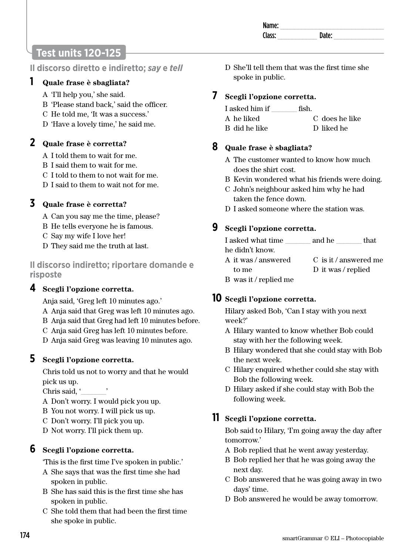# **Test units 120-125**

**Il discorso diretto e indiretto;** *say* **e** *tell* 

### **1 Quale frase è sbagliata?**

- A 'I'll help you,' she said.
- B 'Please stand back,' said the officer.
- C He told me, 'It was a success.'
- D 'Have a lovely time,' he said me.

### **2 Quale frase è corretta?**

- A I told them to wait for me.
- B I said them to wait for me.
- C I told to them to not wait for me.
- D I said to them to wait not for me.

### **3 Quale frase è corretta?**

- A Can you say me the time, please?
- B He tells everyone he is famous.
- C Say my wife I love her!
- D They said me the truth at last.

**Il discorso indiretto; riportare domande e risposte** 

### **4 Scegli l'opzione corretta.**

Anja said, 'Greg left 10 minutes ago.'

- A Anja said that Greg was left 10 minutes ago.
- B Anja said that Greg had left 10 minutes before.
- C Anja said Greg has left 10 minutes before.
- D Anja said Greg was leaving 10 minutes ago.

### **5 Scegli l'opzione corretta.**

Chris told us not to worry and that he would pick us up.

Chris said. '

- A Don't worry. I would pick you up.
- B You not worry. I will pick us up.
- C Don't worry. I'll pick you up.
- D Not worry. I'll pick them up.

### **6 Scegli l'opzione corretta.**

'This is the first time I've spoken in public.'

- A She says that was the first time she had spoken in public.
- B She has said this is the first time she has spoken in public.
- C She told them that had been the first time she spoke in public.

D She'll tell them that was the first time she spoke in public.

### **7 Scegli l'opzione corretta.**

| I asked him if | fish.          |
|----------------|----------------|
| A he liked     | C does he like |
| B did he like  | D liked he     |

### **8 Quale frase è sbagliata?**

- A The customer wanted to know how much does the shirt cost.
- B Kevin wondered what his friends were doing.
- C John's neighbour asked him why he had taken the fence down.
- D I asked someone where the station was.

### **9 Scegli l'opzione corretta.**

I asked what time and he that he didn't know.

- A it was / answered to me C is it / answered me D it was / replied
- B was it / replied me

### **10 Scegli l'opzione corretta.**

Hilary asked Bob, 'Can I stay with you next week?'

- A Hilary wanted to know whether Bob could stay with her the following week.
- B Hilary wondered that she could stay with Bob the next week.
- C Hilary enquired whether could she stay with Bob the following week.
- D Hilary asked if she could stay with Bob the following week.

### **11 Scegli l'opzione corretta.**

Bob said to Hilary, 'I'm going away the day after tomorrow.'

- A Bob replied that he went away yesterday.
- B Bob replied her that he was going away the next day.
- C Bob answered that he was going away in two days' time.
- D Bob answered he would be away tomorrow.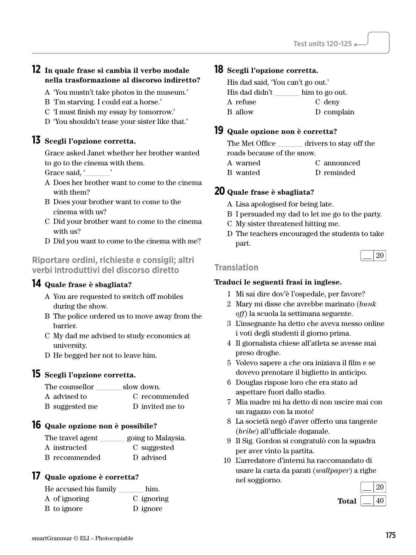#### **12 In quale frase si cambia il verbo modale nella trasformazione al discorso indiretto?**

- A 'You mustn't take photos in the museum.'
- B 'I'm starving. I could eat a horse.'
- C 'I must finish my essay by tomorrow.'
- D 'You shouldn't tease your sister like that.'

### **13 Scegli l'opzione corretta.**

Grace asked Janet whether her brother wanted to go to the cinema with them.

Grace said. '

- A Does her brother want to come to the cinema with them?
- B Does your brother want to come to the cinema with us?
- C Did your brother want to come to the cinema with us?
- D Did you want to come to the cinema with me?

#### **Riportare ordini, richieste e consigli; altri verbi introduttivi del discorso diretto**

#### **14 Quale frase è sbagliata?**

- A You are requested to switch off mobiles during the show.
- B The police ordered us to move away from the barrier.
- C My dad me advised to study economics at university.
- D He begged her not to leave him.

### **15 Scegli l'opzione corretta.**

| The counsellor | slow down.      |
|----------------|-----------------|
| A advised to   | C recommended   |
| B suggested me | D invited me to |

### **16 Quale opzione non è possibile?**

| The travel agent | going to Malaysia. |
|------------------|--------------------|
| A instructed     | C suggested        |
| B recommended    | D advised          |

#### **17 Quale opzione è corretta?**

| He accused his family | him.       |
|-----------------------|------------|
| A of ignoring         | C ignoring |
| B to ignore           | D ignore   |

#### **18 Scegli l'opzione corretta.**

| His dad said, 'You can't go out.' |                |  |
|-----------------------------------|----------------|--|
| His dad didn't                    | him to go out. |  |
| A refuse                          | C deny         |  |
| B allow                           | D complain     |  |
|                                   |                |  |

#### **19 Quale opzione non è corretta?**

| The Met Office             | drivers to stay off the |  |  |  |
|----------------------------|-------------------------|--|--|--|
| roads because of the snow. |                         |  |  |  |
| A warned                   | C announced             |  |  |  |

B wanted D reminded

#### **20 Quale frase è sbagliata?**

- A Lisa apologised for being late.
- B I persuaded my dad to let me go to the party.
- C My sister threatened hitting me.
- D The teachers encouraged the students to take part.

|  |  |  | 20 |
|--|--|--|----|
|--|--|--|----|

#### **Translation**

- 1 Mi sai dire dov'è l'ospedale, per favore?
- 2 Mary mi disse che avrebbe marinato (*bunk off*) la scuola la settimana seguente.
- 3 L'insegnante ha detto che aveva messo online i voti degli studenti il giorno prima.
- 4 Il giornalista chiese all'atleta se avesse mai preso droghe.
- 5 Volevo sapere a che ora iniziava il film e se dovevo prenotare il biglietto in anticipo.
- 6 Douglas rispose loro che era stato ad aspettare fuori dallo stadio.
- 7 Mia madre mi ha detto di non uscire mai con un ragazzo con la moto!
- 8 La società negò d'aver offerto una tangente (*bribe*) all'ufficiale doganale.
- 9 Il Sig. Gordon si congratulò con la squadra per aver vinto la partita.
- 10 L'arredatore d'interni ha raccomandato di usare la carta da parati (*wallpaper*) a righe nel soggiorno.

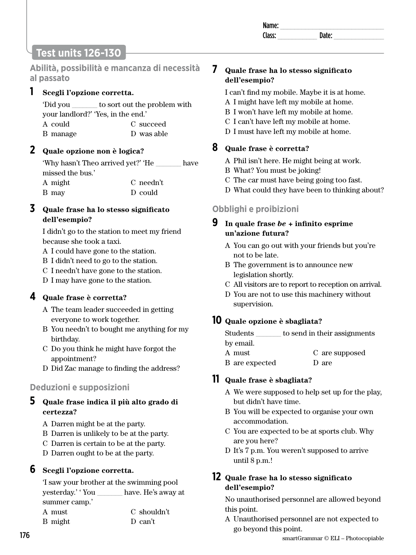| Name:  |    |  |
|--------|----|--|
| Class: | ыш |  |
|        |    |  |

# **Test units 126-130**

**Abilità, possibilità e mancanza di necessità al passato** 

### **1 Scegli l'opzione corretta.**

'Did you \_\_\_\_\_\_\_ to sort out the problem with your landlord?' 'Yes, in the end.' A could B manage C succeed D was able

### **2 Quale opzione non è logica?**

'Why hasn't Theo arrived yet?' 'He \_\_\_\_\_\_\_ have missed the bus.' A might B may C needn't D could

### **3 Quale frase ha lo stesso significato dell'esempio?**

I didn't go to the station to meet my friend because she took a taxi.

- A I could have gone to the station.
- B I didn't need to go to the station.
- C I needn't have gone to the station.
- D I may have gone to the station.

### **4 Quale frase è corretta?**

- A The team leader succeeded in getting everyone to work together.
- B You needn't to bought me anything for my birthday.
- C Do you think he might have forgot the appointment?
- D Did Zac manage to finding the address?

### **Deduzioni e supposizioni**

### **5 Quale frase indica il più alto grado di certezza?**

- A Darren might be at the party.
- B Darren is unlikely to be at the party.
- C Darren is certain to be at the party.
- D Darren ought to be at the party.

### **6 Scegli l'opzione corretta.**

'I saw your brother at the swimming pool yesterday.' ' You \_\_\_\_\_\_\_ have. He's away at summer camp.'

| A must  | C shouldn't |
|---------|-------------|
| B might | D can't     |

### **7 Quale frase ha lo stesso significato dell'esempio?**

I can't find my mobile. Maybe it is at home.

- A I might have left my mobile at home.
- B I won't have left my mobile at home.
- C I can't have left my mobile at home.
- D I must have left my mobile at home.

### **8 Quale frase è corretta?**

- A Phil isn't here. He might being at work.
- B What? You must be joking!
- C The car must have being going too fast.
- D What could they have been to thinking about?

### **Obblighi e proibizioni**

#### **9 In quale frase** *be* **+ infinito esprime un'azione futura?**

- A You can go out with your friends but you're not to be late.
- B The government is to announce new legislation shortly.
- C All visitors are to report to reception on arrival.
- D You are not to use this machinery without supervision.

### **10 Quale opzione è sbagliata?**

Students to send in their assignments by email.

- A must C are supposed
- B are expected D are

### **11 Quale frase è sbagliata?**

- A We were supposed to help set up for the play, but didn't have time.
- B You will be expected to organise your own accommodation.
- C You are expected to be at sports club. Why are you here?
- D It's 7 p.m. You weren't supposed to arrive until 8 p.m.!

### **12 Quale frase ha lo stesso significato dell'esempio?**

No unauthorised personnel are allowed beyond this point.

A Unauthorised personnel are not expected to go beyond this point.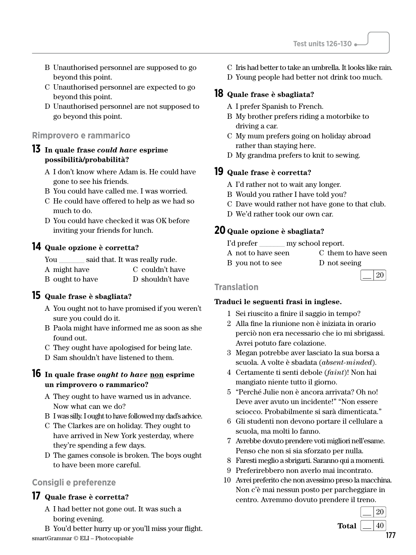- B Unauthorised personnel are supposed to go beyond this point.
- C Unauthorised personnel are expected to go beyond this point.
- D Unauthorised personnel are not supposed to go beyond this point.

#### **Rimprovero e rammarico**

#### **13 In quale frase** *could have* **esprime possibilità/probabilità?**

- A I don't know where Adam is. He could have gone to see his friends.
- B You could have called me. I was worried.
- C He could have offered to help as we had so much to do.
- D You could have checked it was OK before inviting your friends for lunch.

### **14 Quale opzione è corretta?**

| You             | said that. It was really rude. |                  |
|-----------------|--------------------------------|------------------|
| A might have    |                                | C couldn't have  |
| B ought to have |                                | D shouldn't have |

### **15 Quale frase è sbagliata?**

- A You ought not to have promised if you weren't sure you could do it.
- B Paola might have informed me as soon as she found out.
- C They ought have apologised for being late.
- D Sam shouldn't have listened to them.

#### **16 In quale frase** *ought to have* **non esprime un rimprovero o rammarico?**

- A They ought to have warned us in advance. Now what can we do?
- B I was silly. I ought to have followed my dad's advice.
- C The Clarkes are on holiday. They ought to have arrived in New York yesterday, where they're spending a few days.
- D The games console is broken. The boys ought to have been more careful.

### **Consigli e preferenze**

### **17 Quale frase è corretta?**

- A I had better not gone out. It was such a boring evening.
- $\frac{177}{177}$  smartGrammar © ELI Photocopiable B You'd better hurry up or you'll miss your flight.
- C Iris had better to take an umbrella. It looks like rain.
- D Young people had better not drink too much.

#### **18 Quale frase è sbagliata?**

- A I prefer Spanish to French.
- B My brother prefers riding a motorbike to driving a car.
- C My mum prefers going on holiday abroad rather than staying here.
- D My grandma prefers to knit to sewing.

### **19 Quale frase è corretta?**

- A I'd rather not to wait any longer.
- B Would you rather I have told you?
- C Dave would rather not have gone to that club.
- D We'd rather took our own car.

### **20 Quale opzione è sbagliata?**

- I'd prefer \_\_\_\_\_\_\_\_\_ my school report.
- A not to have seen C them to have seen
- B you not to see D not seeing
	-

#### $\lfloor 20$ **Translation**

- 1 Sei riuscito a finire il saggio in tempo?
- 2 Alla fine la riunione non è iniziata in orario perciò non era necessario che io mi sbrigassi. Avrei potuto fare colazione.
- 3 Megan potrebbe aver lasciato la sua borsa a scuola. A volte è sbadata (*absent-minded*).
- 4 Certamente ti senti debole (*faint*)! Non hai mangiato niente tutto il giorno.
- 5 "Perché Julie non è ancora arrivata? Oh no! Deve aver avuto un incidente!" "Non essere sciocco. Probabilmente si sarà dimenticata."
- 6 Gli studenti non devono portare il cellulare a scuola, ma molti lo fanno.
- 7 Avrebbe dovuto prendere voti migliori nell'esame. Penso che non si sia sforzato per nulla.
- 8 Faresti meglio a sbrigarti. Saranno qui a momenti.
- 9 Preferirebbero non averlo mai incontrato.
- 10 Avrei preferito che non avessimo preso la macchina. Non c'è mai nessun posto per parcheggiare in centro. Avremmo dovuto prendere il treno.

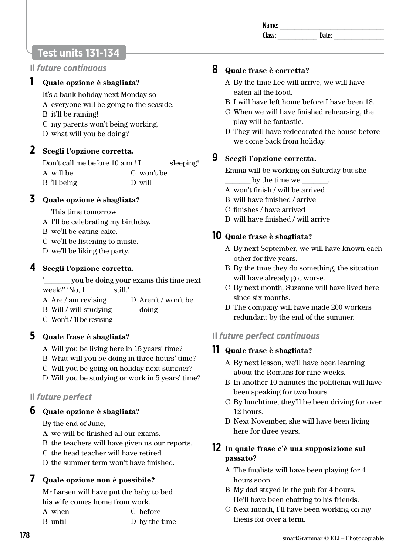| Na<br>ше: |  |
|-----------|--|
| r 21      |  |
|           |  |

## **Test units 131-134**

### **Il** *future continuous*

### **1 Quale opzione è sbagliata?**

It's a bank holiday next Monday so

- A everyone will be going to the seaside.
- B it'll be raining!
- C my parents won't being working.
- D what will you be doing?

### **2 Scegli l'opzione corretta.**

Don't call me before 10 a.m.! I sleeping! A will be B 'll being C won't be D will

### **3 Quale opzione è sbagliata?**

- This time tomorrow
- A I'll be celebrating my birthday.
- B we'll be eating cake.
- C we'll be listening to music.
- D we'll be liking the party.

### **4 Scegli l'opzione corretta.**

- '\_\_\_\_\_\_\_ you be doing your exams this time next week?' 'No, I \_\_\_\_\_\_ still.'
- A Are / am revising D Aren't / won't be
- B Will / will studying doing
- C Won't / 'll be revising

### **5 Quale frase è sbagliata?**

- A Will you be living here in 15 years' time?
- B What will you be doing in three hours' time?
- C Will you be going on holiday next summer?
- D Will you be studying or work in 5 years' time?

### **Il** *future perfect*

### **6 Quale opzione è sbagliata?**

By the end of June,

- A we will be finished all our exams.
- B the teachers will have given us our reports.
- C the head teacher will have retired.
- D the summer term won't have finished.

### **7 Quale opzione non è possibile?**

Mr Larsen will have put the baby to bed his wife comes home from work.

| A when  | C before      |
|---------|---------------|
| B until | D by the time |

### **8 Quale frase è corretta?**

- A By the time Lee will arrive, we will have eaten all the food.
- B I will have left home before I have been 18.
- C When we will have finished rehearsing, the play will be fantastic.
- D They will have redecorated the house before we come back from holiday.

# **9 Scegli l'opzione corretta.**

Emma will be working on Saturday but she

- by the time we  $\_\_$
- A won't finish / will be arrived
- B will have finished / arrive
- C finishes / have arrived
- D will have finished / will arrive

### **10 Quale frase è sbagliata?**

- A By next September, we will have known each other for five years.
- B By the time they do something, the situation will have already got worse.
- C By next month, Suzanne will have lived here since six months.
- D The company will have made 200 workers redundant by the end of the summer.

### **Il** *future perfect continuous*

### **11 Quale frase è sbagliata?**

- A By next lesson, we'll have been learning about the Romans for nine weeks.
- B In another 10 minutes the politician will have been speaking for two hours.
- C By lunchtime, they'll be been driving for over 12 hours.
- D Next November, she will have been living here for three years.

### **12 In quale frase c'è una supposizione sul passato?**

- A The finalists will have been playing for 4 hours soon.
- B My dad stayed in the pub for 4 hours. He'll have been chatting to his friends.
- C Next month, I'll have been working on my thesis for over a term.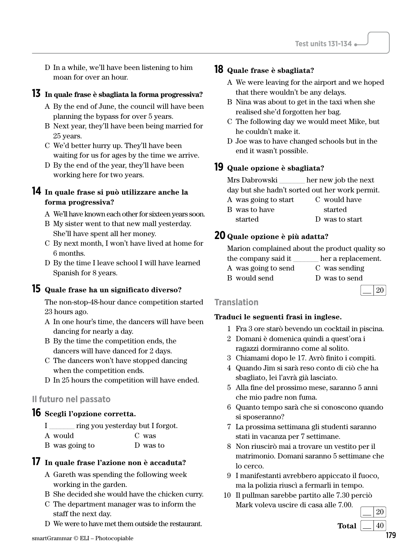D In a while, we'll have been listening to him moan for over an hour.

#### **13 In quale frase è sbagliata la forma progressiva?**

- A By the end of June, the council will have been planning the bypass for over 5 years.
- B Next year, they'll have been being married for 25 years.
- C We'd better hurry up. They'll have been waiting for us for ages by the time we arrive.
- D By the end of the year, they'll have been working here for two years.

### **14 In quale frase si può utilizzare anche la forma progressiva?**

- A We'll have known each other for sixteen years soon.
- B My sister went to that new mall yesterday. She'll have spent all her money.
- C By next month, I won't have lived at home for 6 months.
- D By the time I leave school I will have learned Spanish for 8 years.

#### **15 Quale frase ha un significato diverso?**

The non-stop-48-hour dance competition started 23 hours ago.

- A In one hour's time, the dancers will have been dancing for nearly a day.
- B By the time the competition ends, the dancers will have danced for 2 days.
- C The dancers won't have stopped dancing when the competition ends.
- D In 25 hours the competition will have ended.

#### **Il futuro nel passato**

### **16 Scegli l'opzione corretta.**

- I \_\_\_\_\_\_\_ ring you yesterday but I forgot.
- A would C was
- B was going to D was to

### **17 In quale frase l'azione non è accaduta?**

- A Gareth was spending the following week working in the garden.
- B She decided she would have the chicken curry.
- C The department manager was to inform the staff the next day.
- D We were to have met them outside the restaurant.

#### **18 Quale frase è sbagliata?**

- A We were leaving for the airport and we hoped that there wouldn't be any delays.
- B Nina was about to get in the taxi when she realised she'd forgotten her bag.
- C The following day we would meet Mike, but he couldn't make it.
- D Joe was to have changed schools but in the end it wasn't possible.

#### **19 Quale opzione è sbagliata?**

Mrs Dabrowski \_\_\_\_\_\_\_ her new job the next day but she hadn't sorted out her work permit.

A was going to start B was to have started C would have started D was to start

### **20 Quale opzione è più adatta?**

|                     | Marion complained about the product quality so |
|---------------------|------------------------------------------------|
| the company said it | her a replacement.                             |
| A was going to send | C was sending                                  |
| B would send        | D was to send                                  |
|                     |                                                |

 $\lfloor 20$ 

#### **Translation**

#### **Traduci le seguenti frasi in inglese.**

- 1 Fra 3 ore starò bevendo un cocktail in piscina.
- 2 Domani è domenica quindi a quest'ora i ragazzi dormiranno come al solito.
- 3 Chiamami dopo le 17. Avrò finito i compiti.
- 4 Quando Jim si sarà reso conto di ciò che ha sbagliato, lei l'avrà già lasciato.
- 5 Alla fine del prossimo mese, saranno 5 anni che mio padre non fuma.
- 6 Quanto tempo sarà che si conoscono quando si sposeranno?
- 7 La prossima settimana gli studenti saranno stati in vacanza per 7 settimane.
- 8 Non riuscirò mai a trovare un vestito per il matrimonio. Domani saranno 5 settimane che lo cerco.
- 9 I manifestanti avrebbero appiccato il fuoco, ma la polizia riuscì a fermarli in tempo.
- 10 Il pullman sarebbe partito alle 7.30 perciò Mark voleva uscire di casa alle 7.00.

 $\lfloor$  20 **Total**  $|40$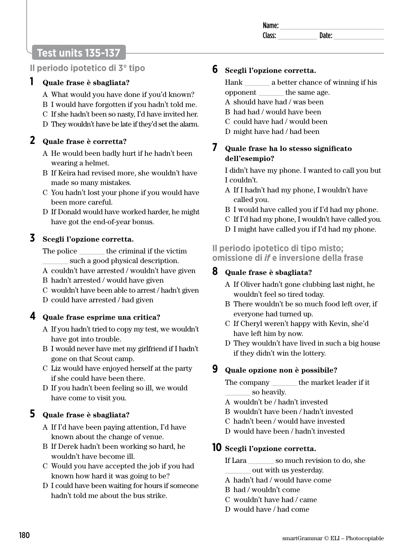# **Test units 135-137**

### **Il periodo ipotetico di 3° tipo**

### **1 Quale frase è sbagliata?**

- A What would you have done if you'd known?
- B I would have forgotten if you hadn't told me.
- C If she hadn't been so nasty, I'd have invited her.
- D They wouldn't have be late if they'd set the alarm.

### **2 Quale frase è corretta?**

- A He would been badly hurt if he hadn't been wearing a helmet.
- B If Keira had revised more, she wouldn't have made so many mistakes.
- C You hadn't lost your phone if you would have been more careful.
- D If Donald would have worked harder, he might have got the end-of-year bonus.

### **3 Scegli l'opzione corretta.**

The police the criminal if the victim \_\_\_\_\_\_\_ such a good physical description.

- A couldn't have arrested / wouldn't have given
- B hadn't arrested / would have given
- C wouldn't have been able to arrest / hadn't given
- D could have arrested / had given

### **4 Quale frase esprime una critica?**

- A If you hadn't tried to copy my test, we wouldn't have got into trouble.
- B I would never have met my girlfriend if I hadn't gone on that Scout camp.
- C Liz would have enjoyed herself at the party if she could have been there.
- D If you hadn't been feeling so ill, we would have come to visit you.

### **5 Quale frase è sbagliata?**

- A If I'd have been paying attention, I'd have known about the change of venue.
- B If Derek hadn't been working so hard, he wouldn't have become ill.
- C Would you have accepted the job if you had known how hard it was going to be?
- D I could have been waiting for hours if someone hadn't told me about the bus strike.

### **6 Scegli l'opzione corretta.**

Hank \_\_\_\_\_\_\_ a better chance of winning if his opponent \_\_\_\_\_\_\_ the same age.

- A should have had / was been
- B had had / would have been
- C could have had / would been
- D might have had / had been

### **7 Quale frase ha lo stesso significato dell'esempio?**

I didn't have my phone. I wanted to call you but I couldn't.

- A If I hadn't had my phone, I wouldn't have called you.
- B I would have called you if I'd had my phone.
- C If I'd had my phone, I wouldn't have called you.
- D I might have called you if I'd had my phone.

### **Il periodo ipotetico di tipo misto; omissione di** *if* **e inversione della frase**

### **8 Quale frase è sbagliata?**

- A If Oliver hadn't gone clubbing last night, he wouldn't feel so tired today.
- B There wouldn't be so much food left over, if everyone had turned up.
- C If Cheryl weren't happy with Kevin, she'd have left him by now.
- D They wouldn't have lived in such a big house if they didn't win the lottery.

### **9 Quale opzione non è possibile?**

The company \_\_\_\_\_\_\_ the market leader if it \_\_\_\_\_\_\_ so heavily.

- A wouldn't be / hadn't invested
- B wouldn't have been / hadn't invested
- C hadn't been / would have invested
- D would have been / hadn't invested

### **10 Scegli l'opzione corretta.**

- If Lara \_\_\_\_\_\_\_ so much revision to do, she \_\_\_\_\_\_\_ out with us yesterday.
- A hadn't had / would have come
- B had / wouldn't come
- C wouldn't have had / came
- D would have / had come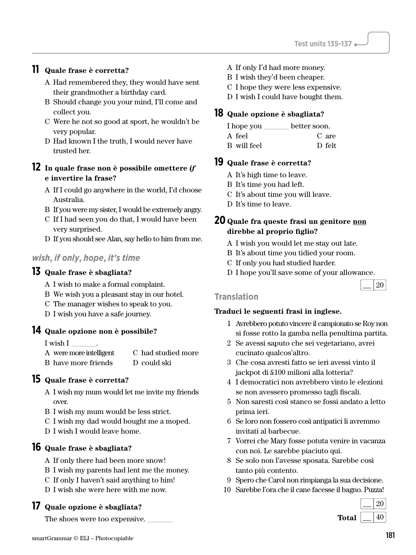### **11 Quale frase è corretta?**

- A Had remembered they, they would have sent their grandmother a birthday card.
- B Should change you your mind, I'll come and collect you.
- C Were he not so good at sport, he wouldn't be very popular.
- D Had known I the truth, I would never have trusted her.

#### **12 In quale frase non è possibile omettere** *if* **e invertire la frase?**

- A If I could go anywhere in the world, I'd choose Australia.
- B If you were my sister, I would be extremely angry.
- C If I had seen you do that, I would have been very surprised.
- D If you should see Alan, say hello to him from me.

### *wish***,** *if only***,** *hope***,** *it's time*

#### **13 Quale frase è sbagliata?**

- A I wish to make a formal complaint.
- B We wish you a pleasant stay in our hotel.
- C The manager wishes to speak to you.
- D I wish you have a safe journey.

#### **14 Quale opzione non è possibile?**

I wish I \_\_\_\_\_\_\_.

A were more intelligent B have more friends C had studied more D could ski

#### **15 Quale frase è corretta?**

- A I wish my mum would let me invite my friends over.
- B I wish my mum would be less strict.
- C I wish my dad would bought me a moped.
- D I wish I would leave home.

### **16 Quale frase è sbagliata?**

- A If only there had been more snow!
- B I wish my parents had lent me the money.
- C If only I haven't said anything to him!
- D I wish she were here with me now.

### **17 Quale opzione è sbagliata?**

The shoes were too expensive.

- A If only I'd had more money.
- B I wish they'd been cheaper.
- C I hope they were less expensive.
- D I wish I could have bought them.

#### **18 Quale opzione è sbagliata?**

| I hope you  | better soon. |
|-------------|--------------|
| A feel      | C are        |
| B will feel | D felt       |

#### **19 Quale frase è corretta?**

- A It's high time to leave.
- B It's time you had left.
- C It's about time you will leave.
- D It's time to leave.

#### **20 Quale fra queste frasi un genitore non direbbe al proprio figlio?**

- A I wish you would let me stay out late.
- B It's about time you tidied your room.
- C If only you had studied harder.
- D I hope you'll save some of your allowance.

#### $\lfloor$  20 **Translation**

- 1 Avrebbero potuto vincere il campionato se Roy non si fosse rotto la gamba nella penultima partita.
- 2 Se avessi saputo che sei vegetariano, avrei cucinato qualcos'altro.
- 3 Che cosa avresti fatto se ieri avessi vinto il jackpot di £100 milioni alla lotteria?
- 4 I democratici non avrebbero vinto le elezioni se non avessero promesso tagli fiscali.
- 5 Non saresti così stanco se fossi andato a letto prima ieri.
- 6 Se loro non fossero così antipatici li avremmo invitati al barbecue.
- 7 Vorrei che Mary fosse potuta venire in vacanza con noi. Le sarebbe piaciuto qui.
- 8 Se solo non l'avesse sposata. Sarebbe così tanto più contento.
- 9 Spero che Carol non rimpianga la sua decisione.
- 10 Sarebbe l'ora che il cane facesse il bagno. Puzza!

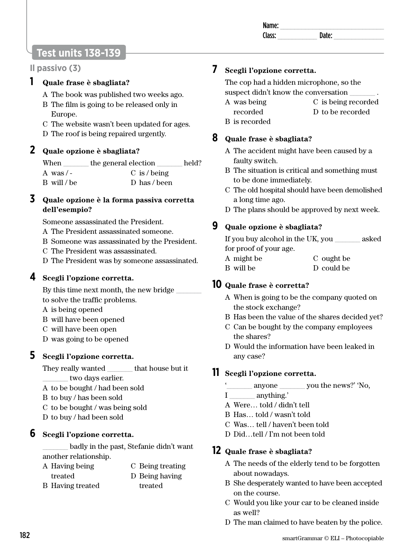| Name:             |    |  |
|-------------------|----|--|
| Γl<br>---<br>acc. | эн |  |
|                   |    |  |

# **Test units 138-139**

### **Il passivo (3)**

### **1 Quale frase è sbagliata?**

- A The book was published two weeks ago.
- B The film is going to be released only in Europe.
- C The website wasn't been updated for ages.
- D The roof is being repaired urgently.

### **2 Quale opzione è sbagliata?**

| When        | the general election | held? |
|-------------|----------------------|-------|
| A was $/$ - | $C$ is / being       |       |
| B will/be   | D has/been           |       |

#### **3 Quale opzione è la forma passiva corretta dell'esempio?**

Someone assassinated the President.

- A The President assassinated someone.
- B Someone was assassinated by the President.
- C The President was assassinated.
- D The President was by someone assassinated.

### **4 Scegli l'opzione corretta.**

By this time next month, the new bridge to solve the traffic problems.

- A is being opened
- B will have been opened
- C will have been open
- D was going to be opened

### **5 Scegli l'opzione corretta.**

They really wanted \_\_\_\_\_\_\_ that house but it two days earlier.

- A to be bought / had been sold
- B to buy / has been sold
- C to be bought / was being sold
- D to buy / had been sold

### **6 Scegli l'opzione corretta.**

\_\_\_\_\_\_\_ badly in the past, Stefanie didn't want another relationship.

| A Having being          | C Being treating |
|-------------------------|------------------|
| treated                 | D Being having   |
| <b>B</b> Having treated | treated          |

### **7 Scegli l'opzione corretta.**

The cop had a hidden microphone, so the suspect didn't know the conversation

- A was being recorded C is being recorded D to be recorded
- B is recorded

### **8 Quale frase è sbagliata?**

- A The accident might have been caused by a faulty switch.
- B The situation is critical and something must to be done immediately.
- C The old hospital should have been demolished a long time ago.
- D The plans should be approved by next week.

### **9 Quale opzione è sbagliata?**

If you buy alcohol in the UK, you \_\_\_\_\_\_\_ asked for proof of your age.

- A might be C ought be
- B will be D could be

### **10 Quale frase è corretta?**

- A When is going to be the company quoted on the stock exchange?
- B Has been the value of the shares decided yet?
- C Can be bought by the company employees the shares?
- D Would the information have been leaked in any case?

### **11 Scegli l'opzione corretta.**

- anyone you the news?' 'No,
- I anything.'
- A Were… told / didn't tell
- B Has… told / wasn't told
- C Was… tell / haven't been told
- D Did…tell / I'm not been told

### **12 Quale frase è sbagliata?**

- A The needs of the elderly tend to be forgotten about nowadays.
- B She desperately wanted to have been accepted on the course.
- C Would you like your car to be cleaned inside as well?
- D The man claimed to have beaten by the police.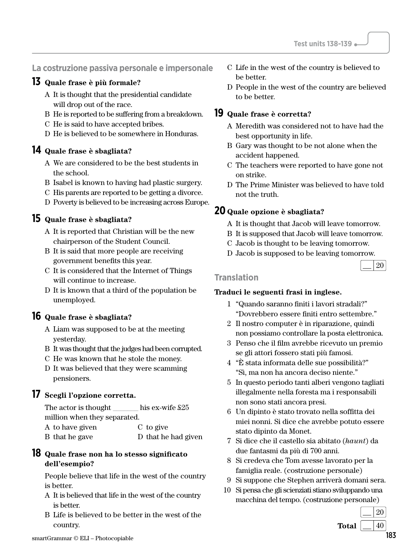#### **La costruzione passiva personale e impersonale**

#### **13 Quale frase è più formale?**

- A It is thought that the presidential candidate will drop out of the race.
- B He is reported to be suffering from a breakdown.
- C He is said to have accepted bribes.
- D He is believed to be somewhere in Honduras.

#### **14 Quale frase è sbagliata?**

- A We are considered to be the best students in the school.
- B Isabel is known to having had plastic surgery.
- C His parents are reported to be getting a divorce.
- D Poverty is believed to be increasing across Europe.

### **15 Quale frase è sbagliata?**

- A It is reported that Christian will be the new chairperson of the Student Council.
- B It is said that more people are receiving government benefits this year.
- C It is considered that the Internet of Things will continue to increase.
- D It is known that a third of the population be unemployed.

### **16 Quale frase è sbagliata?**

- A Liam was supposed to be at the meeting yesterday.
- B It was thought that the judges had been corrupted.
- C He was known that he stole the money.
- D It was believed that they were scamming pensioners.

#### **17 Scegli l'opzione corretta.**

#### The actor is thought his ex-wife  $\frac{25}{5}$ million when they separated.

| A to have given | C to give           |
|-----------------|---------------------|
| B that he gave  | D that he had given |

#### **18 Quale frase non ha lo stesso significato dell'esempio?**

People believe that life in the west of the country is better.

- A It is believed that life in the west of the country is better.
- B Life is believed to be better in the west of the country.
- C Life in the west of the country is believed to be better.
- D People in the west of the country are believed to be better.

### **19 Quale frase è corretta?**

- A Meredith was considered not to have had the best opportunity in life.
- B Gary was thought to be not alone when the accident happened.
- C The teachers were reported to have gone not on strike.
- D The Prime Minister was believed to have told not the truth.

### **20 Quale opzione è sbagliata?**

- A It is thought that Jacob will leave tomorrow.
- B It is supposed that Jacob will leave tomorrow.
- C Jacob is thought to be leaving tomorrow.
- D Jacob is supposed to be leaving tomorrow.

# $\lfloor$  20

#### **Translation**

#### **Traduci le seguenti frasi in inglese.**

- 1 "Quando saranno finiti i lavori stradali?" "Dovrebbero essere finiti entro settembre."
- 2 Il nostro computer è in riparazione, quindi non possiamo controllare la posta elettronica.
- 3 Penso che il film avrebbe ricevuto un premio se gli attori fossero stati più famosi.
- 4 "È stata informata delle sue possibilità?" "Sì, ma non ha ancora deciso niente."
- 5 In questo periodo tanti alberi vengono tagliati illegalmente nella foresta ma i responsabili non sono stati ancora presi.
- 6 Un dipinto è stato trovato nella soffitta dei miei nonni. Si dice che avrebbe potuto essere stato dipinto da Monet.
- 7 Si dice che il castello sia abitato (*haunt*) da due fantasmi da più di 700 anni.
- 8 Si credeva che Tom avesse lavorato per la famiglia reale. (costruzione personale)
- 9 Si suppone che Stephen arriverà domani sera.
- 10 Si pensa che gli scienziati stiano sviluppando una macchina del tempo. (costruzione personale)

 $\lfloor$  20 **Total**  $|40$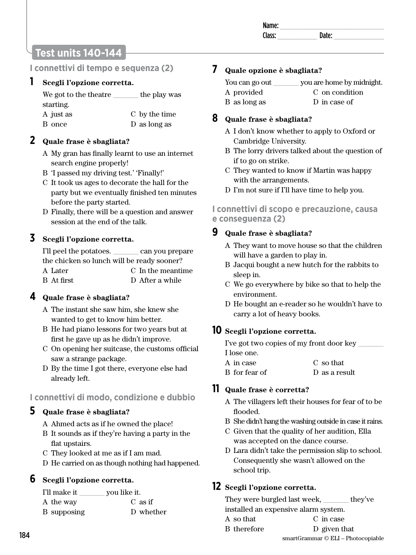# **Test units 140-144**

### **I connettivi di tempo e sequenza (2)**

#### **1 Scegli l'opzione corretta.**

| We got to the theatre | the play was  |
|-----------------------|---------------|
| starting.             |               |
| A just as             | C by the time |
| B once                | D as long as  |

### **2 Quale frase è sbagliata?**

- A My gran has finally learnt to use an internet search engine properly!
- B 'I passed my driving test.' 'Finally!'
- C It took us ages to decorate the hall for the party but we eventually finished ten minutes before the party started.
- D Finally, there will be a question and answer session at the end of the talk.

### **3 Scegli l'opzione corretta.**

| I'll peel the potatoes.                    | can you prepare   |
|--------------------------------------------|-------------------|
| the chicken so lunch will be ready sooner? |                   |
| A Later                                    | C In the meantime |
| B At first                                 | D After a while   |

### **4 Quale frase è sbagliata?**

- A The instant she saw him, she knew she wanted to get to know him better.
- B He had piano lessons for two years but at first he gave up as he didn't improve.
- C On opening her suitcase, the customs official saw a strange package.
- D By the time I got there, everyone else had already left.

### **I connettivi di modo, condizione e dubbio**

### **5 Quale frase è sbagliata?**

- A Ahmed acts as if he owned the place!
- B It sounds as if they're having a party in the flat upstairs.
- C They looked at me as if I am mad.
- D He carried on as though nothing had happened.

### **6 Scegli l'opzione corretta.**

| I'll make it | you like it. |
|--------------|--------------|
| A the way    | $C$ as if    |
| B supposing  | D whether    |

### **7 Quale opzione è sbagliata?**

| You can go out | you are home by midnight. |
|----------------|---------------------------|
| A provided     | C on condition            |
| B as long as   | D in case of              |

### **8 Quale frase è sbagliata?**

- A I don't know whether to apply to Oxford or Cambridge University.
- B The lorry drivers talked about the question of if to go on strike.
- C They wanted to know if Martin was happy with the arrangements.
- D I'm not sure if I'll have time to help you.

### **I connettivi di scopo e precauzione, causa e conseguenza (2)**

### **9 Quale frase è sbagliata?**

- A They want to move house so that the children will have a garden to play in.
- B Jacqui bought a new hutch for the rabbits to sleep in.
- C We go everywhere by bike so that to help the environment.
- D He bought an e-reader so he wouldn't have to carry a lot of heavy books.

### **10 Scegli l'opzione corretta.**

| I've got two copies of my front door key |               |  |
|------------------------------------------|---------------|--|
| I lose one.                              |               |  |
| A in case                                | C so that     |  |
| B for fear of                            | D as a result |  |

### **11 Quale frase è corretta?**

- A The villagers left their houses for fear of to be flooded.
- B She didn't hang the washing outside in case it rains.
- C Given that the quality of her audition, Ella was accepted on the dance course.
- D Lara didn't take the permission slip to school. Consequently she wasn't allowed on the school trip.

### **12 Scegli l'opzione corretta.**

They were burgled last week, they've installed an expensive alarm system.

A so that C in case

B therefore D given that

smartGrammar © ELI – Photocopiable 184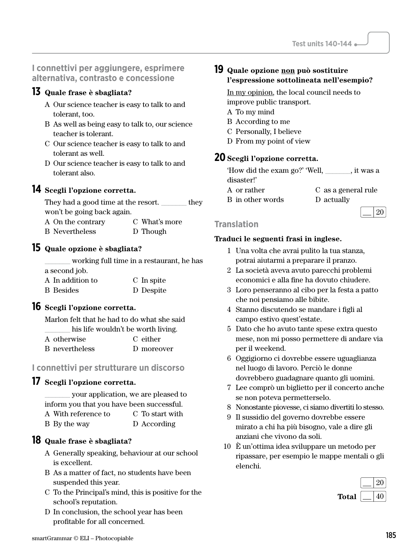### **I connettivi per aggiungere, esprimere alternativa, contrasto e concessione**

### **13 Quale frase è sbagliata?**

- A Our science teacher is easy to talk to and tolerant, too.
- B As well as being easy to talk to, our science teacher is tolerant.
- C Our science teacher is easy to talk to and tolerant as well.
- D Our science teacher is easy to talk to and tolerant also.

#### **14 Scegli l'opzione corretta.**

They had a good time at the resort.  $\qquad \qquad$  they won't be going back again.

A On the contrary B Nevertheless C What's more D Though

#### **15 Quale opzione è sbagliata?**

\_\_\_\_\_\_\_ working full time in a restaurant, he has a second job.

| A In addition to | C In spite |
|------------------|------------|
| <b>B</b> Besides | D Despite  |

### **16 Scegli l'opzione corretta.**

Marlon felt that he had to do what she said his life wouldn't be worth living.

| A otherwise    | C either   |  |
|----------------|------------|--|
| B nevertheless | D moreover |  |

#### **I connettivi per strutturare un discorso**

### **17 Scegli l'opzione corretta.**

\_\_\_\_\_\_\_ your application, we are pleased to inform you that you have been successful. A With reference to C To start with

B By the way D According

### **18 Quale frase è sbagliata?**

- A Generally speaking, behaviour at our school is excellent.
- B As a matter of fact, no students have been suspended this year.
- C To the Principal's mind, this is positive for the school's reputation.
- D In conclusion, the school year has been profitable for all concerned.

### **19 Quale opzione non può sostituire l'espressione sottolineata nell'esempio?**

In my opinion, the local council needs to improve public transport.

- A To my mind
- B According to me
- C Personally, I believe
- D From my point of view

### **20 Scegli l'opzione corretta.**

| 'How did the exam go?' 'Well, | , it was a          |
|-------------------------------|---------------------|
| disaster!'                    |                     |
| A or rather                   | C as a general rule |

- B in other words
- D actually

#### $\lfloor$  20 **Translation**

- 1 Una volta che avrai pulito la tua stanza, potrai aiutarmi a preparare il pranzo.
- 2 La società aveva avuto parecchi problemi economici e alla fine ha dovuto chiudere.
- 3 Loro penseranno al cibo per la festa a patto che noi pensiamo alle bibite.
- 4 Stanno discutendo se mandare i figli al campo estivo quest'estate.
- 5 Dato che ho avuto tante spese extra questo mese, non mi posso permettere di andare via per il weekend.
- 6 Oggigiorno ci dovrebbe essere uguaglianza nel luogo di lavoro. Perciò le donne dovrebbero guadagnare quanto gli uomini.
- 7 Lee comprò un biglietto per il concerto anche se non poteva permetterselo.
- 8 Nonostante piovesse, ci siamo divertiti lo stesso.
- 9 Il sussidio del governo dovrebbe essere mirato a chi ha più bisogno, vale a dire gli anziani che vivono da soli.
- 10 È un'ottima idea sviluppare un metodo per ripassare, per esempio le mappe mentali o gli elenchi.

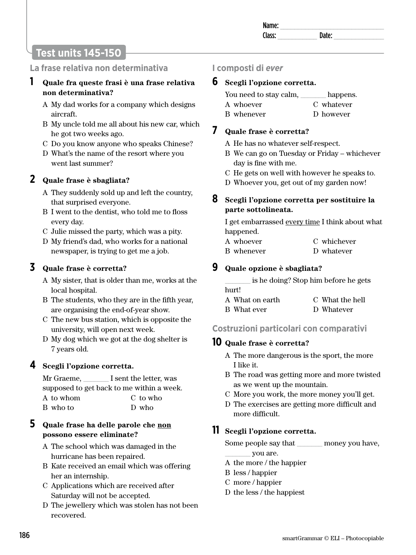# **Test units 145-150**

### **La frase relativa non determinativa**

#### **1 Quale fra queste frasi è una frase relativa non determinativa?**

- A My dad works for a company which designs aircraft.
- B My uncle told me all about his new car, which he got two weeks ago.
- C Do you know anyone who speaks Chinese?
- D What's the name of the resort where you went last summer?

### **2 Quale frase è sbagliata?**

- A They suddenly sold up and left the country, that surprised everyone.
- B I went to the dentist, who told me to floss every day.
- C Julie missed the party, which was a pity.
- D My friend's dad, who works for a national newspaper, is trying to get me a job.

### **3 Quale frase è corretta?**

- A My sister, that is older than me, works at the local hospital.
- B The students, who they are in the fifth year, are organising the end-of-year show.
- C The new bus station, which is opposite the university, will open next week.
- D My dog which we got at the dog shelter is 7 years old.

### **4 Scegli l'opzione corretta.**

Mr Graeme,  $\qquad \qquad$  I sent the letter, was supposed to get back to me within a week. A to whom B who to C to who D who

### **5 Quale frase ha delle parole che non possono essere eliminate?**

- A The school which was damaged in the hurricane has been repaired.
- B Kate received an email which was offering her an internship.
- C Applications which are received after Saturday will not be accepted.
- D The jewellery which was stolen has not been recovered.

### **I composti di** *ever*

#### **6 Scegli l'opzione corretta.**

| You need to stay calm, | happens.   |
|------------------------|------------|
| A whoever              | C whatever |
| B whenever             | D however  |

### **7 Quale frase è corretta?**

- A He has no whatever self-respect.
- B We can go on Tuesday or Friday whichever day is fine with me.
- C He gets on well with however he speaks to.
- D Whoever you, get out of my garden now!

#### **8 Scegli l'opzione corretta per sostituire la parte sottolineata.**

I get embarrassed every time I think about what happened.

| A whoever  | C whichever |
|------------|-------------|
| B whenever | D whatever  |

### **9 Quale opzione è sbagliata?**

\_\_\_\_\_\_\_ is he doing? Stop him before he gets hurt!

| A What on earth | C What the hell |
|-----------------|-----------------|
| B What ever     | D Whatever      |

### **Costruzioni particolari con comparativi**

### **10 Quale frase è corretta?**

- A The more dangerous is the sport, the more I like it.
- B The road was getting more and more twisted as we went up the mountain.
- C More you work, the more money you'll get.
- D The exercises are getting more difficult and more difficult.

### **11 Scegli l'opzione corretta.**

Some people say that \_\_\_\_\_\_\_ money you have,

- \_\_\_\_\_\_\_ you are.
- A the more / the happier
- B less / happier
- C more / happier
- D the less / the happiest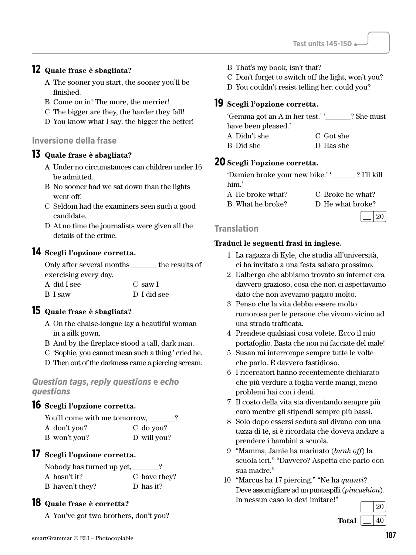### **12 Quale frase è sbagliata?**

- A The sooner you start, the sooner you'll be finished.
- B Come on in! The more, the merrier!
- C The bigger are they, the harder they fall!
- D You know what I say: the bigger the better!

### **Inversione della frase**

#### **13 Quale frase è sbagliata?**

- A Under no circumstances can children under 16 be admitted.
- B No sooner had we sat down than the lights went off.
- C Seldom had the examiners seen such a good candidate.
- D At no time the journalists were given all the details of the crime.

### **14 Scegli l'opzione corretta.**

| Only after several months | the results of |
|---------------------------|----------------|
| exercising every day.     |                |
| A did I see               | C saw I        |
| B I saw                   | D I did see    |

### **15 Quale frase è sbagliata?**

- A On the chaise-longue lay a beautiful woman in a silk gown.
- B And by the fireplace stood a tall, dark man.
- C 'Sophie, you cannot mean such a thing,' cried he.
- D Then out of the darkness came a piercing scream.

#### *Question tags***,** *reply questions* **e** *echo questions*

### **16 Scegli l'opzione corretta.**

| You'll come with me tomorrow, |             | າ |
|-------------------------------|-------------|---|
| A don't you?                  | C do you?   |   |
| B won't you?                  | D will you? |   |

### **17 Scegli l'opzione corretta.**

Nobody has turned up yet, \_\_\_\_\_\_\_? A hasn't it? B haven't they? C have they? D has it?

### **18 Quale frase è corretta?**

A You've got two brothers, don't you?

- B That's my book, isn't that?
- C Don't forget to switch off the light, won't you?
- D You couldn't resist telling her, could you?

#### **19 Scegli l'opzione corretta.**

| 'Gemma got an A in her test.'' |           | ? She must |
|--------------------------------|-----------|------------|
| have been pleased.'            |           |            |
| A Didn't she                   | C Got she |            |
| B Did she                      | D Has she |            |

### **20 Scegli l'opzione corretta.**

| 'Damien broke your new bike.'' | ? I'll kill |
|--------------------------------|-------------|
| him.'                          |             |

A He broke what? B What he broke? C Broke he what? D He what broke?

 $\lfloor$  20

#### **Translation**

- 1 La ragazza di Kyle, che studia all'università, ci ha invitato a una festa sabato prossimo.
- 2 L'albergo che abbiamo trovato su internet era davvero grazioso, cosa che non ci aspettavamo dato che non avevamo pagato molto.
- 3 Penso che la vita debba essere molto rumorosa per le persone che vivono vicino ad una strada trafficata.
- 4 Prendete qualsiasi cosa volete. Ecco il mio portafoglio. Basta che non mi facciate del male!
- 5 Susan mi interrompe sempre tutte le volte che parlo. È davvero fastidioso.
- 6 I ricercatori hanno recentemente dichiarato che più verdure a foglia verde mangi, meno problemi hai con i denti.
- 7 Il costo della vita sta diventando sempre più caro mentre gli stipendi sempre più bassi.
- 8 Solo dopo essersi seduta sul divano con una tazza di tè, si è ricordata che doveva andare a prendere i bambini a scuola.
- 9 "Mamma, Jamie ha marinato (*bunk off*) la scuola ieri." "Davvero? Aspetta che parlo con sua madre."
- 10 "Marcus ha 17 piercing." "Ne ha *quanti*? Deve assomigliare ad un puntaspilli (*pincushion*). In nessun caso lo devi imitare!"

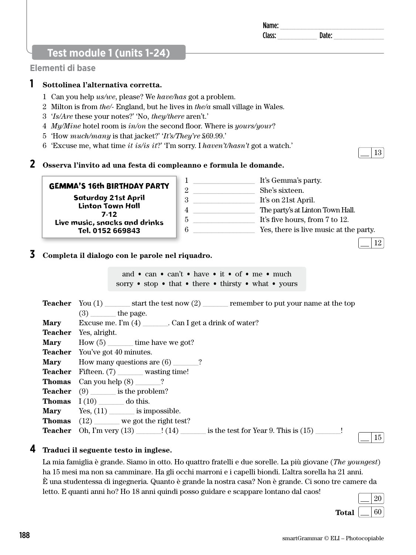**Teacher** You (1) \_\_\_\_\_\_\_ start the test now (2) \_\_\_\_\_\_\_ remember to put your name at the top **Mary** Excuse me. I'm (4) Can I get a drink of water? **Mary** How (5) time have we got? **Mary** How many questions are (6) \_\_\_\_\_\_?

1 \_\_\_\_\_\_\_\_\_\_\_\_\_\_\_\_\_ It's Gemma's party. 2 \_\_\_\_\_\_\_\_\_\_\_\_\_\_\_\_\_ She's sixteen. 3 **1t's on 21st April.** 

Name: \_\_\_\_\_\_\_\_\_\_\_\_\_\_\_\_\_\_\_\_\_\_\_\_\_\_\_\_\_ Class: **Date:** Date:

# **Test module 1 (units 1-24)**

GEMMA'S 16th BIRTHDAY PARTY Saturday 21st April

#### **Elementi di base**

### **1 Sottolinea l'alternativa corretta.**

- 1 Can you help *us/we*, please? We *have/has* got a problem.
- 2 Milton is from *the/-* England, but he lives in *the/a* small village in Wales.
- 3 '*Is/Are* these your notes?' 'No, *they/there* aren't.'
- 4 *My/Mine* hotel room is *in/on* the second floor. Where is *yours/your*?
- 5 'How *much/many* is that jacket?' '*It's/They're* £69.99.'
- 6 'Excuse me, what time *it is/is it*?' 'I'm sorry. I *haven't/hasn't* got a watch.'

### **2 Osserva l'invito ad una festa di compleanno e formula le domande.**

Linton Town Hall 7-12 Live music, snacks and drinks Tel. 0152 669843 4 **4** The party's at Linton Town Hall. 5 **It's five hours, from 7 to 12.** 6 \_\_\_\_\_\_\_\_\_\_\_\_\_\_\_\_\_ Yes, there is live music at the party.

### **3 Completa il dialogo con le parole nel riquadro.**

 $(3)$  the page.

**Teacher** Fifteen. (7) wasting time!

**Teacher** Yes, alright.

**Teacher** You've got 40 minutes.

and • can • can't • have • it • of • me • much sorry • stop • that • there • thirsty • what • yours

**Thomas** Can you help (8) \_\_\_\_\_\_\_? **Teacher** (9) is the problem? **Thomas** I (10) \_\_\_\_\_\_\_ do this. **Mary** Yes,  $(11)$  is impossible. **Thomas** (12) \_\_\_\_\_\_\_ we got the right test? **Teacher** Oh, I'm very  $(13)$   $\qquad$   $\qquad$   $\qquad$   $(14)$  is the test for Year 9. This is  $(15)$   $\qquad\qquad$ !

### **4 Traduci il seguente testo in inglese.**

La mia famiglia è grande. Siamo in otto. Ho quattro fratelli e due sorelle. La più giovane (*The youngest*) ha 15 mesi ma non sa camminare. Ha gli occhi marroni e i capelli biondi. L'altra sorella ha 21 anni. È una studentessa di ingegneria. Quanto è grande la nostra casa? Non è grande. Ci sono tre camere da letto. E quanti anni ho? Ho 18 anni quindi posso guidare e scappare lontano dal caos!

| recent to denote the recent the common possess gamente e sempleme recent concert | the company of the | 20 <sup>1</sup> |  |
|----------------------------------------------------------------------------------|--------------------|-----------------|--|
| Total $\vert$ $\vert$                                                            |                    | 60              |  |

15

13

12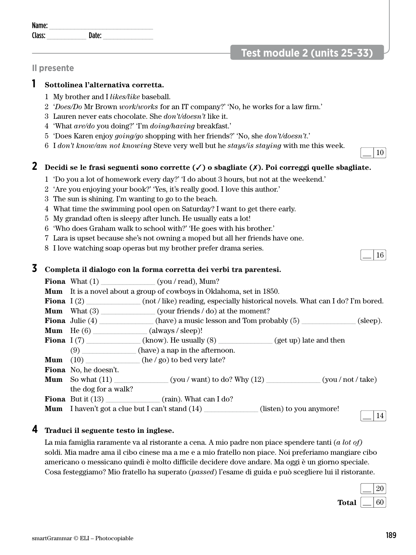## **Test module 2 (units 25-33)**

#### **Il presente**

#### **1 Sottolinea l'alternativa corretta.**

- 1 My brother and I *likes/like* baseball.
- 2 '*Does/Do* Mr Brown *work*/*works* for an IT company?' 'No, he works for a law firm.'
- 3 Lauren never eats chocolate. She *don't/doesn't* like it.
- 4 'What *are/do* you doing?' 'I'm *doing/having* breakfast.'
- 5 'Does Karen enjoy *going/go* shopping with her friends?' 'No, she *don't/doesn't*.'
- 6 I *don't know/am not knowing* Steve very well but he *stays/is staying* with me this week.

### **2 Decidi se le frasi seguenti sono corrette (**✓**) o sbagliate (**✗**). Poi correggi quelle sbagliate.**

- 1 'Do you a lot of homework every day?' 'I do about 3 hours, but not at the weekend.'
- 2 'Are you enjoying your book?' 'Yes, it's really good. I love this author.'
- 3 The sun is shining. I'm wanting to go to the beach.
- 4 What time the swimming pool open on Saturday? I want to get there early.
- 5 My grandad often is sleepy after lunch. He usually eats a lot!
- 6 'Who does Graham walk to school with?' 'He goes with his brother.'
- 7 Lara is upset because she's not owning a moped but all her friends have one.
- 8 I love watching soap operas but my brother prefer drama series.

#### **3 Completa il dialogo con la forma corretta dei verbi tra parentesi.**

|                                       | <b>Fiona</b> What $(1)$ (you / read), Mum?                                                      |          |
|---------------------------------------|-------------------------------------------------------------------------------------------------|----------|
|                                       | <b>Mum</b> It is a novel about a group of cowboys in Oklahoma, set in 1850.                     |          |
|                                       | <b>Fiona</b> $I(2)$ (not/like) reading, especially historical novels. What can I do? I'm bored. |          |
| <b>Mum</b> What $(3)$                 | (your friends / do) at the moment?                                                              |          |
|                                       |                                                                                                 | (sleep). |
| <b>Mum</b> He $(6)$ (always / sleep)! |                                                                                                 |          |
|                                       | <b>Fiona</b> $I(7)$ (know). He usually $(8)$ (get up) late and then                             |          |
|                                       | $(9)$ (have) a nap in the afternoon.                                                            |          |
|                                       | <b>Mum</b> $(10)$ (he/go) to bed very late?                                                     |          |
| Fiona No, he doesn't.                 |                                                                                                 |          |
|                                       | <b>Mum</b> So what $(11)$ (you / want) to do? Why $(12)$ (you / not / take)                     |          |
| the dog for a walk?                   |                                                                                                 |          |
|                                       | <b>Fiona</b> But it $(13)$ (rain). What can I do?                                               |          |
|                                       | <b>Mum</b> I haven't got a clue but I can't stand (14) ____________(listen) to you anymore!     | 14       |

#### **4 Traduci il seguente testo in inglese.**

La mia famiglia raramente va al ristorante a cena. A mio padre non piace spendere tanti (*a lot of)* soldi. Mia madre ama il cibo cinese ma a me e a mio fratello non piace. Noi preferiamo mangiare cibo americano o messicano quindi è molto difficile decidere dove andare. Ma oggi è un giorno speciale. Cosa festeggiamo? Mio fratello ha superato (*passed*) l'esame di guida e può scegliere lui il ristorante.

smartGrammar © ELI – Photocopiable 189



#### 10

16

Name: \_\_\_\_\_\_\_\_\_\_\_\_\_\_\_\_\_\_\_\_\_\_\_\_\_\_\_\_\_ Class: \_\_\_\_\_\_\_\_\_\_\_ Date: \_\_\_\_\_\_\_\_\_\_\_\_\_\_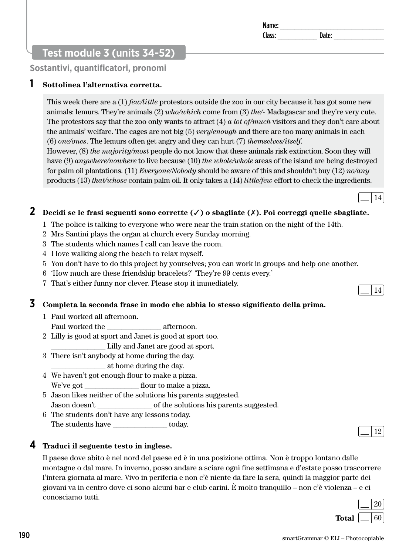### **Test module 3 (units 34-52)**

**Sostantivi, quantificatori, pronomi**

### **1 Sottolinea l'alternativa corretta.**

This week there are a (1) *few/little* protestors outside the zoo in our city because it has got some new animals: lemurs. They're animals (2) *who/which* come from (3) *the/-* Madagascar and they're very cute. The protestors say that the zoo only wants to attract (4) *a lot of/much* visitors and they don't care about the animals' welfare. The cages are not big (5) *very*/*enough* and there are too many animals in each (6) *one/ones*. The lemurs often get angry and they can hurt (7) *themselves/itself*.

However, (8) *the majority/most* people do not know that these animals risk extinction. Soon they will have (9) *anywhere/nowhere* to live because (10) *the whole/whole* areas of the island are being destroyed for palm oil plantations. (11) *Everyone/Nobody* should be aware of this and shouldn't buy (12) *no/any*  products (13) *that/whose* contain palm oil. It only takes a (14) *little/few* effort to check the ingredients.

### **2 Decidi se le frasi seguenti sono corrette (**✓**) o sbagliate (**✗**). Poi correggi quelle sbagliate.**

- 1 The police is talking to everyone who were near the train station on the night of the 14th.
- 2 Mrs Santini plays the organ at church every Sunday morning.
- 3 The students which names I call can leave the room.
- 4 I love walking along the beach to relax myself.
- 5 You don't have to do this project by yourselves; you can work in groups and help one another.
- 6 'How much are these friendship bracelets?' 'They're 99 cents every.'
- 7 That's either funny nor clever. Please stop it immediately.

### **3 Completa la seconda frase in modo che abbia lo stesso significato della prima.**

- 1 Paul worked all afternoon.
- Paul worked the afternoon.
- 2 Lilly is good at sport and Janet is good at sport too.
	- \_\_\_\_\_\_\_\_\_\_\_\_\_\_\_ Lilly and Janet are good at sport.
- 3 There isn't anybody at home during the day. \_\_\_\_\_\_\_\_\_\_\_\_\_\_\_ at home during the day.
- 4 We haven't got enough flour to make a pizza. We've got flour to make a pizza.
- 5 Jason likes neither of the solutions his parents suggested. Jason doesn't \_\_\_\_\_\_\_\_\_\_\_\_\_\_\_\_\_\_ of the solutions his parents suggested.
- 6 The students don't have any lessons today. The students have today.

#### **4 Traduci il seguente testo in inglese.**

Il paese dove abito è nel nord del paese ed è in una posizione ottima. Non è troppo lontano dalle montagne o dal mare. In inverno, posso andare a sciare ogni fine settimana e d'estate posso trascorrere l'intera giornata al mare. Vivo in periferia e non c'è niente da fare la sera, quindi la maggior parte dei giovani va in centro dove ci sono alcuni bar e club carini. È molto tranquillo – non c'è violenza – e ci conosciamo tutti.



Name: \_\_\_\_\_\_\_\_\_\_\_\_\_\_\_\_\_\_\_\_\_\_\_\_\_\_\_\_\_ Class: \_\_\_\_\_\_\_\_\_\_\_ Date: \_\_\_\_\_\_\_\_\_\_\_\_\_\_

14





14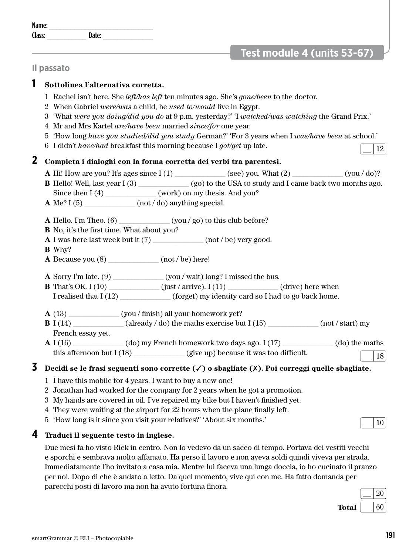| $\epsilon$ mort $C$ rommor $\odot$ FII Dhotogonic |  |
|---------------------------------------------------|--|
|                                                   |  |
|                                                   |  |

| Total $\left[ \right]$ |  | $\overline{60}$ |
|------------------------|--|-----------------|
|                        |  |                 |
|                        |  |                 |
|                        |  |                 |

#### Due mesi fa ho visto Rick in centro. Non lo vedevo da un sacco di tempo. Portava dei vestiti vecchi e sporchi e sembrava molto affamato. Ha perso il lavoro e non aveva soldi quindi viveva per strada. Immediatamente l'ho invitato a casa mia. Mentre lui faceva una lunga doccia, io ho cucinato il pranzo per noi. Dopo di che è andato a letto. Da quel momento, vive qui con me. Ha fatto domanda per parecchi posti di lavoro ma non ha avuto fortuna finora.

**4 Traduci il seguente testo in inglese.** 

# **A** I (16)  $\qquad$  (do) my French homework two days ago. I (17)  $\qquad$  (do) the maths this afternoon but I (18) \_\_\_\_\_\_\_\_\_\_\_\_ (give up) because it was too difficult.  $\boxed{\boxed{18}}$

- 
- 2 Jonathan had worked for the company for 2 years when he got a promotion.
- 
- 
- 4 They were waiting at the airport for 22 hours when the plane finally left.
- 

# Name: Class: **Date:** Date:

# **1 Sottolinea l'alternativa corretta.**

- 1 Rachel isn't here. She *left/has left* ten minutes ago. She's *gone/been* to the doctor.
- 2 When Gabriel *were/was* a child, he *used to/would* live in Egypt.
- 3 'What *were you doing/did you do* at 9 p.m. yesterday?' 'I *watched/was watching* the Grand Prix.'
- 4 Mr and Mrs Kartel *are/have been* married *since/for* one year.
- 5 'How long *have you studied/did you study* German?' 'For 3 years when I *was/have been* at school.'
- 
- 6 I didn't *have/had* breakfast this morning because I *got/get* up late.

- **2 Completa i dialoghi con la forma corretta dei verbi tra parentesi. A** Hi! How are you? It's ages since I (1) \_\_\_\_\_\_\_\_\_\_\_\_\_\_ (see) you. What (2) \_\_\_\_\_\_\_\_\_\_\_\_\_\_ (you / do)?
	- **B** Hello! Well, last year I (3)  $($ go) to the USA to study and I came back two months ago.
	- Since then  $I(4)$  (work) on my thesis. And you? **A** Me? I (5)  $\qquad \qquad$  (not / do) anything special.
	-
	- **A** Hello. I'm Theo. (6) \_\_\_\_\_\_\_\_\_\_\_\_\_\_\_\_(you / go) to this club before?
	- **B** No, it's the first time. What about you?
	- **A** I was here last week but it (7)  $($ not / be) very good.
	- **B** Why?

**Il passato**

- **A** Because you (8) \_\_\_\_\_\_\_\_\_\_\_\_\_\_ (not / be) here!
- 
- **A** Sorry I'm late. (9) \_\_\_\_\_\_\_\_\_\_\_\_\_\_ (you / wait) long? I missed the bus. **B** That's OK. I (10)  $(iust / arrive)$ . I (11)  $(drive)$  here when
- I realised that I (12) (forget) my identity card so I had to go back home.
- 
- **A** (13) \_\_\_\_\_\_\_\_\_\_\_\_\_\_ (you / finish) all your homework yet? **B** I (14)  $\qquad \qquad$  (already / do) the maths exercise but I (15)  $\qquad \qquad$  (not / start) my

French essay yet.

# **3 Decidi se le frasi seguenti sono corrette (**✓**) o sbagliate (**✗**). Poi correggi quelle sbagliate.**

- 1 I have this mobile for 4 years. I want to buy a new one!
- 3 My hands are covered in oil. I've repaired my bike but I haven't finished yet.
- 5 'How long is it since you visit your relatives?' 'About six months.'

20

# **Test module 4 (units 53-67)**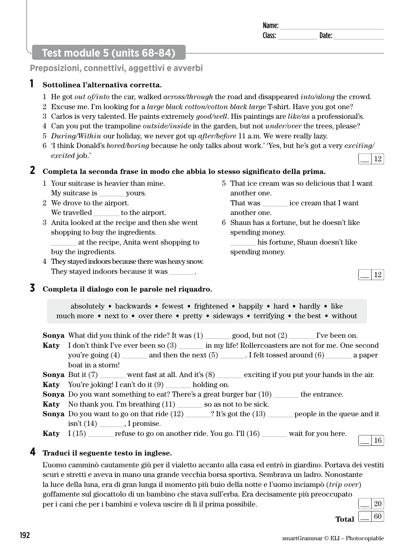5 That ice cream was so delicious that I want

That was \_\_\_\_\_\_\_ ice cream that I want

6 Shaun has a fortune, but he doesn't like

\_\_\_\_\_\_\_ his fortune, Shaun doesn't like

another one.

another one.

spending money.

spending money.

# **Test module 5 (units 68-84)**

**Preposizioni, connettivi, aggettivi e avverbi**

### **1 Sottolinea l'alternativa corretta.**

- 1 He got *out of/into* the car, walked *across/through* the road and disappeared *into/along* the crowd.
- 2 Excuse me. I'm looking for a *large black cotton/cotton black large* T-shirt. Have you got one?
- 3 Carlos is very talented. He paints extremely *good/well*. His paintings are *like/as* a professional's.
- 4 Can you put the trampoline *outside/inside* in the garden, but not *under/over* the trees, please?
- 5 *During/Within* our holiday, we never got up *after/before* 11 a.m. We were really lazy.
- 6 'I think Donald's *bored/boring* because he only talks about work.' 'Yes, but he's got a very *exciting/ excited* job.' 12

### **2 Completa la seconda frase in modo che abbia lo stesso significato della prima.**

- 1 Your suitcase is heavier than mine. My suitcase is \_\_\_\_\_\_\_ yours.
- 2 We drove to the airport. We travelled  $\qquad \qquad$  to the airport.
- 3 Anita looked at the recipe and then she went shopping to buy the ingredients. \_\_\_\_\_\_\_ at the recipe, Anita went shopping to buy the ingredients.
- 4 They stayed indoors because there was heavy snow. They stayed indoors because it was \_\_\_\_\_\_.

# **3 Completa il dialogo con le parole nel riquadro.**

absolutely • backwards • fewest • frightened • happily • hard • hardly • like much more • next to • over there • pretty • sideways • terrifying • the best • without

**Sonya** What did you think of the ride? It was (1) \_\_\_\_\_\_\_ good, but not (2) live been on.

- **Katy** I don't think I've ever been so (3) in my life! Rollercoasters are not for me. One second you're going (4) \_\_\_\_\_\_\_\_ and then the next (5) \_\_\_\_\_\_\_. I felt tossed around (6) \_\_\_\_\_\_\_\_\_ a paper boat in a storm!
- **Sonya** But it (7) went fast at all. And it's (8) exciting if you put your hands in the air.
- **Katy** You're joking! I can't do it (9) \_\_\_\_\_\_\_ holding on.
- **Sonya** Do you want something to eat? There's a great burger bar (10) the entrance.
- **Katy** No thank you. I'm breathing (11) so as not to be sick.
- **Sonya** Do you want to go on that ride  $(12)$  \_\_\_\_\_? It's got the  $(13)$  \_\_\_\_\_\_ people in the queue and it isn't (14)  $\qquad$ , I promise.

**Katy** I (15) refuse to go on another ride. You go. I'll (16) wait for you here.

### **4 Traduci il seguente testo in inglese.**

L'uomo camminò cautamente giù per il vialetto accanto alla casa ed entrò in giardino. Portava dei vestiti scuri e stretti e aveva in mano una grande vecchia borsa sportiva. Sembrava un ladro. Nonostante la luce della luna, era di gran lunga il momento più buio della notte e l'uomo inciampò (*trip over*) goffamente sul giocattolo di un bambino che stava sull'erba. Era decisamente più preoccupato per i cani che per i bambini e voleva uscire di lì il prima possibile. 20



16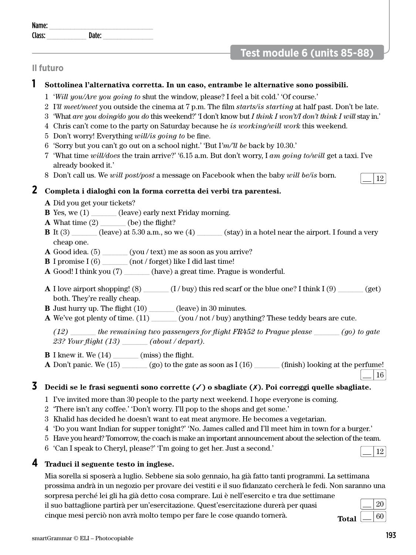| __<br>__                           | _______ | __ | TO GI U<br>$\sim$<br>$\sim$ |
|------------------------------------|---------|----|-----------------------------|
|                                    |         |    |                             |
| smartGrammar © ELI – Photocopiable |         |    | 193                         |

| -<br><b>IVALLE</b> |  |
|--------------------|--|
|                    |  |
|                    |  |

# **Test module 6 (units 85-88)**

### **Il futuro**

### **1 Sottolinea l'alternativa corretta. In un caso, entrambe le alternative sono possibili.**

- 1 '*Will you/Are you going to* shut the window, please? I feel a bit cold.' 'Of course.'
- 2 I*'ll meet/meet* you outside the cinema at 7 p.m. The film *starts/is starting* at half past. Don't be late.
- 3 'What *are you doing/do you do* this weekend?' 'I don't know but *I think I won't/I don't think I will* stay in.'
- 4 Chris can't come to the party on Saturday because he *is working/will work* this weekend.
- 5 Don't worry! Everything *will/is going to* be fine.
- 6 'Sorry but you can't go out on a school night.' 'But I*'m/'ll be* back by 10.30.'
- 7 'What time *will/does* the train arrive?' '6.15 a.m. But don't worry, I *am going to/will* get a taxi. I've already booked it.'
- 8 Don't call us. We *will post/post* a message on Facebook when the baby *will be/is* born. 12

### **2 Completa i dialoghi con la forma corretta dei verbi tra parentesi.**

- **A** Did you get your tickets?
- **B** Yes, we (1) \_\_\_\_\_\_\_ (leave) early next Friday morning.
- **A** What time  $(2)$  (be) the flight?
- **B** It (3)  $\qquad \qquad$  (leave) at 5.30 a.m., so we (4)  $\qquad \qquad$  (stay) in a hotel near the airport. I found a very cheap one.
- **A** Good idea. (5) \_\_\_\_\_\_\_ (you / text) me as soon as you arrive?
- **B** I promise I (6) \_\_\_\_\_\_\_ (not / forget) like I did last time!
- **A** Good! I think you (7) (have) a great time. Prague is wonderful.
- **A** I love airport shopping! (8) \_\_\_\_\_\_ (I / buy) this red scarf or the blue one? I think I (9) \_\_\_\_\_\_ (get) both. They're really cheap.

**B** Just hurry up. The flight (10) \_\_\_\_\_\_\_ (leave) in 30 minutes.

**A** We've got plenty of time. (11) \_\_\_\_\_\_\_ (you / not / buy) anything? These teddy bears are cute.

*(12) \_\_\_\_\_\_\_ the remaining two passengers for flight FR452 to Prague please \_\_\_\_\_\_\_ (go) to gate 23? Your flight (13) \_\_\_\_\_\_\_ (about / depart).* 

**B** I knew it. We  $(14)$  \_\_\_\_\_\_\_ (miss) the flight.

**A** Don't panic. We  $(15)$  \_\_\_\_\_\_\_ (go) to the gate as soon as  $I(16)$  \_\_\_\_\_\_\_\_ (finish) looking at the perfume! 16

### **3 Decidi se le frasi seguenti sono corrette (**✓**) o sbagliate (**✗**). Poi correggi quelle sbagliate.**

- 1 I've invited more than 30 people to the party next weekend. I hope everyone is coming.
- 2 'There isn't any coffee.' 'Don't worry. I'll pop to the shops and get some.'
- 3 Khalid has decided he doesn't want to eat meat anymore. He becomes a vegetarian.
- 4 'Do you want Indian for supper tonight?' 'No. James called and I'll meet him in town for a burger.'
- 5 Have you heard? Tomorrow, the coach is make an important announcement about the selection of the team.
- 6 'Can I speak to Cheryl, please?' 'I'm going to get her. Just a second.'

### **4 Traduci il seguente testo in inglese.**

Mia sorella si sposerà a luglio. Sebbene sia solo gennaio, ha già fatto tanti programmi. La settimana prossima andrà in un negozio per provare dei vestiti e il suo fidanzato cercherà le fedi. Non saranno una sorpresa perché lei gli ha già detto cosa comprare. Lui è nell'esercito e tra due settimane

il suo battaglione partirà per un'esercitazione. Quest'esercitazione durerà per quasi cinque mesi perciò non avrà molto tempo per fare le cose quando tornerà.

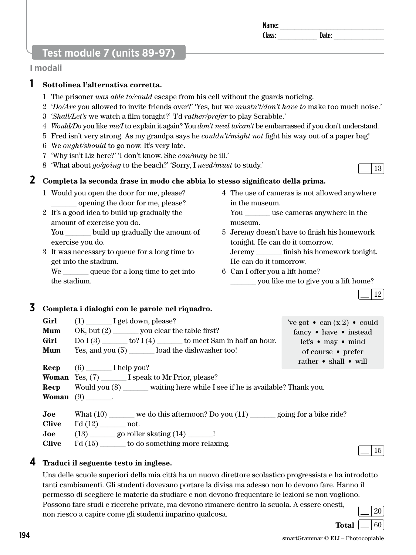## **Test module 7 (units 89-97)**

#### **I modali**

### **1 Sottolinea l'alternativa corretta.**

- 1 The prisoner *was able to/could* escape from his cell without the guards noticing.
- 2 '*Do/Are* you allowed to invite friends over?' 'Yes, but we *mustn't/don't have to* make too much noise.'
- 3 '*Shall/Let's* we watch a film tonight?' 'I'd *rather/prefer* to play Scrabble.'
- 4 *Would/Do* you like *me/I* to explain it again? You *don't need to/can't* be embarrassed if you don't understand.
- 5 Fred isn't very strong. As my grandpa says he *couldn't/might not* fight his way out of a paper bag!
- 6 We *ought/should* to go now. It's very late.
- 7 'Why isn't Liz here?' 'I don't know. She *can/may* be ill.'
- 8 'What about *go/going* to the beach?' 'Sorry, I *need/must* to study.'

### **2 Completa la seconda frase in modo che abbia lo stesso significato della prima.**

- 1 Would you open the door for me, please? \_\_\_\_\_\_\_ opening the door for me, please?
- 2 It's a good idea to build up gradually the amount of exercise you do. You build up gradually the amount of exercise you do.
- 3 It was necessary to queue for a long time to get into the stadium.

We queue for a long time to get into the stadium.

4 The use of cameras is not allowed anywhere in the museum.

You use cameras anywhere in the museum.

5 Jeremy doesn't have to finish his homework tonight. He can do it tomorrow.

Jeremy \_\_\_\_\_\_\_ finish his homework tonight. He can do it tomorrow.

- 6 Can I offer you a lift home?
	- you like me to give you a lift home?

12

### **3 Completa i dialoghi con le parole nel riquadro.**

| Girl<br>Mum<br>Girl<br>Mum<br>Recp                      | $(1)$ I get down, please?<br>$OK, but (2)$ you clear the table first?<br>$Do I (3)$ _________ to? I (4) ____________ to meet Sam in half an hour.<br>Yes, and you $(5)$ load the dishwasher too!<br>$(6)$ I help you? | 've got $\bullet$ can $(x 2) \bullet$ could<br>fancy • have • instead<br>let's $\bullet$ may $\bullet$ mind<br>of course • prefer<br>rather $\bullet$ shall $\bullet$ will |
|---------------------------------------------------------|-----------------------------------------------------------------------------------------------------------------------------------------------------------------------------------------------------------------------|----------------------------------------------------------------------------------------------------------------------------------------------------------------------------|
|                                                         | <b>Woman</b> Yes, (7) I speak to Mr Prior, please?<br><b>Recp</b> Would you (8) waiting here while I see if he is available? Thank you.<br><b>Woman</b> $(9)$ .                                                       |                                                                                                                                                                            |
| $\bf{Joe}$<br><b>Clive</b><br>$\bf Joe$<br><b>Clive</b> | What $(10)$ we do this afternoon? Do you $(11)$ going for a bike ride?<br>$\Gamma d(12)$ not.<br>$(13)$ go roller skating $(14)$ ________!<br>$\Gamma d(15)$ to do something more relaxing.                           |                                                                                                                                                                            |



**Total**  $\boxed{\phantom{0}}$  60

#### **4 Traduci il seguente testo in inglese.**

Una delle scuole superiori della mia città ha un nuovo direttore scolastico progressista e ha introdotto tanti cambiamenti. Gli studenti dovevano portare la divisa ma adesso non lo devono fare. Hanno il permesso di scegliere le materie da studiare e non devono frequentare le lezioni se non vogliono. Possono fare studi e ricerche private, ma devono rimanere dentro la scuola. A essere onesti, non riesco a capire come gli studenti imparino qualcosa. 20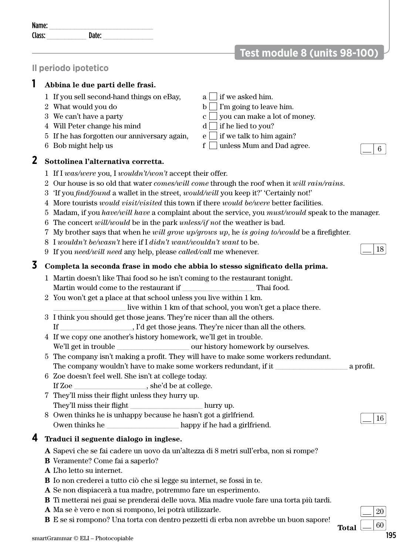| <br>name. |          |  |
|-----------|----------|--|
| '72 F.I   | ۵۱۵ د ۱۱ |  |

# **Test module 8 (units 98-100)**

### **Il periodo ipotetico**

### **1 Abbina le due parti delle frasi.**

- 1 If you sell second-hand things on eBay,  $a \mid \text{if we asked him.}$
- 
- 
- 4 Will Peter change his mind  $d \prod$  if he lied to you?
- 5 If he has forgotten our anniversary again, e if we talk to him again?
- 

#### **2 Sottolinea l'alternativa corretta.**

- 2 What would you do b I'm going to leave him.
- 3 We can't have a party  $c \cup$  you can make a lot of money.
	-
	-
- 6 Bob might help us f  $\Box$  unless Mum and Dad agree.



18

- 1 If I *was/were* you, I *wouldn't/won't* accept their offer.
- 2 Our house is so old that water *comes/will come* through the roof when it *will rain/rains*.
- 3 'If you *find/found* a wallet in the street, *would/will* you keep it?' 'Certainly not!'
- 4 More tourists *would visit/visited* this town if there *would be/were* better facilities.
- 5 Madam, if you *have/will have* a complaint about the service, you *must/would* speak to the manager.
- 6 The concert *will/would* be in the park *unless/if not* the weather is bad.
- 7 My brother says that when he *will grow up/grows up*, he *is going to/would* be a firefighter.
- 8 I *wouldn't be/wasn't* here if I *didn't want/wouldn't want* to be.
- 9 If you *need/will need* any help, please *called/call* me whenever.

### **3 Completa la seconda frase in modo che abbia lo stesso significato della prima.**

- 1 Martin doesn't like Thai food so he isn't coming to the restaurant tonight. Martin would come to the restaurant if Thai food.
- 2 You won't get a place at that school unless you live within 1 km.
	- live within 1 km of that school, you won't get a place there.
- 3 I think you should get those jeans. They're nicer than all the others.
- If \_\_\_\_\_\_\_\_\_\_\_\_\_\_\_\_\_\_\_\_, I'd get those jeans. They're nicer than all the others.
- 4 If we copy one another's history homework, we'll get in trouble.
	- We'll get in trouble \_\_\_\_\_\_\_\_\_\_\_\_\_\_\_\_\_\_\_\_ our history homework by ourselves.
- 5 The company isn't making a profit. They will have to make some workers redundant. The company wouldn't have to make some workers redundant, if it a profit.
- 6 Zoe doesn't feel well. She isn't at college today. If Zoe \_\_\_\_\_\_\_\_\_\_\_\_\_\_\_\_\_\_\_\_, she'd be at college.
- 7 They'll miss their flight unless they hurry up. They'll miss their flight hurry up.
- 8 Owen thinks he is unhappy because he hasn't got a girlfriend. Owen thinks he happy if he had a girlfriend.

### **4 Traduci il seguente dialogo in inglese.**

- **A** Sapevi che se fai cadere un uovo da un'altezza di 8 metri sull'erba, non si rompe?
- **B** Veramente? Come fai a saperlo?
- **A** L'ho letto su internet.
- **B** Io non crederei a tutto ciò che si legge su internet, se fossi in te.
- **A** Se non dispiacerà a tua madre, potremmo fare un esperimento.
- **B** Ti metterai nei guai se prenderai delle uova. Mia madre vuole fare una torta più tardi.
- **A** Ma se è vero e non si rompono, lei potrà utilizzarle.
- **B** E se si rompono? Una torta con dentro pezzetti di erba non avrebbe un buon sapore!<br> **Total**



16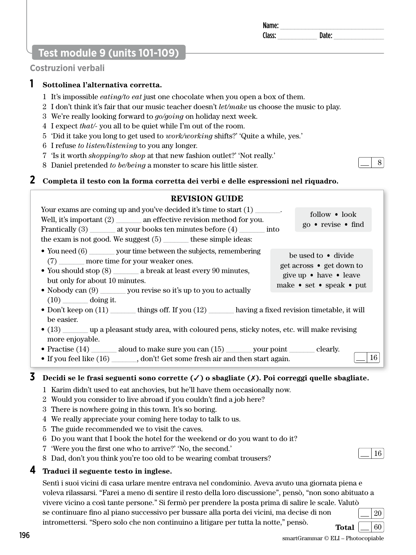# **Test module 9 (units 101-109)**

### **Costruzioni verbali**

### **1 Sottolinea l'alternativa corretta.**

- 1 It's impossible *eating/to eat* just one chocolate when you open a box of them.
- 2 I don't think it's fair that our music teacher doesn't *let/make* us choose the music to play.
- 3 We're really looking forward to *go/going* on holiday next week.
- 4 I expect *that/-* you all to be quiet while I'm out of the room.
- 5 'Did it take you long to get used to *work/working* shifts?' 'Quite a while, yes.'
- 6 I refuse *to listen/listening* to you any longer.
- 7 'Is it worth *shopping/to shop* at that new fashion outlet?' 'Not really.'
- 8 Daniel pretended *to be/being* a monster to scare his little sister.

### **2 Completa il testo con la forma corretta dei verbi e delle espressioni nel riquadro.**

#### **REVISION GUIDE** Your exams are coming up and you've decided it's time to start  $(1)$ Well, it's important (2) an effective revision method for you. Frantically (3) \_\_\_\_\_\_\_\_ at your books ten minutes before (4) \_\_\_\_\_\_\_\_\_ into the exam is not good. We suggest (5) \_\_\_\_\_\_\_ these simple ideas: • You need (6) wour time between the subjects, remembering (7) \_\_\_\_\_\_\_ more time for your weaker ones. • You should stop (8)  $\qquad$  a break at least every 90 minutes, but only for about 10 minutes. • Nobody can  $(9)$  you revise so it's up to you to actually  $(10)$  doing it. • Don't keep on (11) having a fixed revision timetable, it will be easier. • (13)  $\bullet$  up a pleasant study area, with coloured pens, sticky notes, etc. will make revising more enjoyable. follow • look go • revise • find be used to • divide get across • get down to give up • have • leave make • set • speak • put

• Practise (14) aloud to make sure you can (15) your point clearly.

• If you feel like (16) , don't! Get some fresh air and then start again.

### **3 Decidi se le frasi seguenti sono corrette (**✓**) o sbagliate (**✗**). Poi correggi quelle sbagliate.**

- 1 Karim didn't used to eat anchovies, but he'll have them occasionally now.
- 2 Would you consider to live abroad if you couldn't find a job here?
- 3 There is nowhere going in this town. It's so boring.
- 4 We really appreciate your coming here today to talk to us.
- 5 The guide recommended we to visit the caves.
- 6 Do you want that I book the hotel for the weekend or do you want to do it?
- 7 'Were you the first one who to arrive?' 'No, the second.'
- 8 Dad, don't you think you're too old to be wearing combat trousers?

### **4 Traduci il seguente testo in inglese.**

Sentì i suoi vicini di casa urlare mentre entrava nel condominio. Aveva avuto una giornata piena e voleva rilassarsi. "Farei a meno di sentire il resto della loro discussione", pensò, "non sono abituato a vivere vicino a così tante persone." Si fermò per prendere la posta prima di salire le scale. Valutò se continuare fino al piano successivo per bussare alla porta dei vicini, ma decise di non intromettersi. "Spero solo che non continuino a litigare per tutta la notte," pensò. 20 **Total**  $\vert \underline{\hspace{0.1cm}} \vert$  60



16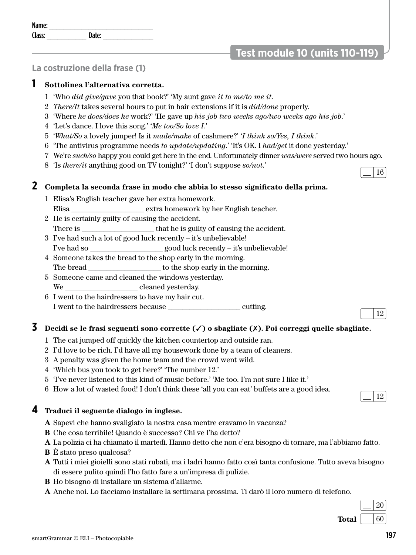# **Test module 10 (units 110-119)**

# **La costruzione della frase (1)**

# **1 Sottolinea l'alternativa corretta.**

- 1 'Who *did give/gave* you that book?' 'My aunt gave *it to me/to me it*.
- 2 *There/It* takes several hours to put in hair extensions if it is *did/done* properly.
- 3 'Where *he does/does he* work?' 'He gave up *his job two weeks ago/two weeks ago his job*.'
- 4 'Let's dance. I love this song.' '*Me too/So love I*.'
- 5 '*What/So* a lovely jumper! Is it *made/make* of cashmere?' '*I think so/Yes, I think*.'
- 6 'The antivirus programme needs *to update/updating*.' 'It's OK. I *had/get* it done yesterday.'
- 7 We're *such/so* happy you could get here in the end. Unfortunately dinner *was/were* served two hours ago.
- 8 'Is *there/it* anything good on TV tonight?' 'I don't suppose *so/not*.'

# **2 Completa la seconda frase in modo che abbia lo stesso significato della prima.**

- 1 Elisa's English teacher gave her extra homework. Elisa \_\_\_\_\_\_\_\_\_\_\_\_\_\_\_\_\_\_\_\_ extra homework by her English teacher.
- 2 He is certainly guilty of causing the accident. There is  $\qquad \qquad$  that he is guilty of causing the accident.
- 3 I've had such a lot of good luck recently it's unbelievable! I've had so \_\_\_\_\_\_\_\_\_\_\_\_\_\_\_\_\_\_\_\_ good luck recently – it's unbelievable!
- 4 Someone takes the bread to the shop early in the morning. The bread \_\_\_\_\_\_\_\_\_\_\_\_\_\_\_\_\_\_\_\_ to the shop early in the morning.
- 5 Someone came and cleaned the windows yesterday.
- We cleaned yesterday.
- 6 I went to the hairdressers to have my hair cut. I went to the hairdressers because equal cutting.

# **3 Decidi se le frasi seguenti sono corrette (**✓**) o sbagliate (**✗**). Poi correggi quelle sbagliate.**

- 1 The cat jumped off quickly the kitchen countertop and outside ran.
- 2 I'd love to be rich. I'd have all my housework done by a team of cleaners.
- 3 A penalty was given the home team and the crowd went wild.
- 4 'Which bus you took to get here?' 'The number 12.'
- 5 'I've never listened to this kind of music before.' 'Me too. I'm not sure I like it.'
- 6 How a lot of wasted food! I don't think these 'all you can eat' buffets are a good idea.

# **4 Traduci il seguente dialogo in inglese.**

- **A** Sapevi che hanno svaligiato la nostra casa mentre eravamo in vacanza?
- **B** Che cosa terribile! Quando è successo? Chi ve l'ha detto?
- **A** La polizia ci ha chiamato il martedì. Hanno detto che non c'era bisogno di tornare, ma l'abbiamo fatto.
- **B** È stato preso qualcosa?
- **A** Tutti i miei gioielli sono stati rubati, ma i ladri hanno fatto così tanta confusione. Tutto aveva bisogno di essere pulito quindi l'ho fatto fare a un'impresa di pulizie.
- **B** Ho bisogno di installare un sistema d'allarme.
- **A** Anche noi. Lo facciamo installare la settimana prossima. Ti darò il loro numero di telefono.



16

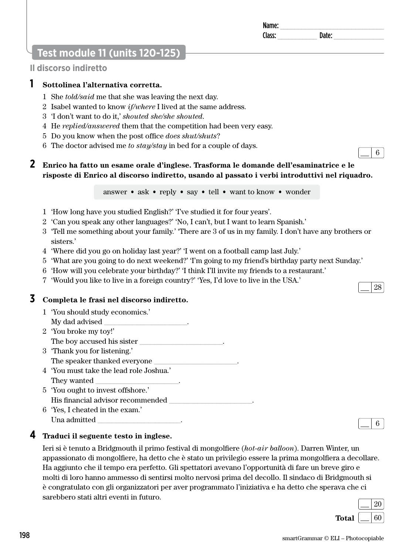# Name: \_\_\_\_\_\_\_\_\_\_\_\_\_\_\_\_\_\_\_\_\_\_\_\_\_\_\_\_\_ Class: **Date:** Date:

# **Test module 11 (units 120-125)**

# **Il discorso indiretto**

# **1 Sottolinea l'alternativa corretta.**

- 1 She *told/said* me that she was leaving the next day.
- 2 Isabel wanted to know *if/where* I lived at the same address.
- 3 'I don't want to do it,' *shouted she/she shouted*.
- 4 He *replied/answered* them that the competition had been very easy.
- 5 Do you know when the post office *does shut/shuts*?
- 6 The doctor advised me *to stay/stay* in bed for a couple of days.

# **2 Enrico ha fatto un esame orale d'inglese. Trasforma le domande dell'esaminatrice e le risposte di Enrico al discorso indiretto, usando al passato i verbi introduttivi nel riquadro.**

answer • ask • reply • say • tell • want to know • wonder

- 1 'How long have you studied English?' 'I've studied it for four years'.
- 2 'Can you speak any other languages?' 'No, I can't, but I want to learn Spanish.'
- 3 'Tell me something about your family.' 'There are 3 of us in my family. I don't have any brothers or sisters.'
- 4 'Where did you go on holiday last year?' 'I went on a football camp last July.'
- 5 'What are you going to do next weekend?' 'I'm going to my friend's birthday party next Sunday.'
- 6 'How will you celebrate your birthday?' 'I think I'll invite my friends to a restaurant.'
- 7 'Would you like to live in a foreign country?' 'Yes, I'd love to live in the USA.'

# **3 Completa le frasi nel discorso indiretto.**

- 1 'You should study economics.' My dad advised \_\_\_\_\_\_\_\_\_\_\_\_\_\_\_\_\_\_\_\_\_\_\_.
- 2 'You broke my toy!' The boy accused his sister
- 3 'Thank you for listening.' The speaker thanked everyone
- 4 'You must take the lead role Joshua.' They wanted
- 5 'You ought to invest offshore.' His financial advisor recommended
- 6 'Yes, I cheated in the exam.' Una admitted  $\boxed{\phantom{a}}$

# **4 Traduci il seguente testo in inglese.**

Ieri si è tenuto a Bridgmouth il primo festival di mongolfiere (*hot-air balloon*). Darren Winter, un appassionato di mongolfiere, ha detto che è stato un privilegio essere la prima mongolfiera a decollare. Ha aggiunto che il tempo era perfetto. Gli spettatori avevano l'opportunità di fare un breve giro e molti di loro hanno ammesso di sentirsi molto nervosi prima del decollo. Il sindaco di Bridgmouth si è congratulato con gli organizzatori per aver programmato l'iniziativa e ha detto che sperava che ci sarebbero stati altri eventi in futuro.

| barcoocro baail and crema in radaro. | ___                      | 20 |  |
|--------------------------------------|--------------------------|----|--|
| <b>Total</b>                         | $\overline{\phantom{a}}$ | 60 |  |





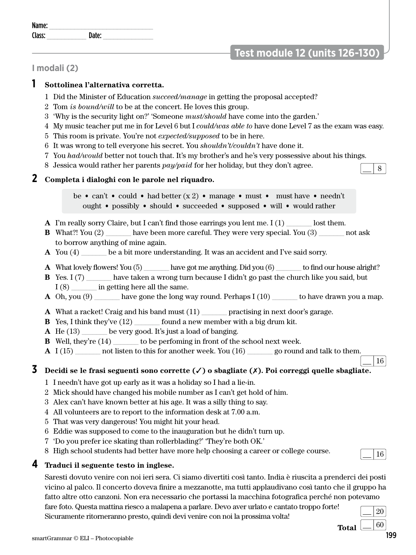| Sicuramente ritorneranno presto, quindi devi venire con noi la prossima volta! |       |     |
|--------------------------------------------------------------------------------|-------|-----|
|                                                                                | Total | -60 |

# **I modali (2)**

# **1 Sottolinea l'alternativa corretta.**

Name: \_\_\_\_\_\_\_\_\_\_\_\_\_\_\_\_\_\_\_\_\_\_\_\_\_\_\_\_\_ Class: \_\_\_\_\_\_\_\_\_\_\_ Date: \_\_\_\_\_\_\_\_\_\_\_\_\_\_

- 1 Did the Minister of Education *succeed/manage* in getting the proposal accepted?
- 2 Tom *is bound/will* to be at the concert. He loves this group.
- 3 'Why is the security light on?' 'Someone *must/should* have come into the garden.'
- 4 My music teacher put me in for Level 6 but I *could/was able to* have done Level 7 as the exam was easy.
- 5 This room is private. You're not *expected/supposed* to be in here.
- 6 It was wrong to tell everyone his secret. You *shouldn't/couldn't* have done it.
- 7 You *had/would* better not touch that. It's my brother's and he's very possessive about his things.
- 8 Jessica would rather her parents  $pay/paid$  for her holiday, but they don't agree.

# **2 Completa i dialoghi con le parole nel riquadro.**

be • can't • could • had better  $(x 2)$  • manage • must • must have • needn't ought • possibly • should • succeeded • supposed • will • would rather

- **A** I'm really sorry Claire, but I can't find those earrings you lent me. I (1) \_\_\_\_\_\_\_ lost them.
- **B** What?! You (2) have been more careful. They were very special. You (3) and ask to borrow anything of mine again.
- **A** You (4) be a bit more understanding. It was an accident and I've said sorry.
- **A** What lovely flowers! You (5) \_\_\_\_\_\_\_ have got me anything. Did you (6) \_\_\_\_\_\_\_ to find our house alright?
- **B** Yes. I (7) have taken a wrong turn because I didn't go past the church like you said, but I (8)  $\qquad \qquad$  in getting here all the same.
- **A** Oh, you (9) have gone the long way round. Perhaps I (10) to have drawn you a map.
- **A** What a racket! Craig and his band must (11) practising in next door's garage.
- **B** Yes, I think they've (12) found a new member with a big drum kit.
- **A** He (13) \_\_\_\_\_\_\_ be very good. It's just a load of banging.
- **B** Well, they're (14) to be perfoming in front of the school next week.
- **A** I (15) \_\_\_\_\_\_\_ not listen to this for another week. You (16) \_\_\_\_\_\_\_ go round and talk to them.

# **3 Decidi se le frasi seguenti sono corrette (**✓**) o sbagliate (**✗**). Poi correggi quelle sbagliate.**

- 1 I needn't have got up early as it was a holiday so I had a lie-in.
- 2 Mick should have changed his mobile number as I can't get hold of him.
- 3 Alex can't have known better at his age. It was a silly thing to say.
- 4 All volunteers are to report to the information desk at 7.00 a.m.
- 5 That was very dangerous! You might hit your head.
- 6 Eddie was supposed to come to the inauguration but he didn't turn up.
- 7 'Do you prefer ice skating than rollerblading?' 'They're both OK.'
- 8 High school students had better have more help choosing a career or college course.

# **4 Traduci il seguente testo in inglese.**

Saresti dovuto venire con noi ieri sera. Ci siamo divertiti così tanto. India è riuscita a prenderci dei posti vicino al palco. Il concerto doveva finire a mezzanotte, ma tutti applaudivano così tanto che il gruppo ha fatto altre otto canzoni. Non era necessario che portassi la macchina fotografica perché non potevamo fare foto. Questa mattina riesco a malapena a parlare. Devo aver urlato e cantato troppo forte!

 $\frac{1}{20}$ <br>no presto, quindi devi venire con noi la prossima volta!

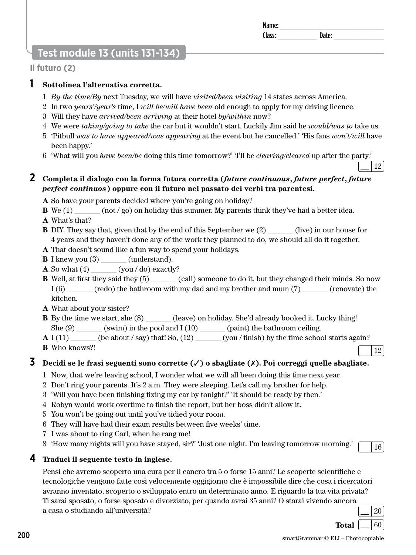# **Test module 13 (units 131-134)**

# **Il futuro (2)**

# **1 Sottolinea l'alternativa corretta.**

- 1 *By the time/By* next Tuesday, we will have *visited/been visiting* 14 states across America.
- 2 In two *years'/year's* time, I *will be/will have been* old enough to apply for my driving licence.
- 3 Will they have *arrived/been arriving* at their hotel *by/within* now?
- 4 We were *taking/going to take* the car but it wouldn't start. Luckily Jim said he *would/was to* take us.
- 5 'Pitbull *was to have appeared/was appearing* at the event but he cancelled.' 'His fans *won't/will* have been happy.'
- 6 'What will you *have been/be* doing this time tomorrow?' 'I'll be *clearing/cleared* up after the party.'

# **2 Completa il dialogo con la forma futura corretta (***future continuous***,** *future perfect***,** *future perfect continuos***) oppure con il futuro nel passato dei verbi tra parentesi.**

**A** So have your parents decided where you're going on holiday?

- **B** We (1)  $(1)$  (not / go) on holiday this summer. My parents think they've had a better idea.
- **A** What's that?
- **B** DIY. They say that, given that by the end of this September we (2) (live) in our house for 4 years and they haven't done any of the work they planned to do, we should all do it together.
- **A** That doesn't sound like a fun way to spend your holidays.
- **B** I knew you (3) \_\_\_\_\_\_\_ (understand).
- **A** So what  $(4)$  \_\_\_\_\_\_\_ (you / do) exactly?
- **B** Well, at first they said they (5)  $\qquad \qquad$  (call) someone to do it, but they changed their minds. So now  $I(6)$  (redo) the bathroom with my dad and my brother and mum (7) (renovate) the kitchen.
- **A** What about your sister?
- **B** By the time we start, she  $(8)$  \_\_\_\_\_\_\_ (leave) on holiday. She'd already booked it. Lucky thing! She  $(9)$  (swim) in the pool and I (10) (paint) the bathroom ceiling.
- $\bf{A}$  I (11)  $\qquad$  (be about / say) that! So, (12)  $\qquad \qquad$  (you / finish) by the time school starts again?
- **B** Who knows?!

# **3 Decidi se le frasi seguenti sono corrette (**✓**) o sbagliate (**✗**). Poi correggi quelle sbagliate.**

- 1 Now, that we're leaving school, I wonder what we will all been doing this time next year.
- 2 Don't ring your parents. It's 2 a.m. They were sleeping. Let's call my brother for help.
- 3 'Will you have been finishing fixing my car by tonight?' 'It should be ready by then.'
- 4 Robyn would work overtime to finish the report, but her boss didn't allow it.
- 5 You won't be going out until you've tidied your room.
- 6 They will have had their exam results between five weeks' time.
- 7 I was about to ring Carl, when he rang me!
- 8 'How many nights will you have stayed, sir?' 'Just one night. I'm leaving tomorrow morning.'  $\boxed{\phantom{16}}$

# **4 Traduci il seguente testo in inglese.**

Pensi che avremo scoperto una cura per il cancro tra 5 o forse 15 anni? Le scoperte scientifiche e tecnologiche vengono fatte così velocemente oggigiorno che è impossibile dire che cosa i ricercatori avranno inventato, scoperto o sviluppato entro un determinato anno. E riguardo la tua vita privata? Ti sarai sposato, o forse sposato e divorziato, per quando avrai 35 anni? O starai vivendo ancora a casa o studiando all'università? 20

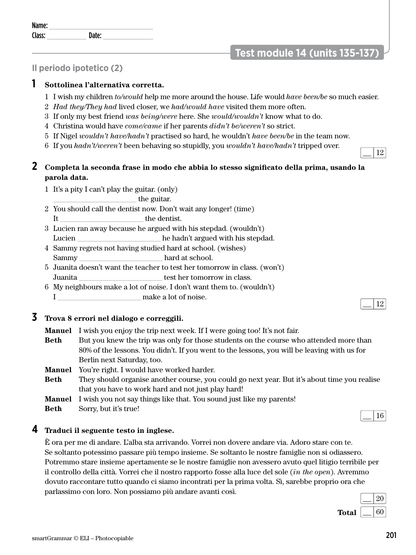# **Il periodo ipotetico (2)**

# **1 Sottolinea l'alternativa corretta.**

- 1 I wish my children *to/would* help me more around the house. Life would *have been/be* so much easier.
- 2 *Had they/They had* lived closer, we *had/would have* visited them more often.
- 3 If only my best friend *was being/were* here. She *would/wouldn't* know what to do.
- 4 Christina would have *come/came* if her parents *didn't be/weren't* so strict.
- 5 If Nigel *wouldn't have/hadn't* practised so hard, he wouldn't *have been/be* in the team now.
- 6 If you *hadn't/weren't* been behaving so stupidly, you *wouldn't have/hadn't* tripped over.

# **2 Completa la seconda frase in modo che abbia lo stesso significato della prima, usando la parola data.**

1 It's a pity I can't play the guitar. (only)

\_\_\_\_\_\_\_\_\_\_\_\_\_\_\_\_\_\_\_\_\_\_\_ the guitar.

- 2 You should call the dentist now. Don't wait any longer! (time) It \_\_\_\_\_\_\_\_\_\_\_\_\_\_\_\_\_\_\_\_\_\_\_ the dentist.
- 3 Lucien ran away because he argued with his stepdad. (wouldn't) Lucien Lucien he hadn't argued with his stepdad.
- 4 Sammy regrets not having studied hard at school. (wishes) Sammy hard at school.
- 5 Juanita doesn't want the teacher to test her tomorrow in class. (won't) Juanita \_\_\_\_\_\_\_\_\_\_\_\_\_\_\_\_\_\_\_\_\_\_\_ test her tomorrow in class.
- 6 My neighbours make a lot of noise. I don't want them to. (wouldn't) I make a lot of noise.

# **3 Trova 8 errori nel dialogo e correggili.**

- **Manuel** I wish you enjoy the trip next week. If I were going too! It's not fair.
- **Beth** But you knew the trip was only for those students on the course who attended more than 80% of the lessons. You didn't. If you went to the lessons, you will be leaving with us for Berlin next Saturday, too.
- **Manuel** You're right. I would have worked harder.
- **Beth** They should organise another course, you could go next year. But it's about time you realise that you have to work hard and not just play hard!
- **Manuel** I wish you not say things like that. You sound just like my parents!
- **Beth** Sorry, but it's true!

## **4 Traduci il seguente testo in inglese.**

È ora per me di andare. L'alba sta arrivando. Vorrei non dovere andare via. Adoro stare con te. Se soltanto potessimo passare più tempo insieme. Se soltanto le nostre famiglie non si odiassero. Potremmo stare insieme apertamente se le nostre famiglie non avessero avuto quel litigio terribile per il controllo della città. Vorrei che il nostro rapporto fosse alla luce del sole (*in the open*). Avremmo dovuto raccontare tutto quando ci siamo incontrati per la prima volta. Sì, sarebbe proprio ora che parlassimo con loro. Non possiamo più andare avanti così.



12

16



**Test module 14 (units 135-137)** 

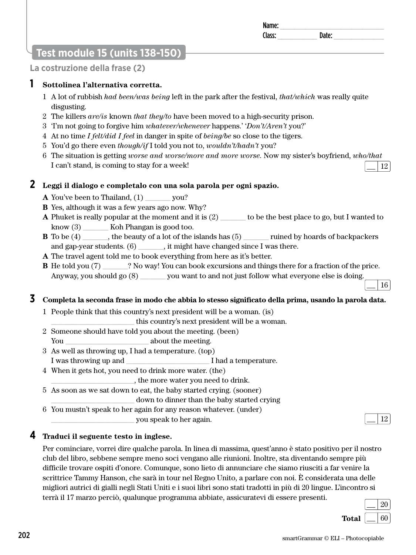# **Test module 15 (units 138-150)**

**La costruzione della frase (2)**

# **1 Sottolinea l'alternativa corretta.**

- 1 A lot of rubbish *had been/was being* left in the park after the festival, *that/which* was really quite disgusting.
- 2 The killers *are/is* known *that they/to* have been moved to a high-security prison.
- 3 'I'm not going to forgive him *whatever/whenever* happens.' '*Don't/Aren't* you?'
- 4 At no time *I felt/did I feel* in danger in spite of *being/be* so close to the tigers.
- 5 You'd go there even *though/if* I told you not to, *wouldn't/hadn't* you?
- 6 The situation is getting *worse and worse/more and more worse*. Now my sister's boyfriend, *who/that* I can't stand, is coming to stay for a week! 12

# **2 Leggi il dialogo e completalo con una sola parola per ogni spazio.**

- **A** You've been to Thailand, (1) vou?
- **B** Yes, although it was a few years ago now. Why?
- **A** Phuket is really popular at the moment and it is (2) to be the best place to go, but I wanted to know (3)  $\qquad$  Koh Phangan is good too.
- **B** To be (4) \_\_\_\_\_\_, the beauty of a lot of the islands has (5) \_\_\_\_\_\_\_ ruined by hoards of backpackers and gap-year students. (6) \_\_\_\_\_\_\_, it might have changed since I was there.
- **A** The travel agent told me to book everything from here as it's better.
- **B** He told you (7) \_\_\_\_\_\_? No way! You can book excursions and things there for a fraction of the price. Anyway, you should go  $(8)$  \_\_\_\_\_\_\_ you want to and not just follow what everyone else is doing.

# **3 Completa la seconda frase in modo che abbia lo stesso significato della prima, usando la parola data.**

- 1 People think that this country's next president will be a woman. (is)
	- \_\_\_\_\_\_\_\_\_\_\_\_\_\_\_\_\_\_\_\_\_\_\_ this country's next president will be a woman.
- 2 Someone should have told you about the meeting. (been) You \_\_\_\_\_\_\_\_\_\_\_\_\_\_\_\_\_\_\_\_\_\_\_ about the meeting.
- 3 As well as throwing up, I had a temperature. (top) I was throwing up and  $\blacksquare$  I had a temperature.
- 4 When it gets hot, you need to drink more water. (the)

\_\_\_\_\_\_\_\_\_\_\_\_\_\_\_\_\_\_\_\_\_\_\_, the more water you need to drink.

5 As soon as we sat down to eat, the baby started crying. (sooner)

down to dinner than the baby started crying

6 You mustn't speak to her again for any reason whatever. (under)

\_\_\_\_\_\_\_\_\_\_\_\_\_\_\_\_\_\_\_\_\_\_\_ you speak to her again. 12

# **4 Traduci il seguente testo in inglese.**

Per cominciare, vorrei dire qualche parola. In linea di massima, quest'anno è stato positivo per il nostro club del libro, sebbene sempre meno soci vengano alle riunioni. Inoltre, sta diventando sempre più difficile trovare ospiti d'onore. Comunque, sono lieto di annunciare che siamo riusciti a far venire la scrittrice Tammy Hanson, che sarà in tour nel Regno Unito, a parlare con noi. È considerata una delle migliori autrici di gialli negli Stati Uniti e i suoi libri sono stati tradotti in più di 20 lingue. L'incontro si terrà il 17 marzo perciò, qualunque programma abbiate, assicuratevi di essere presenti.

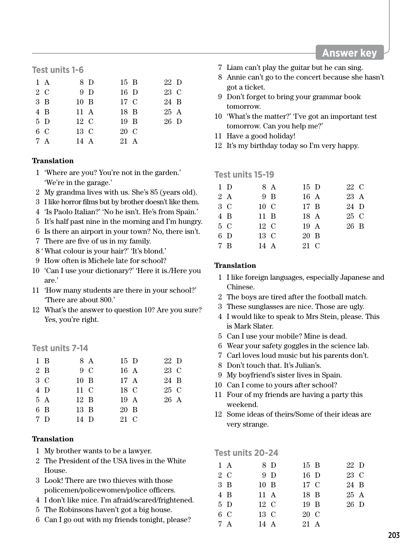## **Test units 1-6**

| $1 \text{ A}$ | 8 D            | 15 B | 22 D |  |
|---------------|----------------|------|------|--|
| 2 C           | 9 <sub>D</sub> | 16 D | 23 C |  |
| $3\,B$        | $10\,$ B       | 17 C | 24 B |  |
| 4 B           | $11 \text{ A}$ | 18 B | 25 A |  |
| $5\,D$        | $12\,C$        | 19 B | 26 D |  |
| 6 C           | 13 C           | 20 C |      |  |
| 7 A           | 14 A           | 21 A |      |  |

#### **Translation**

- 1 'Where are you? You're not in the garden.' 'We're in the garage.'
- 2 My grandma lives with us. She's 85 (years old).
- 3 I like horror films but by brother doesn't like them.
- 4 'Is Paolo Italian?' 'No he isn't. He's from Spain.'
- 5 It's half past nine in the morning and I'm hungry.
- 6 Is there an airport in your town? No, there isn't.
- 7 There are five of us in my family.
- 8 ' What colour is your hair?' 'It's blond.'
- 9 How often is Michele late for school?
- 10 'Can I use your dictionary?' 'Here it is./Here you are.'
- 11 'How many students are there in your school?' 'There are about 800.'
- 12 What's the answer to question 10? Are you sure? Yes, you're right.

# **Test units 7-14**

| $1 \text{ } B$ | 8 A            | 15 D           | 22 D |  |
|----------------|----------------|----------------|------|--|
| 2 B            | 9 C            | 16A            | 23 C |  |
| 3 C            | $10\,$ B       | 17 A           | 24 B |  |
| 4 D            | $11\,C$        | 18 C           | 25 C |  |
| 5A             | $12 \text{ B}$ | $19 \text{ A}$ | 26 A |  |
| 6 B            | 13 B           | 20 B           |      |  |
| 7 D            | 14 D           | 21 C           |      |  |

#### **Translation**

- 1 My brother wants to be a lawyer.
- 2 The President of the USA lives in the White House.
- 3 Look! There are two thieves with those policemen/policewomen/police officers.
- 4 I don't like mice. I'm afraid/scared/frightened.
- 5 The Robinsons haven't got a big house.
- 6 Can I go out with my friends tonight, please?
- 7 Liam can't play the guitar but he can sing.
- 8 Annie can't go to the concert because she hasn't got a ticket.
- 9 Don't forget to bring your grammar book tomorrow.
- 10 'What's the matter?' 'I've got an important test tomorrow. Can you help me?'
- 11 Have a good holiday!
- 12 It's my birthday today so I'm very happy.

#### **Test units 15-19**

| $1\,D$ | 8 A            | 15 D           | 22 C |  |
|--------|----------------|----------------|------|--|
| 2A     | 9 B            | 16A            | 23 A |  |
| $3\,C$ | 10 C           | $17 \text{ B}$ | 24 D |  |
| 4 B    | $11 \text{ B}$ | 18 A           | 25 C |  |
| 5 C    | 12 C           | 19 A           | 26 B |  |
| 6 D    | 13 C           | 20 B           |      |  |
| 7B     | $14 \text{ A}$ | 21 C           |      |  |

#### **Translation**

- 1 I like foreign languages, especially Japanese and Chinese.
- 2 The boys are tired after the football match.
- 3 These sunglasses are nice. Those are ugly.
- 4 I would like to speak to Mrs Stein, please. This is Mark Slater.
- 5 Can I use your mobile? Mine is dead.
- 6 Wear your safety goggles in the science lab.
- 7 Carl loves loud music but his parents don't.
- 8 Don't touch that. It's Julian's.
- 9 My boyfriend's sister lives in Spain.
- 10 Can I come to yours after school?
- 11 Four of my friends are having a party this weekend.
- 12 Some ideas of theirs/Some of their ideas are very strange.

# **Test units 20-24**

| $1 \text{ A}$ |                | 8 D | 15 B | 22 D |  |
|---------------|----------------|-----|------|------|--|
| 2 C           |                | 9 D | 16 D | 23 C |  |
| 3 B           | $10 \text{ B}$ |     | 17 C | 24 B |  |
| 4 B           | $11 \text{ A}$ |     | 18 B | 25 A |  |
| 5 D           | $12\text{ C}$  |     | 19 B | 26 D |  |
| 6 C           | 13 C           |     | 20 C |      |  |
| 7 A           | $14 \text{ A}$ |     | 21 A |      |  |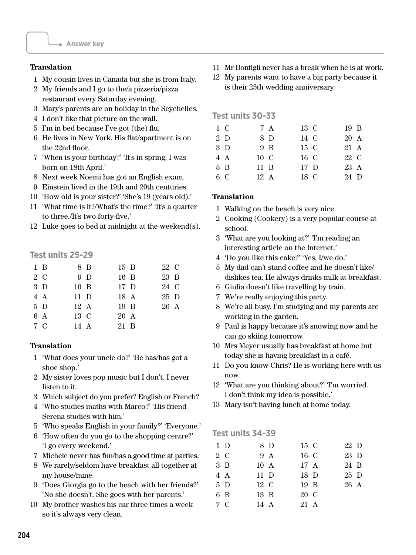#### **Translation**

- 1 My cousin lives in Canada but she is from Italy.
- 2 My friends and I go to the/a pizzeria/pizza restaurant every Saturday evening.
- 3 Mary's parents are on holiday in the Seychelles.
- 4 I don't like that picture on the wall.
- 5 I'm in bed because I've got (the) flu.
- 6 He lives in New York. His flat/apartment is on the 22nd floor.
- 7 'When is your birthday?' 'It's in spring. I was born on 18th April.'
- 8 Next week Noemi has got an English exam.
- 9 Einstein lived in the 19th and 20th centuries.
- 10 'How old is your sister?' 'She's 19 (years old).'
- 11 'What time is it?/What's the time?' 'It's a quarter to three./It's two forty-five.'
- 12 Luke goes to bed at midnight at the weekend(s).

# **Test units 25-29**

| $1 \text{ B}$ | 8 B            | $15\,B$        | 22 C |  |
|---------------|----------------|----------------|------|--|
| 2 C           | 9 D            | 16 B           | 23 B |  |
| 3 D           | $10\quad B$    | 17 D           | 24 C |  |
| 4A            | 11 D           | 18 A           | 25 D |  |
| $5\,D$        | $12 \text{ A}$ | $19 \text{ B}$ | 26 A |  |
| 6 A           | 13 C           | 20 A           |      |  |
| 7 C           | $14 \text{ A}$ | 21 B           |      |  |

#### **Translation**

- 1 'What does your uncle do?' 'He has/has got a shoe shop.'
- 2 My sister loves pop music but I don't. I never listen to it.
- 3 Which subject do you prefer? English or French?
- 4 'Who studies maths with Marco?' 'His friend Serena studies with him.'
- 5 'Who speaks English in your family?' 'Everyone.'
- 6 'How often do you go to the shopping centre?' 'I go every weekend.'
- 7 Michele never has fun/has a good time at parties.
- 8 We rarely/seldom have breakfast all together at my house/mine.
- 9 'Does Giorgia go to the beach with her friends?' 'No she doesn't. She goes with her parents.'
- 10 My brother washes his car three times a week so it's always very clean.
- 11 Mr Bonfigli never has a break when he is at work.
- 12 My parents want to have a big party because it is their 25th wedding anniversary.

**Test units 30-33**

| 1 C    | 7 A            | 13 C | 19 B |  |
|--------|----------------|------|------|--|
| 2 D    | 8 D            | 14 C | 20 A |  |
| $3\,D$ | 9 B            | 15 C | 21 A |  |
| 4 A    | 10 C           | 16 C | 22 C |  |
| 5B     | $11 \text{ B}$ | 17 D | 23 A |  |
| 6C     | 12A            | 18 C | 24 D |  |

#### **Translation**

- 1 Walking on the beach is very nice.
- 2 Cooking (Cookery) is a very popular course at school.
- 3 'What are you looking at?' 'I'm reading an interesting article on the Internet.'
- 4 'Do you like this cake?' 'Yes, I/we do.'
- 5 My dad can't stand coffee and he doesn't like/ dislikes tea. He always drinks milk at breakfast.
- 6 Giulia doesn't like travelling by train.
- 7 We're really enjoying this party.
- 8 We're all busy. I'm studying and my parents are working in the garden.
- 9 Paul is happy because it's snowing now and he can go skiing tomorrow.
- 10 Mrs Meyer usually has breakfast at home but today she is having breakfast in a café.
- 11 Do you know Chris? He is working here with us now.
- 12 'What are you thinking about?' 'I'm worried. I don't think my idea is possible.'
- 13 Mary isn't having lunch at home today.

#### **Test units 34-39**

| 1 D           | 8 D           | 15 C | 22 D |  |
|---------------|---------------|------|------|--|
| 2 C           | 9 A           | 16 C | 23 D |  |
| $3 \text{ B}$ | $10\text{ A}$ | 17 A | 24 B |  |
| 4 A           | 11 D          | 18 D | 25 D |  |
| 5D            | 12 C          | 19 B | 26 A |  |
| 6 B           | 13 B          | 20 C |      |  |
| 7C            | 14 A          | 21 A |      |  |
|               |               |      |      |  |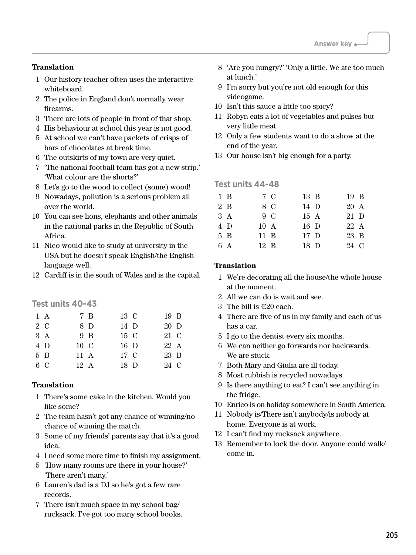## **Translation**

- 1 Our history teacher often uses the interactive whiteboard.
- 2 The police in England don't normally wear firearms.
- 3 There are lots of people in front of that shop.
- 4 His behaviour at school this year is not good.
- 5 At school we can't have packets of crisps of bars of chocolates at break time.
- 6 The outskirts of my town are very quiet.
- 7 'The national football team has got a new strip.' 'What colour are the shorts?'
- 8 Let's go to the wood to collect (some) wood!
- 9 Nowadays, pollution is a serious problem all over the world.
- 10 You can see lions, elephants and other animals in the national parks in the Republic of South Africa.
- 11 Nico would like to study at university in the USA but he doesn't speak English/the English language well.
- 12 Cardiff is in the south of Wales and is the capital.

## **Test units 40-43**

| $1 \text{ A}$ | 7 B            | 13 C    | 19 B           |
|---------------|----------------|---------|----------------|
| 2 C           | 8 D            | 14 D    | 20 D           |
| 3A            | 9 B            | $15\,C$ | 21 C           |
| 4 D           | $10\text{ C}$  | 16 D    | $22 \text{ A}$ |
| 5B            | $11 \text{ A}$ | 17 C    | 23 B           |
| 6 C           | $12 \text{ A}$ | 18 D    | 24 C           |

#### **Translation**

- 1 There's some cake in the kitchen. Would you like some?
- 2 The team hasn't got any chance of winning/no chance of winning the match.
- 3 Some of my friends' parents say that it's a good idea.
- 4 I need some more time to finish my assignment.
- 5 'How many rooms are there in your house?' 'There aren't many.'
- 6 Lauren's dad is a DJ so he's got a few rare records.
- 7 There isn't much space in my school bag/ rucksack. I've got too many school books.
- 8 'Are you hungry?' 'Only a little. We ate too much at lunch.'
- 9 I'm sorry but you're not old enough for this videogame.
- 10 Isn't this sauce a little too spicy?
- 11 Robyn eats a lot of vegetables and pulses but very little meat.
- 12 Only a few students want to do a show at the end of the year.
- 13 Our house isn't big enough for a party.

#### **Test units 44-48**

| $1\,B$ | 7 C            | 13 B      | 19 B |  |
|--------|----------------|-----------|------|--|
| 2 B    | 8 C            | 14 D      | 20 A |  |
| 3 A    | 9 C            | 15A       | 21 D |  |
| 4 D    | 10 A           | 16 D      | 22 A |  |
| 5 B    | $11 \text{ B}$ | $17\;\;D$ | 23 B |  |
| 6 A    | 12 B           | 18 D      | 24 C |  |
|        |                |           |      |  |

- 1 We're decorating all the house/the whole house at the moment.
- 2 All we can do is wait and see.
- 3 The bill is  $\in 20$  each.
- 4 There are five of us in my family and each of us has a car.
- 5 I go to the dentist every six months.
- 6 We can neither go forwards nor backwards. We are stuck.
- 7 Both Mary and Giulia are ill today.
- 8 Most rubbish is recycled nowadays.
- 9 Is there anything to eat? I can't see anything in the fridge.
- 10 Enrico is on holiday somewhere in South America.
- 11 Nobody is/There isn't anybody/is nobody at home. Everyone is at work.
- 12 I can't find my rucksack anywhere.
- 13 Remember to lock the door. Anyone could walk/ come in.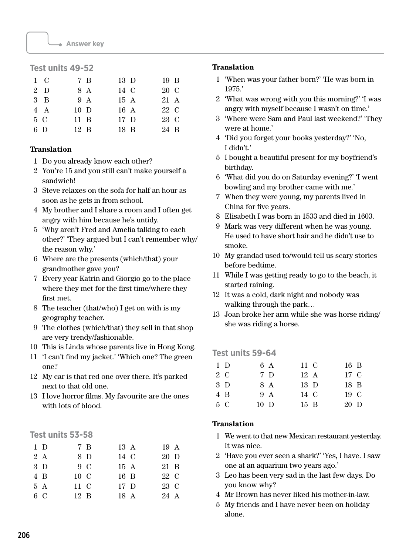# **Test units 49-52**

| 1 C           | 7 B            | 13 D | $19 \text{ B}$ |
|---------------|----------------|------|----------------|
| 2 D           | 8 A            | 14 C | 20 C           |
| $3 \text{ B}$ | 9 A            | 15A  | 21 A           |
| 4 A           | $10\,$ D       | 16A  | 22 C           |
| 5 C           | $11 \text{ B}$ | 17 D | 23 C           |
| 6 D           | $12 \text{ B}$ | 18 B | 24 B           |

## **Translation**

- 1 Do you already know each other?
- 2 You're 15 and you still can't make yourself a sandwich!
- 3 Steve relaxes on the sofa for half an hour as soon as he gets in from school.
- 4 My brother and I share a room and I often get angry with him because he's untidy.
- 5 'Why aren't Fred and Amelia talking to each other?' 'They argued but I can't remember why/ the reason why.'
- 6 Where are the presents (which/that) your grandmother gave you?
- 7 Every year Katrin and Giorgio go to the place where they met for the first time/where they first met.
- 8 The teacher (that/who) I get on with is my geography teacher.
- 9 The clothes (which/that) they sell in that shop are very trendy/fashionable.
- 10 This is Linda whose parents live in Hong Kong.
- 11 'I can't find my jacket.' 'Which one? The green one?
- 12 My car is that red one over there. It's parked next to that old one.
- 13 I love horror films. My favourite are the ones with lots of blood.

# **Test units 53-58**

| 1 D | 7 B            | 13 A      | 19 A |  |
|-----|----------------|-----------|------|--|
| 2A  | 8 D            | 14 C      | 20 D |  |
| 3 D | 9 C            | 15A       | 21 B |  |
| 4 B | 10 C           | 16 B      | 22 C |  |
| 5A  | $11\,C$        | $17\;\;D$ | 23 C |  |
| 6 C | $12 \text{ B}$ | 18 A      | 24 A |  |

## **Translation**

- 1 'When was your father born?' 'He was born in 1975.'
- 2 'What was wrong with you this morning?' 'I was angry with myself because I wasn't on time.'
- 3 'Where were Sam and Paul last weekend?' 'They were at home.'
- 4 'Did you forget your books yesterday?' 'No, I didn't.'
- 5 I bought a beautiful present for my boyfriend's birthday.
- 6 'What did you do on Saturday evening?' 'I went bowling and my brother came with me.'
- 7 When they were young, my parents lived in China for five years.
- 8 Elisabeth I was born in 1533 and died in 1603.
- 9 Mark was very different when he was young. He used to have short hair and he didn't use to smoke.
- 10 My grandad used to/would tell us scary stories before bedtime.
- 11 While I was getting ready to go to the beach, it started raining.
- 12 It was a cold, dark night and nobody was walking through the park…
- 13 Joan broke her arm while she was horse riding/ she was riding a horse.

# **Test units 59-64**

| $1\,D$ |             | 6 A | 11 C   | 16 B           |  |
|--------|-------------|-----|--------|----------------|--|
| 2 C    |             | 7 D | 12A    | 17 C           |  |
| 3 D    |             | 8 A | 13 D   | 18 B           |  |
| 4 B    |             | 9 A | 14 C   | $19 \text{ C}$ |  |
| 5 C    | $10\quad D$ |     | $15$ B | 20 D           |  |
|        |             |     |        |                |  |

- 1 We went to that new Mexican restaurant yesterday. It was nice.
- 2 'Have you ever seen a shark?' 'Yes, I have. I saw one at an aquarium two years ago.'
- 3 Leo has been very sad in the last few days. Do you know why?
- 4 Mr Brown has never liked his mother-in-law.
- 5 My friends and I have never been on holiday alone.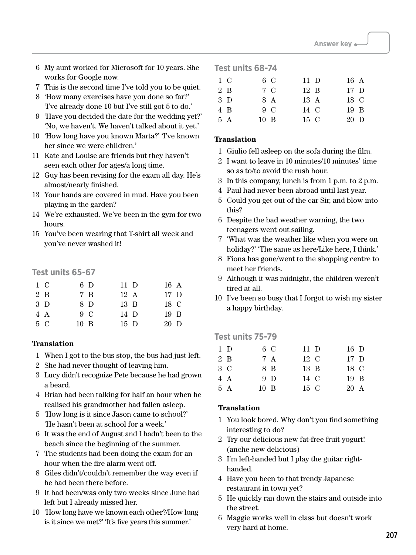- 6 My aunt worked for Microsoft for 10 years. She works for Google now.
- 7 This is the second time I've told you to be quiet.
- 8 'How many exercises have you done so far?' 'I've already done 10 but I've still got 5 to do.'
- 9 'Have you decided the date for the wedding yet?' 'No, we haven't. We haven't talked about it yet.'
- 10 'How long have you known Marta?' 'I've known her since we were children.'
- 11 Kate and Louise are friends but they haven't seen each other for ages/a long time.
- 12 Guy has been revising for the exam all day. He's almost/nearly finished.
- 13 Your hands are covered in mud. Have you been playing in the garden?
- 14 We're exhausted. We've been in the gym for two hours.
- 15 You've been wearing that T-shirt all week and you've never washed it!

# **Test units 65-67**

|     | 1 C    | 6 D            | $11\,D$        | 16A     |
|-----|--------|----------------|----------------|---------|
|     | 2 B    | 7 B            | $12 \text{ A}$ | $17\,D$ |
|     | $3\,D$ | 8 D            | 13 B           | 18 C    |
|     | 4 A    | $9\,C$         | $14\,$ D       | 19 B    |
| 5 C |        | $10 \text{ B}$ | $15\quad D$    | 20 D    |

#### **Translation**

- 1 When I got to the bus stop, the bus had just left.
- 2 She had never thought of leaving him.
- 3 Lucy didn't recognize Pete because he had grown a beard.
- 4 Brian had been talking for half an hour when he realised his grandmother had fallen asleep.
- 5 'How long is it since Jason came to school?' 'He hasn't been at school for a week.'
- 6 It was the end of August and I hadn't been to the beach since the beginning of the summer.
- 7 The students had been doing the exam for an hour when the fire alarm went off.
- 8 Giles didn't/couldn't remember the way even if he had been there before.
- 9 It had been/was only two weeks since June had left but I already missed her.
- 10 'How long have we known each other?/How long is it since we met?' 'It's five years this summer.'

# **Test units 68-74**

| 1 C    | 6 C            | $11\,D$        | 16 A           |  |
|--------|----------------|----------------|----------------|--|
| 2 B    | 7 C            | $12 \text{ B}$ | $17\,D$        |  |
| $3\,D$ | 8 A            | $13 \text{ A}$ | 18 C           |  |
| 4 B    | $9\,C$         | 14 C           | $19 \text{ B}$ |  |
| 5A     | $10 \text{ B}$ | $15\,C$        | $20\,$ D       |  |
|        |                |                |                |  |

#### **Translation**

- 1 Giulio fell asleep on the sofa during the film.
- 2 I want to leave in 10 minutes/10 minutes' time so as to/to avoid the rush hour.
- 3 In this company, lunch is from 1 p.m. to 2 p.m.
- 4 Paul had never been abroad until last year.
- 5 Could you get out of the car Sir, and blow into this?
- 6 Despite the bad weather warning, the two teenagers went out sailing.
- 7 'What was the weather like when you were on holiday?' 'The same as here/Like here, I think.'
- 8 Fiona has gone/went to the shopping centre to meet her friends.
- 9 Although it was midnight, the children weren't tired at all.
- 10 I've been so busy that I forgot to wish my sister a happy birthday.

# **Test units 75-79**

| $1\,D$ | 6 C            | $11\,D$ | 16 D           |  |
|--------|----------------|---------|----------------|--|
| 2 B    | 7 A            | 12 C    | $17\;\;D$      |  |
| 3 C    | 8 B            | 13 B    | 18 C           |  |
| 4 A    | 9 <sub>D</sub> | 14 C    | 19 B           |  |
| 5 A    | $10 \text{ B}$ | $15\,C$ | $20 \text{ A}$ |  |

- 1 You look bored. Why don't you find something interesting to do?
- 2 Try our delicious new fat-free fruit yogurt! (anche new delicious)
- 3 I'm left-handed but I play the guitar righthanded.
- 4 Have you been to that trendy Japanese restaurant in town yet?
- 5 He quickly ran down the stairs and outside into the street.
- 6 Maggie works well in class but doesn't work very hard at home.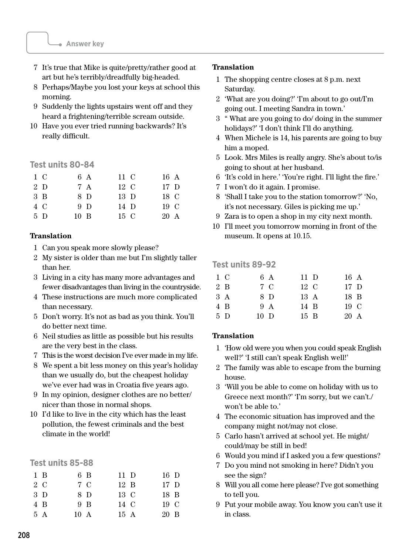- 7 It's true that Mike is quite/pretty/rather good at art but he's terribly/dreadfully big-headed.
- 8 Perhaps/Maybe you lost your keys at school this morning.
- 9 Suddenly the lights upstairs went off and they heard a frightening/terrible scream outside.
- 10 Have you ever tried running backwards? It's really difficult.

#### **Test units 80-84**

|     | 1 C    | 6 A            | 11 C          | 16 A           |
|-----|--------|----------------|---------------|----------------|
|     | $2\,D$ | 7 A            | $12\text{ C}$ | $17\quad D$    |
|     | 3B     | 8 D            | $13\quad D$   | 18 C           |
|     | 4 C    | 9 <sub>D</sub> | 14 D          | 19 C           |
| 5 D |        | $10 \text{ B}$ | $15\,C$       | $20 \text{ A}$ |

#### **Translation**

- 1 Can you speak more slowly please?
- 2 My sister is older than me but I'm slightly taller than her.
- 3 Living in a city has many more advantages and fewer disadvantages than living in the countryside.
- 4 These instructions are much more complicated than necessary.
- 5 Don't worry. It's not as bad as you think. You'll do better next time.
- 6 Neil studies as little as possible but his results are the very best in the class.
- 7 This is the worst decision I've ever made in my life.
- 8 We spent a bit less money on this year's holiday than we usually do, but the cheapest holiday we've ever had was in Croatia five years ago.
- 9 In my opinion, designer clothes are no better/ nicer than those in normal shops.
- 10 I'd like to live in the city which has the least pollution, the fewest criminals and the best climate in the world!

#### **Test units 85-88**

| $1 \text{ B}$ |                | 6 B | $11\,D$        | 16 D           |  |
|---------------|----------------|-----|----------------|----------------|--|
| 2 C           |                | 7 C | $12 \text{ B}$ | $17\,D$        |  |
| $3\,D$        |                | 8 D | 13 C           | 18 B           |  |
| 4 B           |                | 9 B | 14 C           | $19 \text{ C}$ |  |
| 5A            | $10 \text{ A}$ |     | 15A            | 20 B           |  |

#### **Translation**

- 1 The shopping centre closes at 8 p.m. next Saturday.
- 2 'What are you doing?' 'I'm about to go out/I'm going out. I meeting Sandra in town.'
- 3 " What are you going to do/ doing in the summer holidays?' 'I don't think I'll do anything.
- 4 When Michele is 14, his parents are going to buy him a moped.
- 5 Look. Mrs Miles is really angry. She's about to/is going to shout at her husband.
- 6 'It's cold in here.' 'You're right. I'll light the fire.'
- 7 I won't do it again. I promise.
- 8 'Shall I take you to the station tomorrow?' 'No, it's not necessary. Giles is picking me up.'
- 9 Zara is to open a shop in my city next month.
- 10 I'll meet you tomorrow morning in front of the museum. It opens at 10.15.

#### **Test units 89-92**

| 1 C    | 6 A      | $11\,D$        | 16 A           |  |
|--------|----------|----------------|----------------|--|
| 2 B    | 7 C      | $12\,C$        | $17\,D$        |  |
| 3A     | 8 D      | $13 \text{ A}$ | 18 B           |  |
| 4 B    | 9 A      | 14 B           | $19 \text{ C}$ |  |
| $5\,D$ | $10\,$ D | $15 \text{ B}$ | 20 A           |  |

- 1 'How old were you when you could speak English well?' 'I still can't speak English well!'
- 2 The family was able to escape from the burning house.
- 3 'Will you be able to come on holiday with us to Greece next month?' 'I'm sorry, but we can't./ won't be able to.'
- 4 The economic situation has improved and the company might not/may not close.
- 5 Carlo hasn't arrived at school yet. He might/ could/may be still in bed!
- 6 Would you mind if I asked you a few questions?
- 7 Do you mind not smoking in here? Didn't you see the sign?
- 8 Will you all come here please? I've got something to tell you.
- 9 Put your mobile away. You know you can't use it in class.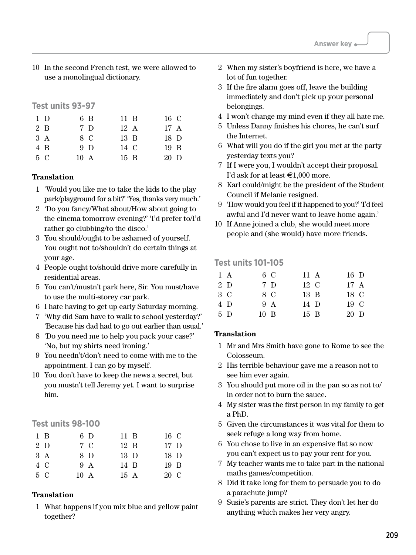10 In the second French test, we were allowed to use a monolingual dictionary.

#### **Test units 93-97**

| 1 D |     | 6 B            | $11 \text{ B}$ | 16 C           |
|-----|-----|----------------|----------------|----------------|
|     | 2 B | 7 D            | $12 \text{ A}$ | $17 \text{ A}$ |
| 3A  |     | 8 C            | $13 \text{ B}$ | $18\quad D$    |
|     | 4 B | 9 <sub>D</sub> | 14 C           | $19 \text{ B}$ |
| 5 C |     | $10 \text{ A}$ | $15 \text{ B}$ | 20 D           |

#### **Translation**

- 1 'Would you like me to take the kids to the play park/playground for a bit?' 'Yes, thanks very much.'
- 2 'Do you fancy/What about/How about going to the cinema tomorrow evening?' 'I'd prefer to/I'd rather go clubbing/to the disco.'
- 3 You should/ought to be ashamed of yourself. You ought not to/shouldn't do certain things at your age.
- 4 People ought to/should drive more carefully in residential areas.
- 5 You can't/mustn't park here, Sir. You must/have to use the multi-storey car park.
- 6 I hate having to get up early Saturday morning.
- 7 'Why did Sam have to walk to school yesterday?' 'Because his dad had to go out earlier than usual.'
- 8 'Do you need me to help you pack your case?' 'No, but my shirts need ironing.'
- 9 You needn't/don't need to come with me to the appointment. I can go by myself.
- 10 You don't have to keep the news a secret, but you mustn't tell Jeremy yet. I want to surprise him.

# **Test units 98-100**

| $1 \text{ B}$ | 6 D            | $11 \text{ B}$ | 16 C           |
|---------------|----------------|----------------|----------------|
| 2 D           | 7 C            | $12 \text{ B}$ | $17\,D$        |
| 3A            | 8 D            | $13\,D$        | 18 D           |
| 4 C           | 9 A            | 14 B           | $19 \text{ B}$ |
| 5 C           | $10 \text{ A}$ | 15A            | 20 C           |

## **Translation**

1 What happens if you mix blue and yellow paint together?

- 2 When my sister's boyfriend is here, we have a lot of fun together.
- 3 If the fire alarm goes off, leave the building immediately and don't pick up your personal belongings.
- 4 I won't change my mind even if they all hate me.
- 5 Unless Danny finishes his chores, he can't surf the Internet.
- 6 What will you do if the girl you met at the party yesterday texts you?
- 7 If I were you, I wouldn't accept their proposal. I'd ask for at least  $\in$ 1,000 more.
- 8 Karl could/might be the president of the Student Council if Melanie resigned.
- 9 'How would you feel if it happened to you?' 'I'd feel awful and I'd never want to leave home again.'
- 10 If Anne joined a club, she would meet more people and (she would) have more friends.

#### **Test units 101-105**

| $1 \text{ A}$ | 6 C         | 11 A           | 16 D           |  |
|---------------|-------------|----------------|----------------|--|
| 2 D           | 7 D         | $12\text{ C}$  | $17 \text{ A}$ |  |
| 3 C           | 8 C         | $13 \text{ B}$ | 18 C           |  |
| 4 D           | 9 A         | 14 D           | 19 C           |  |
| 5 D           | $10\quad B$ | $15 \text{ B}$ | 20 D           |  |

- 1 Mr and Mrs Smith have gone to Rome to see the Colosseum.
- 2 His terrible behaviour gave me a reason not to see him ever again.
- 3 You should put more oil in the pan so as not to/ in order not to burn the sauce.
- 4 My sister was the first person in my family to get a PhD.
- 5 Given the circumstances it was vital for them to seek refuge a long way from home.
- 6 You chose to live in an expensive flat so now you can't expect us to pay your rent for you.
- 7 My teacher wants me to take part in the national maths games/competition.
- 8 Did it take long for them to persuade you to do a parachute jump?
- 9 Susie's parents are strict. They don't let her do anything which makes her very angry.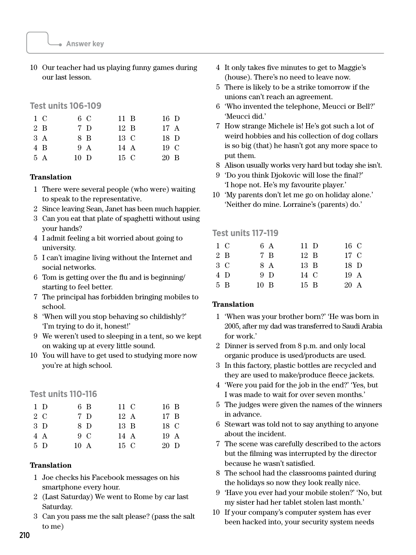10 Our teacher had us playing funny games during our last lesson.

#### **Test units 106-109**

| 1 C            | 6 C      | $11 \text{ B}$ | 16 D           |
|----------------|----------|----------------|----------------|
| $2 \text{ } R$ | 7 D      | $12 \text{ B}$ | $17 \text{ A}$ |
| 3A             | 8 B      | $13\,C$        | $18\quad D$    |
| 4 B            | 9 A      | $14 \text{ A}$ | $19 \text{ C}$ |
| 5 A            | $10\,$ D | $15\,C$        | 20 B           |

#### **Translation**

- 1 There were several people (who were) waiting to speak to the representative.
- 2 Since leaving Sean, Janet has been much happier.
- 3 Can you eat that plate of spaghetti without using your hands?
- 4 I admit feeling a bit worried about going to university.
- 5 I can't imagine living without the Internet and social networks.
- 6 Tom is getting over the flu and is beginning/ starting to feel better.
- 7 The principal has forbidden bringing mobiles to school.
- 8 'When will you stop behaving so childishly?' 'I'm trying to do it, honest!'
- 9 We weren't used to sleeping in a tent, so we kept on waking up at every little sound.
- 10 You will have to get used to studying more now you're at high school.

#### **Test units 110-116**

|     | 1 D | 6 B            | 11 C           | 16 B           |
|-----|-----|----------------|----------------|----------------|
|     | 2 C | 7 D            | $12 \text{ A}$ | $17 \text{ B}$ |
|     | 3 D | 8 D            | $13 \text{ B}$ | 18 C           |
|     | 4 A | $9\,C$         | $14 \text{ A}$ | 19A            |
| 5 D |     | $10 \text{ A}$ | $15\,C$        | $20\,$ D       |

#### **Translation**

- 1 Joe checks his Facebook messages on his smartphone every hour.
- 2 (Last Saturday) We went to Rome by car last Saturday.
- 3 Can you pass me the salt please? (pass the salt to me)
- 4 It only takes five minutes to get to Maggie's (house). There's no need to leave now.
- 5 There is likely to be a strike tomorrow if the unions can't reach an agreement.
- 6 'Who invented the telephone, Meucci or Bell?' 'Meucci did.'
- 7 How strange Michele is! He's got such a lot of weird hobbies and his collection of dog collars is so big (that) he hasn't got any more space to put them.
- 8 Alison usually works very hard but today she isn't.
- 9 'Do you think Djokovic will lose the final?' 'I hope not. He's my favourite player.'
- 10 'My parents don't let me go on holiday alone.' 'Neither do mine. Lorraine's (parents) do.'

#### **Test units 117-119**

| 6 A                                  | $11\;\;D$      | 16 C           |  |
|--------------------------------------|----------------|----------------|--|
| $7\,B$                               | $12 \text{ B}$ | 17 C           |  |
| 8 A                                  | 13 B           | 18 D           |  |
| 9 <sub>D</sub>                       | 14 C           | $19 \text{ A}$ |  |
| $10 \text{ B}$                       | $15 \text{ B}$ | 20 A           |  |
| $1 \, C$<br>2 B<br>3 C<br>4 D<br>5 B |                |                |  |

- 1 'When was your brother born?' 'He was born in 2005, after my dad was transferred to Saudi Arabia for work.'
- 2 Dinner is served from 8 p.m. and only local organic produce is used/products are used.
- 3 In this factory, plastic bottles are recycled and they are used to make/produce fleece jackets.
- 4 'Were you paid for the job in the end?' 'Yes, but I was made to wait for over seven months.'
- 5 The judges were given the names of the winners in advance.
- 6 Stewart was told not to say anything to anyone about the incident.
- 7 The scene was carefully described to the actors but the filming was interrupted by the director because he wasn't satisfied.
- 8 The school had the classrooms painted during the holidays so now they look really nice.
- 9 'Have you ever had your mobile stolen?' 'No, but my sister had her tablet stolen last month.'
- 10 If your company's computer system has ever been hacked into, your security system needs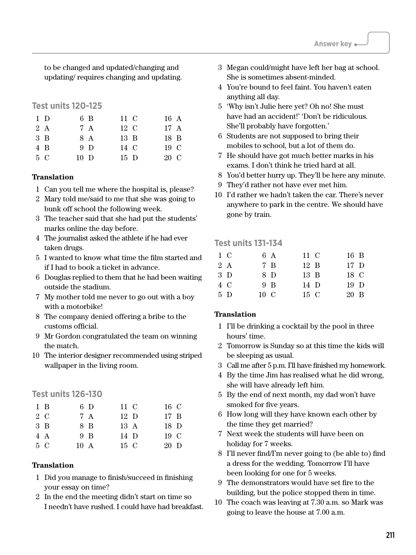to be changed and updated/changing and updating/ requires changing and updating.

#### **Test units 120-125**

|     | 1 D    | 6 B            | 11 C           | 16 A           |
|-----|--------|----------------|----------------|----------------|
|     | 2 A    | 7 A            | $12\text{ C}$  | $17 \text{ A}$ |
|     | $3\,B$ | 8 A            | $13 \text{ B}$ | 18 B           |
|     | 4 B    | 9 <sub>D</sub> | 14 C           | 19 C           |
| 5 C |        | $10\quad D$    | $15\,$ D       | $20 \text{ C}$ |

#### **Translation**

- 1 Can you tell me where the hospital is, please?
- 2 Mary told me/said to me that she was going to bunk off school the following week.
- 3 The teacher said that she had put the students' marks online the day before.
- 4 The journalist asked the athlete if he had ever taken drugs.
- 5 I wanted to know what time the film started and if I had to book a ticket in advance.
- 6 Douglas replied to them that he had been waiting outside the stadium.
- 7 My mother told me never to go out with a boy with a motorbike!
- 8 The company denied offering a bribe to the customs official.
- 9 Mr Gordon congratulated the team on winning the match.
- 10 The interior designer recommended using striped wallpaper in the living room.

#### **Test units 126-130**

| $1 \text{ B}$ | 6 D            | 11 C        | 16 C           |
|---------------|----------------|-------------|----------------|
| 2 C           | 7 A            | $12\quad D$ | $17 \text{ B}$ |
| $3 \text{ B}$ | 8 B            | 13A         | $18\quad D$    |
| 4 A           | 9B             | 14 D        | 19 C           |
| 5 C           | $10 \text{ A}$ | 15 C        | 20 D           |

#### **Translation**

- 1 Did you manage to finish/succeed in finishing your essay on time?
- 2 In the end the meeting didn't start on time so I needn't have rushed. I could have had breakfast.
- 3 Megan could/might have left her bag at school. She is sometimes absent-minded.
- 4 You're bound to feel faint. You haven't eaten anything all day.
- 5 'Why isn't Julie here yet? Oh no! She must have had an accident!' 'Don't be ridiculous. She'll probably have forgotten.'
- 6 Students are not supposed to bring their mobiles to school, but a lot of them do.
- 7 He should have got much better marks in his exams. I don't think he tried hard at all.
- 8 You'd better hurry up. They'll be here any minute.
- 9 They'd rather not have ever met him.
- 10 I'd rather we hadn't taken the car. There's never anywhere to park in the centre. We should have gone by train.

#### **Test units 131-134**

| 1 C | 6 A   | 11 C    | $16\quad B$ |  |
|-----|-------|---------|-------------|--|
| 2 A | 7 B   | 12 B    | $17\,D$     |  |
| 3 D | 8 D   | 13 B    | 18 C        |  |
| 4 C | $9$ B | 14 D    | $19\quad D$ |  |
| 5 D | 10 C  | $15\,C$ | 20 B        |  |
|     |       |         |             |  |

- 1 I'll be drinking a cocktail by the pool in three hours' time.
- 2 Tomorrow is Sunday so at this time the kids will be sleeping as usual.
- 3 Call me after 5 p.m. I'll have finished my homework.
- 4 By the time Jim has realised what he did wrong, she will have already left him.
- 5 By the end of next month, my dad won't have smoked for five years.
- 6 How long will they have known each other by the time they get married?
- 7 Next week the students will have been on holiday for 7 weeks.
- 8 I'll never find/I'm never going to (be able to) find a dress for the wedding. Tomorrow I'll have been looking for one for 5 weeks.
- 9 The demonstrators would have set fire to the building, but the police stopped them in time.
- 10 The coach was leaving at 7.30 a.m. so Mark was going to leave the house at 7.00 a.m.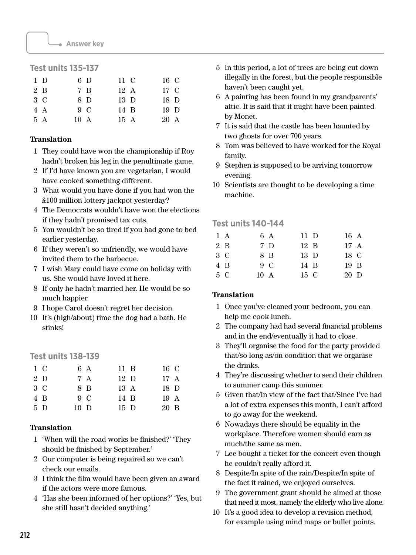# **Test units 135-137**

| $1\,D$ | 6 D            | 11 C           | 16 C            |
|--------|----------------|----------------|-----------------|
| 2 B    | 7 B            | $12 \text{ A}$ | 17 C            |
| 3 C    | 8 D            | $13\,D$        | 18 D            |
| 4 A    | $9\,C$         | 14 B           | 19 <sub>D</sub> |
| 5 A    | $10 \text{ A}$ | 15A            | 20 A            |

#### **Translation**

- 1 They could have won the championship if Roy hadn't broken his leg in the penultimate game.
- 2 If I'd have known you are vegetarian, I would have cooked something different.
- 3 What would you have done if you had won the £100 million lottery jackpot yesterday?
- 4 The Democrats wouldn't have won the elections if they hadn't promised tax cuts.
- 5 You wouldn't be so tired if you had gone to bed earlier yesterday.
- 6 If they weren't so unfriendly, we would have invited them to the barbecue.
- 7 I wish Mary could have come on holiday with us. She would have loved it here.
- 8 If only he hadn't married her. He would be so much happier.
- 9 I hope Carol doesn't regret her decision.
- 10 It's (high/about) time the dog had a bath. He stinks!

#### **Test units 138-139**

| 1 C    | 6 A         | $11 \text{ B}$ | 16 C           |  |
|--------|-------------|----------------|----------------|--|
| $2\,D$ | 7 A         | $12\text{ D}$  | $17 \text{ A}$ |  |
| $3\,C$ | 8 B         | 13A            | 18 D           |  |
| 4 B    | $9\,C$      | 14 B           | 19A            |  |
| 5 D    | $10\quad D$ | $15\,$ D       | 20 B           |  |

#### **Translation**

- 1 'When will the road works be finished?' 'They should be finished by September.'
- 2 Our computer is being repaired so we can't check our emails.
- 3 I think the film would have been given an award if the actors were more famous.
- 4 'Has she been informed of her options?' 'Yes, but she still hasn't decided anything.'
- 5 In this period, a lot of trees are being cut down illegally in the forest, but the people responsible haven't been caught yet.
- 6 A painting has been found in my grandparents' attic. It is said that it might have been painted by Monet.
- 7 It is said that the castle has been haunted by two ghosts for over 700 years.
- 8 Tom was believed to have worked for the Royal family.
- 9 Stephen is supposed to be arriving tomorrow evening.
- 10 Scientists are thought to be developing a time machine.

#### **Test units 140-144**

| 1 A            | 6 A            | $11\,D$        | 16 A           |  |
|----------------|----------------|----------------|----------------|--|
| $2 \text{ } B$ | 7 D            | $12 \text{ B}$ | 17 A           |  |
| 3 C            | 8 B            | $13\,D$        | 18 C           |  |
| 4 B            | $9\,C$         | 14 B           | $19 \text{ B}$ |  |
| 5C             | $10 \text{ A}$ | $15\,C$        | 20 D           |  |

- 1 Once you've cleaned your bedroom, you can help me cook lunch.
- 2 The company had had several financial problems and in the end/eventually it had to close.
- 3 They'll organise the food for the party provided that/so long as/on condition that we organise the drinks.
- 4 They're discussing whether to send their children to summer camp this summer.
- 5 Given that/In view of the fact that/Since I've had a lot of extra expenses this month, I can't afford to go away for the weekend.
- 6 Nowadays there should be equality in the workplace. Therefore women should earn as much/the same as men.
- 7 Lee bought a ticket for the concert even though he couldn't really afford it.
- 8 Despite/In spite of the rain/Despite/In spite of the fact it rained, we enjoyed ourselves.
- 9 The government grant should be aimed at those that need it most, namely the elderly who live alone.
- 10 It's a good idea to develop a revision method, for example using mind maps or bullet points.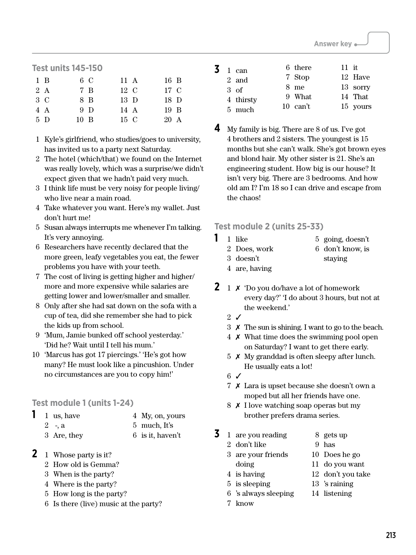# **Test units 145-150**

| $1 \text{ B}$ | 6 C            | 11 A      | $16\,$ B       |
|---------------|----------------|-----------|----------------|
| 2A            | 7 B            | $12\,C$   | 17 C           |
| $3\,C$        | 8 B            | 13 D      | 18 D           |
| 4 A           | 9 D            | 14 A      | $19 \text{ B}$ |
| 5 D           | $10 \text{ B}$ | $15 \, C$ | 20 A           |

- 1 Kyle's girlfriend, who studies/goes to university, has invited us to a party next Saturday.
- 2 The hotel (which/that) we found on the Internet was really lovely, which was a surprise/we didn't expect given that we hadn't paid very much.
- 3 I think life must be very noisy for people living/ who live near a main road.
- 4 Take whatever you want. Here's my wallet. Just don't hurt me!
- 5 Susan always interrupts me whenever I'm talking. It's very annoying.
- 6 Researchers have recently declared that the more green, leafy vegetables you eat, the fewer problems you have with your teeth.
- 7 The cost of living is getting higher and higher/ more and more expensive while salaries are getting lower and lower/smaller and smaller.
- 8 Only after she had sat down on the sofa with a cup of tea, did she remember she had to pick the kids up from school.
- 9 'Mum, Jamie bunked off school yesterday.' 'Did he? Wait until I tell his mum.'
- 10 'Marcus has got 17 piercings.' 'He's got how many? He must look like a pincushion. Under no circumstances are you to copy him!'

# **Test module 1 (units 1-24)**

- **1** <sup>1</sup> us, have
- 4 My, on, yours
- 2 -, a
- 5 much, It's

6 is it, haven't

- 3 Are, they
- **2** 1 Whose party is it?
	- 2 How old is Gemma?
	- 3 When is the party?
	- 4 Where is the party?
	- 5 How long is the party?
	- 6 Is there (live) music at the party?

| 3. | 1 can          | 6 there    | $11$ it |          |
|----|----------------|------------|---------|----------|
|    | 2 and          | 7 Stop     |         | 12 Have  |
|    | $3 \text{ of}$ | 8 me       |         | 13 sorry |
|    | 4 thirsty      | 9 What     |         | 14 That  |
|    | 5 much         | $10$ can't |         | 15 yours |

**4** My family is big. There are 8 of us. I've got 4 brothers and 2 sisters. The youngest is 15 months but she can't walk. She's got brown eyes and blond hair. My other sister is 21. She's an engineering student. How big is our house? It isn't very big. There are 3 bedrooms. And how old am I? I'm 18 so I can drive and escape from the chaos!

# **Test module 2 (units 25-33)**

- **1** 1 like
	- 2 Does, work
- 5 going, doesn't
- 
- 6 don't know, is staying
- 3 doesn't 4 are, having
- **2** 1  $\times$  'Do you do/have a lot of homework every day?' 'I do about 3 hours, but not at the weekend.'
	- 2 ✓
	- 3 ✗ The sun is shining. I want to go to the beach.
	- 4 ✗ What time does the swimming pool open on Saturday? I want to get there early.
	- $5 \times$  My granddad is often sleepy after lunch. He usually eats a lot!
	- $6\checkmark$
	- 7 ✗ Lara is upset because she doesn't own a moped but all her friends have one.
	- 8 ✗ I love watching soap operas but my brother prefers drama series.
- **3** <sup>1</sup> are you reading
- 8 gets up
- 2 don't like 3 are your friends

6 's always sleeping

- 9 has 10 Does he go
- - 11 do you want 12 don't you take
- 4 is having 5 is sleeping

doing

- 13 's raining
- 14 listening
- 7 know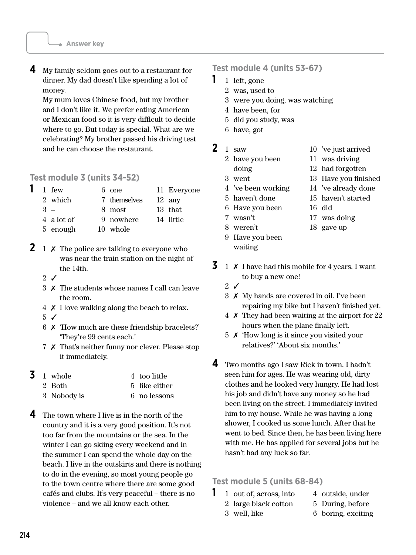**4** My family seldom goes out to a restaurant for dinner. My dad doesn't like spending a lot of money.

My mum loves Chinese food, but my brother and I don't like it. We prefer eating American or Mexican food so it is very difficult to decide where to go. But today is special. What are we celebrating? My brother passed his driving test and he can choose the restaurant.

# **Test module 3 (units 34-52)**

|       | $1$ few    | $6$ one      | 11 Everyone      |
|-------|------------|--------------|------------------|
|       | 2 which    | 7 themselves | $12 \text{ any}$ |
| $3 -$ |            | 8 most       | 13 that          |
|       | 4 a lot of | 9 nowhere    | 14 little        |
|       | 5 enough   | 10 whole     |                  |

- **2** 1  $\times$  The police are talking to everyone who was near the train station on the night of the 14th.
	- $2 \sqrt{ }$
	- 3 ✗ The students whose names I call can leave the room.
	- 4 ✗ I love walking along the beach to relax.
	- $5\sqrt{ }$
	- 6 ✗ 'How much are these friendship bracelets?' 'They're 99 cents each.'
	- 7 ✗ That's neither funny nor clever. Please stop it immediately.

| 3 | 1 whole     | 4 too little  |
|---|-------------|---------------|
|   | 2 Both      | 5 like either |
|   | 3 Nobody is | 6 no lessons  |

**4** The town where I live is in the north of the country and it is a very good position. It's not too far from the mountains or the sea. In the winter I can go skiing every weekend and in the summer I can spend the whole day on the beach. I live in the outskirts and there is nothing to do in the evening, so most young people go to the town centre where there are some good cafés and clubs. It's very peaceful – there is no violence – and we all know each other.

# **Test module 4 (units 53-67)**

- **1** 1 left, gone
	- 2 was, used to
	- 3 were you doing, was watching
	- 4 have been, for
	- 5 did you study, was
	- 6 have, got
- **2** <sup>1</sup> saw
	- 2 have you been
	- doing
	- 3 went
	- 4 've been working
	- 5 haven't done
	- 6 Have you been
	- 7 wasn't
	- 8 weren't
	- 9 Have you been waiting
- 10 've just arrived 11 was driving 12 had forgotten
- 13 Have you finished
- 14 've already done
- 15 haven't started
- 16 did
	- 17 was doing
	- 18 gave up
- **3** 1  $\times$  I have had this mobile for 4 years. I want to buy a new one!
	- $2\sqrt{ }$
	- 3 ✗ My hands are covered in oil. I've been repairing my bike but I haven't finished yet.
	- 4 ✗ They had been waiting at the airport for 22 hours when the plane finally left.
	- 5 ✗ 'How long is it since you visited your relatives?' 'About six months.'
- **4** Two months ago I saw Rick in town. I hadn't seen him for ages. He was wearing old, dirty clothes and he looked very hungry. He had lost his job and didn't have any money so he had been living on the street. I immediately invited him to my house. While he was having a long shower, I cooked us some lunch. After that he went to bed. Since then, he has been living here with me. He has applied for several jobs but he hasn't had any luck so far.

# **Test module 5 (units 68-84)**

**1** 1 out of, across, into 2 large black cotton

3 well, like

- 4 outside, under
- 5 During, before
- 6 boring, exciting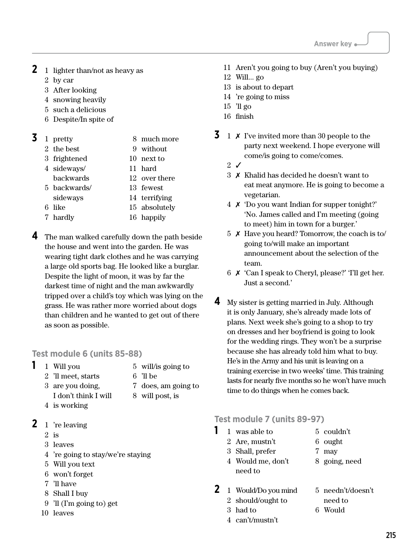- **2** 1 lighter than/not as heavy as
	- 2 by car
	- 3 After looking
	- 4 snowing heavily
	- 5 such a delicious
	- 6 Despite/In spite of

# **3** <sup>1</sup> pretty

- 2 the best
- 3 frightened
- 9 without 10 next to

8 much more

- 4 sideways/ 11 hard
- backwards 12 over there
- 5 backwards/ 13 fewest
- sideways 14 terrifying
- 6 like 15 absolutely
- 7 hardly 16 happily
- **4** The man walked carefully down the path beside the house and went into the garden. He was wearing tight dark clothes and he was carrying a large old sports bag. He looked like a burglar. Despite the light of moon, it was by far the darkest time of night and the man awkwardly tripped over a child's toy which was lying on the grass. He was rather more worried about dogs than children and he wanted to get out of there as soon as possible.

# **Test module 6 (units 85-88)**

- **1** 1 Will you
- 5 will/is going to
- 2 'll meet, starts 3 are you doing,
- 7 does, am going to 8 will post, is
- I don't think I will
- 4 is working
- **2** <sup>1</sup> 're leaving
	- 2 is
	- 3 leaves
	- 4 're going to stay/we're staying
	- 5 Will you text
	- 6 won't forget
	- 7 'll have
	- 8 Shall I buy
	- 9 'll (I'm going to) get
	- 10 leaves
- 11 Aren't you going to buy (Aren't you buying)
- 12 Will... go
- 13 is about to depart
- 14 're going to miss
- 15 'll go
- 16 finish
- **3** 1  $\times$  I've invited more than 30 people to the party next weekend. I hope everyone will come/is going to come/comes.
	- $2 \sqrt{ }$
	- 3 ✗ Khalid has decided he doesn't want to eat meat anymore. He is going to become a vegetarian.
	- 4 ✗ 'Do you want Indian for supper tonight?' 'No. James called and I'm meeting (going to meet) him in town for a burger.'
	- 5 ✗ Have you heard? Tomorrow, the coach is to/ going to/will make an important announcement about the selection of the team.
	- 6 ✗ 'Can I speak to Cheryl, please?' 'I'll get her. Just a second.'
- **4** My sister is getting married in July. Although it is only January, she's already made lots of plans. Next week she's going to a shop to try on dresses and her boyfriend is going to look for the wedding rings. They won't be a surprise because she has already told him what to buy. He's in the Army and his unit is leaving on a training exercise in two weeks' time. This training lasts for nearly five months so he won't have much time to do things when he comes back.

# **Test module 7 (units 89-97)**

- **1** 1 was able to
	- 2 Are, mustn't
- 5 couldn't 6 ought 7 may
- 3 Shall, prefer
- 4 Would me, don't need to
- 8 going, need

5 needn't/doesn't

- **2** 1 Would/Do you mind 2 should/ought to
- need to
- 6 Would
- 4 can't/mustn't

3 had to

6 'll be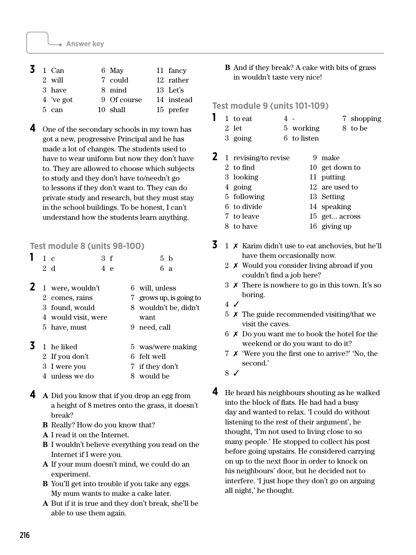| 3 | 1 Can           | 6 May       | 11 fancy   |
|---|-----------------|-------------|------------|
|   | 2 will          | 7 could     | 12 rather  |
|   | 3 have          | 8 mind      | 13 Let's   |
|   | 4 've got       | 9 Of course | 14 instead |
|   | $5 \text{ can}$ | 10 shall    | 15 prefer  |

**4** One of the secondary schools in my town has got a new, progressive Principal and he has made a lot of changes. The students used to have to wear uniform but now they don't have to. They are allowed to choose which subjects to study and they don't have to/needn't go to lessons if they don't want to. They can do private study and research, but they must stay in the school buildings. To be honest, I can't understand how the students learn anything.

# **Test module 8 (units 98-100)**

|  |                     | 3 f | 5 h                     |
|--|---------------------|-----|-------------------------|
|  | $2\,d$              | 4 e | 6a                      |
|  | 1 were, wouldn't    |     | 6 will, unless          |
|  | 2 comes, rains      |     | 7 grows up, is going to |
|  | 3 found, would      |     | 8 wouldn't be, didn't   |
|  | 4 would visit, were |     | want                    |
|  | 5 have, must        |     | 9 need, call            |
|  | 1 he liked          |     | 5 was/were making       |
|  | 2 If you don't      |     | 6 felt well             |
|  | 3 I were you        |     | 7 if they don't         |
|  |                     |     |                         |

- 4 unless we do 8 would be
- **4 <sup>A</sup>** Did you know that if you drop an egg from a height of 8 metres onto the grass, it doesn't break?
	- **B** Really? How do you know that?
	- **A** I read it on the Internet.
	- **B** I wouldn't believe everything you read on the Internet if I were you.
	- **A** If your mum doesn't mind, we could do an experiment.
	- **B** You'll get into trouble if you take any eggs. My mum wants to make a cake later.
	- **A** But if it is true and they don't break, she'll be able to use them again.

**B** And if they break? A cake with bits of grass in wouldn't taste very nice!

# **Test module 9 (units 101-109)**

- **1** 1 to eat 2 let 4 - 7 shopping 8 to be
	- 3 going 5 working 6 to listen
- **2** <sup>1</sup> revising/to revise 9 make
	- 2 to find 3 looking 4 going 5 following 6 to divide 7 to leave 10 get down to 11 putting 12 are used to 13 Setting 14 speaking 15 get... across
	- 8 to have 16 giving up
- **3** 1  $\times$  Karim didn't use to eat anchovies, but he'll have them occasionally now.
	- 2 ✗ Would you consider living abroad if you couldn't find a job here?
	- 3 ✗ There is nowhere to go in this town. It's so boring.
	- 4 ✓
	- 5 ✗ The guide recommended visiting/that we visit the caves.
	- 6 ✗ Do you want me to book the hotel for the weekend or do you want to do it?
	- 7 ✗ 'Were you the first one to arrive?' 'No, the second.'
	- 8 ✓
- **4** He heard his neighbours shouting as he walked into the block of flats. He had had a busy day and wanted to relax. 'I could do without listening to the rest of their argument', he thought, 'I'm not used to living close to so many people.' He stopped to collect his post before going upstairs. He considered carrying on up to the next floor in order to knock on his neighbours' door, but he decided not to interfere. 'I just hope they don't go on arguing all night,' he thought.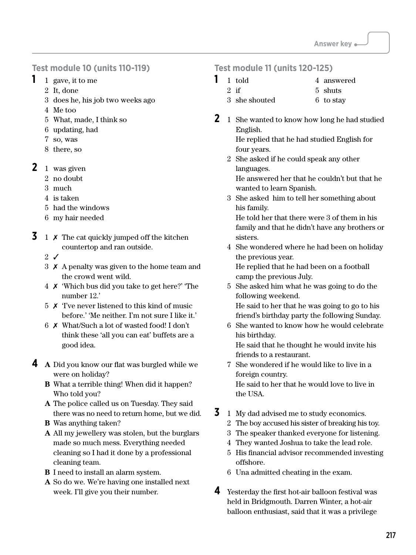# **Test module 10 (units 110-119)**

- **1** 1 gave, it to me
	- 2 It, done
	- 3 does he, his job two weeks ago
	- 4 Me too
	- 5 What, made, I think so
	- 6 updating, had
	- 7 so, was
	- 8 there, so
- **2** 1 was given
	- 2 no doubt
	- 3 much
	- 4 is taken
	- 5 had the windows
	- 6 my hair needed
- **3** 1  $\times$  The cat quickly jumped off the kitchen countertop and ran outside.
	- $2\sqrt{ }$
	- 3 ✗ A penalty was given to the home team and the crowd went wild.
	- 4 ✗ 'Which bus did you take to get here?' 'The number 12.'
	- 5 ✗ 'I've never listened to this kind of music before.' 'Me neither. I'm not sure I like it.'
	- 6 ✗ What/Such a lot of wasted food! I don't think these 'all you can eat' buffets are a good idea.
- **4 <sup>A</sup>** Did you know our flat was burgled while we were on holiday?
	- **B** What a terrible thing! When did it happen? Who told you?
	- **A** The police called us on Tuesday. They said there was no need to return home, but we did.
	- **B** Was anything taken?
	- **A** All my jewellery was stolen, but the burglars made so much mess. Everything needed cleaning so I had it done by a professional cleaning team.
	- **B** I need to install an alarm system.
	- **A** So do we. We're having one installed next week. I'll give you their number.

# **Test module 11 (units 120-125)**

- **1** 1 told 4 answered
	- 2 if

3 she shouted

- 5 shuts 6 to stay
- **2** 1 She wanted to know how long he had studied English. He replied that he had studied English for
	- four years. 2 She asked if he could speak any other languages.

 He answered her that he couldn't but that he wanted to learn Spanish.

3 She asked him to tell her something about his family.

 He told her that there were 3 of them in his family and that he didn't have any brothers or sisters.

4 She wondered where he had been on holiday the previous year.

 He replied that he had been on a football camp the previous July.

5 She asked him what he was going to do the following weekend.

 He said to her that he was going to go to his friend's birthday party the following Sunday.

6 She wanted to know how he would celebrate his birthday.

 He said that he thought he would invite his friends to a restaurant.

- 7 She wondered if he would like to live in a foreign country. He said to her that he would love to live in the USA.
- **3** 1 My dad advised me to study economics.
	- 2 The boy accused his sister of breaking his toy.
	- 3 The speaker thanked everyone for listening.
	- 4 They wanted Joshua to take the lead role.
	- 5 His financial advisor recommended investing offshore.
	- 6 Una admitted cheating in the exam.
- **4** Yesterday the first hot-air balloon festival was held in Bridgmouth. Darren Winter, a hot-air balloon enthusiast, said that it was a privilege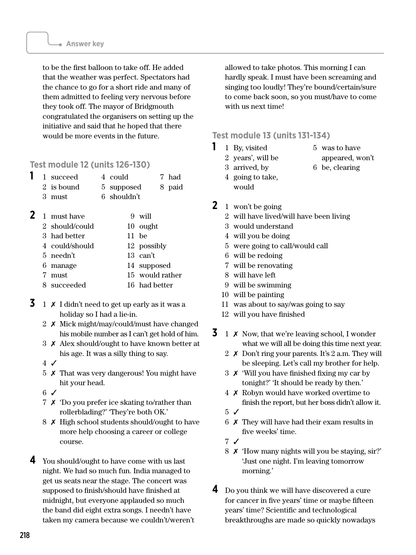to be the first balloon to take off. He added that the weather was perfect. Spectators had the chance to go for a short ride and many of them admitted to feeling very nervous before they took off. The mayor of Bridgmouth congratulated the organisers on setting up the initiative and said that he hoped that there would be more events in the future.

# **Test module 12 (units 126-130)**

|  | 1 succeed  | 4 could     | 7 had  |
|--|------------|-------------|--------|
|  | 2 is bound | 5 supposed  | 8 paid |
|  | 3 must     | 6 shouldn't |        |

- **2** 1 must have 2 should/could 3 had better 4 could/should 5 needn't 6 manage 7 must 8 succeeded 9 will 10 ought 11 be 12 possibly 13 can't 14 supposed 15 would rather 16 had better
- **3** 1  $\times$  I didn't need to get up early as it was a holiday so I had a lie-in.
	- 2 ✗ Mick might/may/could/must have changed his mobile number as I can't get hold of him.
	- 3 ✗ Alex should/ought to have known better at his age. It was a silly thing to say.
	- 4 ✓
	- 5 ✗ That was very dangerous! You might have hit your head.
	- 6 ✓
	- 7 ✗ 'Do you prefer ice skating to/rather than rollerblading?' 'They're both OK.'
	- 8 ✗ High school students should/ought to have more help choosing a career or college course.
- **4** You should/ought to have come with us last night. We had so much fun. India managed to get us seats near the stage. The concert was supposed to finish/should have finished at midnight, but everyone applauded so much the band did eight extra songs. I needn't have taken my camera because we couldn't/weren't

allowed to take photos. This morning I can hardly speak. I must have been screaming and singing too loudly! They're bound/certain/sure to come back soon, so you must/have to come with us next time!

# **Test module 13 (units 131-134)**

- **1** 1 By, visited
	- 2 years', will be
- 5 was to have
- 3 arrived, by
- appeared, won't
- 6 be, clearing
- 4 going to take, would
- **2** 1 won't be going
	- 2 will have lived/will have been living
	- 3 would understand
	- 4 will you be doing
	- 5 were going to call/would call
	- 6 will be redoing
	- 7 will be renovating
	- 8 will have left
	- 9 will be swimming
	- 10 will be painting
	- 11 was about to say/was going to say
	- 12 will you have finished
- **3** 1  $\times$  Now, that we're leaving school, I wonder what we will all be doing this time next year.
	- 2 ✗ Don't ring your parents. It's 2 a.m. They will be sleeping. Let's call my brother for help.
	- 3 ✗ 'Will you have finished fixing my car by tonight?' 'It should be ready by then.'
	- 4 ✗ Robyn would have worked overtime to finish the report, but her boss didn't allow it.
	- 5 ✓
	- 6 ✗ They will have had their exam results in five weeks' time.
	- 7 ✓
	- 8 ✗ 'How many nights will you be staying, sir?' 'Just one night. I'm leaving tomorrow morning.'
- **4** Do you think we will have discovered a cure for cancer in five years' time or maybe fifteen years' time? Scientific and technological breakthroughs are made so quickly nowadays